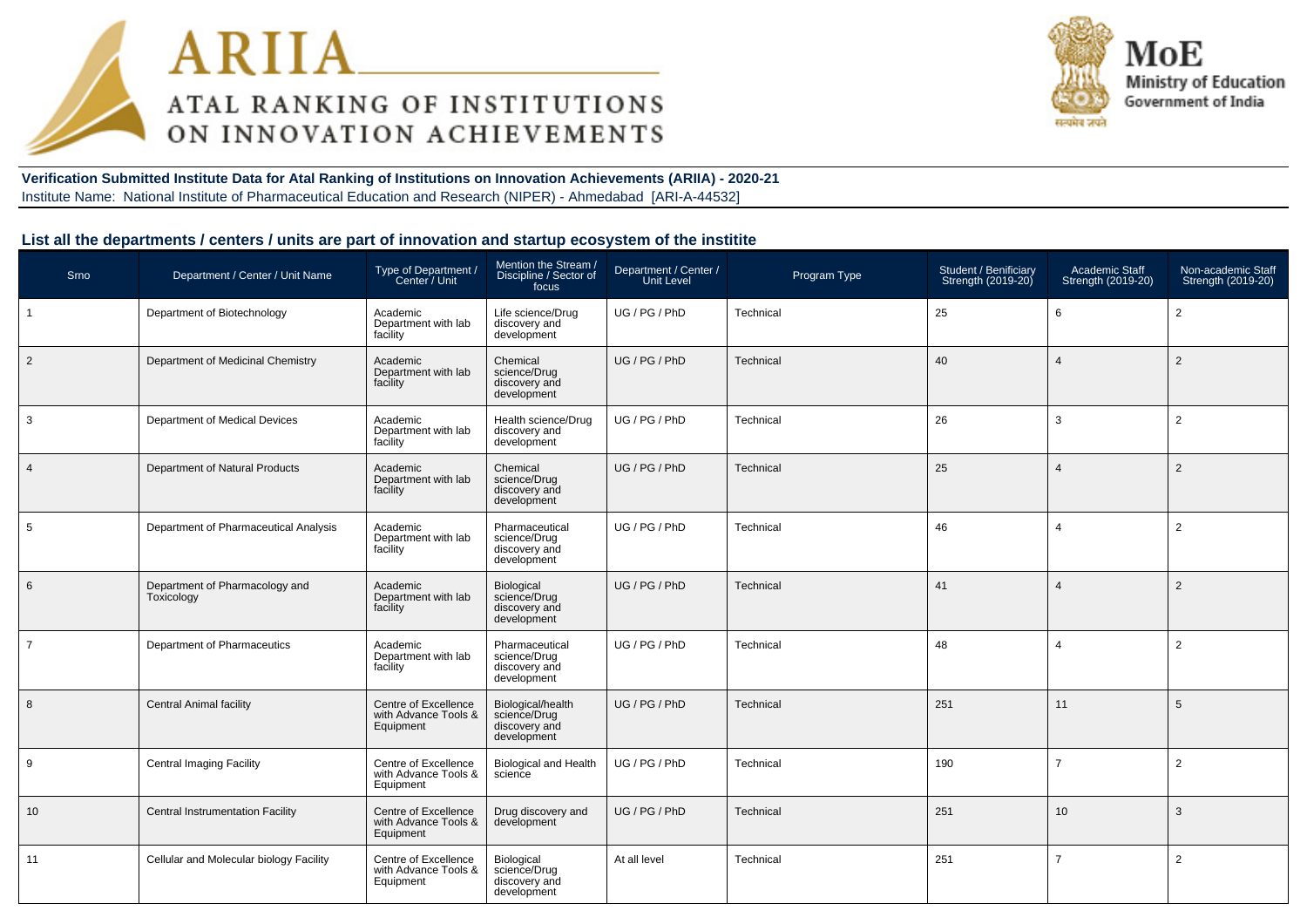



**Verification Submitted Institute Data for Atal Ranking of Institutions on Innovation Achievements (ARIIA) - 2020-21**Institute Name: National Institute of Pharmaceutical Education and Research (NIPER) - Ahmedabad [ARI-A-44532]

### **List all the departments / centers / units are part of innovation and startup ecosystem of the institite**

| Srno           | Department / Center / Unit Name              | Type of Department /<br>Center / Unit                     | Mention the Stream /<br>Discipline / Sector of<br>focus           | Department / Center /<br>Unit Level | Program Type | Student / Benificiary<br>Strength (2019-20) | Academic Staff<br>Strength (2019-20) | Non-academic Staff<br>Strength (2019-20) |
|----------------|----------------------------------------------|-----------------------------------------------------------|-------------------------------------------------------------------|-------------------------------------|--------------|---------------------------------------------|--------------------------------------|------------------------------------------|
| $\mathbf{1}$   | Department of Biotechnology                  | Academic<br>Department with lab<br>facility               | Life science/Drug<br>discovery and<br>development                 | UG / PG / PhD                       | Technical    | 25                                          | 6                                    | 2                                        |
| $\overline{2}$ | Department of Medicinal Chemistry            | Academic<br>Department with lab<br>facility               | Chemical<br>science/Drug<br>discovery and<br>development          | UG / PG / PhD                       | Technical    | 40                                          | $\Delta$                             | 2                                        |
| 3              | Department of Medical Devices                | Academic<br>Department with lab<br>facility               | Health science/Drug<br>discovery and<br>development               | UG / PG / PhD                       | Technical    | 26                                          | 3                                    | 2                                        |
| $\overline{4}$ | Department of Natural Products               | Academic<br>Department with lab<br>facility               | Chemical<br>science/Drug<br>discovery and<br>development          | UG/PG/PhD                           | Technical    | 25                                          | $\overline{4}$                       | 2                                        |
| 5              | Department of Pharmaceutical Analysis        | Academic<br>Department with lab<br>facility               | Pharmaceutical<br>science/Drug<br>discovery and<br>development    | UG / PG / PhD                       | Technical    | 46                                          | $\overline{4}$                       | 2                                        |
| 6              | Department of Pharmacology and<br>Toxicology | Academic<br>Department with lab<br>facility               | Biological<br>science/Drug<br>discovery and<br>development        | UG / PG / PhD                       | Technical    | 41                                          | $\overline{4}$                       | 2                                        |
| $\overline{7}$ | Department of Pharmaceutics                  | Academic<br>Department with lab<br>facility               | Pharmaceutical<br>science/Drug<br>discovery and<br>development    | UG / PG / PhD                       | Technical    | 48                                          | $\overline{4}$                       | 2                                        |
| 8              | <b>Central Animal facility</b>               | Centre of Excellence<br>with Advance Tools &<br>Equipment | Biological/health<br>science/Drug<br>discovery and<br>development | UG / PG / PhD                       | Technical    | 251                                         | 11                                   | 5                                        |
| 9              | <b>Central Imaging Facility</b>              | Centre of Excellence<br>with Advance Tools &<br>Equipment | <b>Biological and Health</b><br>science                           | UG / PG / PhD                       | Technical    | 190                                         | $\overline{7}$                       | $\overline{2}$                           |
| 10             | <b>Central Instrumentation Facility</b>      | Centre of Excellence<br>with Advance Tools &<br>Equipment | Drug discovery and<br>development                                 | UG / PG / PhD                       | Technical    | 251                                         | 10                                   | 3                                        |
| 11             | Cellular and Molecular biology Facility      | Centre of Excellence<br>with Advance Tools &<br>Equipment | Biological<br>science/Drug<br>discovery and<br>development        | At all level                        | Technical    | 251                                         | $\overline{7}$                       | 2                                        |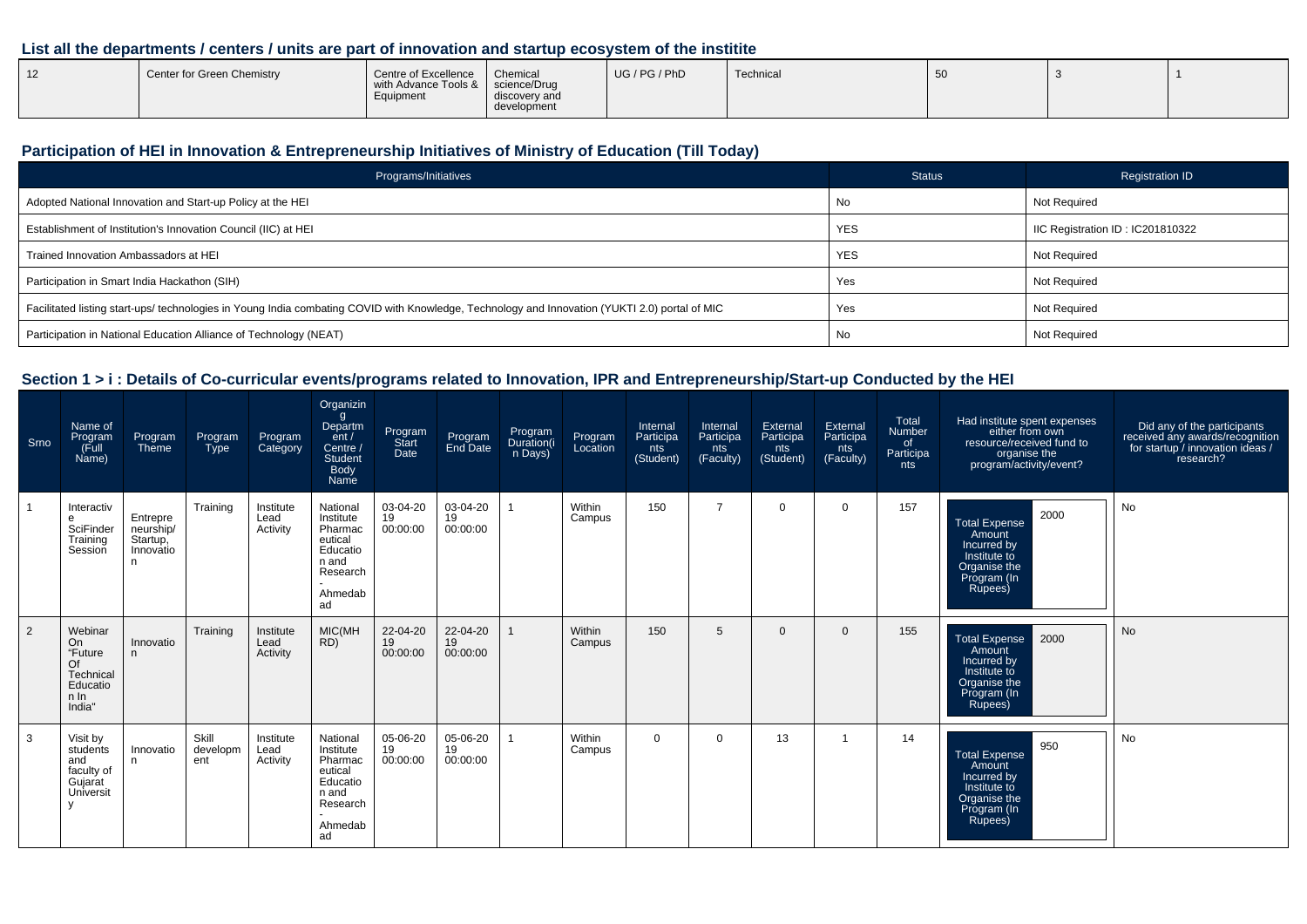## **List all the departments / centers / units are part of innovation and startup ecosystem of the institite**

| 12 | Center for Green Chemistry | Centre of Excellence<br>with Advance Tools &   science/Drug<br>Equipment | Chemical<br>discovery and<br>development | UG / PG / PhD | Technical | ັບບ |  |  |
|----|----------------------------|--------------------------------------------------------------------------|------------------------------------------|---------------|-----------|-----|--|--|
|----|----------------------------|--------------------------------------------------------------------------|------------------------------------------|---------------|-----------|-----|--|--|

## **Participation of HEI in Innovation & Entrepreneurship Initiatives of Ministry of Education (Till Today)**

| Programs/Initiatives                                                                                                                           | <b>Status</b> | Registration ID                 |
|------------------------------------------------------------------------------------------------------------------------------------------------|---------------|---------------------------------|
| Adopted National Innovation and Start-up Policy at the HEI                                                                                     | No            | Not Required                    |
| Establishment of Institution's Innovation Council (IIC) at HEI                                                                                 | <b>YES</b>    | IC Registration ID: IC201810322 |
| Trained Innovation Ambassadors at HEI                                                                                                          | <b>YES</b>    | Not Required                    |
| Participation in Smart India Hackathon (SIH)                                                                                                   | Yes           | Not Required                    |
| Facilitated listing start-ups/ technologies in Young India combating COVID with Knowledge, Technology and Innovation (YUKTI 2.0) portal of MIC | Yes           | Not Required                    |
| Participation in National Education Alliance of Technology (NEAT)                                                                              | No            | Not Required                    |

## **Section 1 > i : Details of Co-curricular events/programs related to Innovation, IPR and Entrepreneurship/Start-up Conducted by the HEI**

| Srno | Name of<br>Program<br>(Full<br>Name)                                      | Program<br>Theme                                     | Program<br><b>Type</b>   | Program<br>Category           | Organizin<br>g<br>Departm<br>ent /<br>Centre /<br>Student<br>Body<br>Name                     | Program<br>Start<br>Date   | Program<br>End Date        | Program<br>Duration(i<br>n Days) | Program<br>Location | Internal<br>Participa<br>nts<br>(Student) | Internal<br>Participa<br>nts<br>(Faculty) | External<br>Participa<br>nts<br>(Student) | External<br>Participa<br>nts<br>(Faculty) | Total<br>Number <sup>1</sup><br>of<br>Participa<br>nts | Had institute spent expenses<br>either from own<br>resource/received fund to<br>organise the<br>?program/activity/event | Did any of the participants<br>received any awards/recognition<br>for startup / innovation ideas /<br>research? |
|------|---------------------------------------------------------------------------|------------------------------------------------------|--------------------------|-------------------------------|-----------------------------------------------------------------------------------------------|----------------------------|----------------------------|----------------------------------|---------------------|-------------------------------------------|-------------------------------------------|-------------------------------------------|-------------------------------------------|--------------------------------------------------------|-------------------------------------------------------------------------------------------------------------------------|-----------------------------------------------------------------------------------------------------------------|
|      | Interactiv<br>e<br>SciFinder<br>Training<br>Session                       | Entrepre<br>neurship/<br>Startup,<br>Innovatio<br>n. | Training                 | Institute<br>Lead<br>Activity | National<br>Institute<br>Pharmac<br>eutical<br>Educatio<br>n and<br>Research<br>Ahmedab<br>ad | 03-04-20<br>19<br>00:00:00 | 03-04-20<br>19<br>00:00:00 |                                  | Within<br>Campus    | 150                                       | $\overline{7}$                            | $\Omega$                                  | $\mathbf 0$                               | 157                                                    | 2000<br><b>Total Expense</b><br>Amount<br>Incurred by<br>Institute to<br>Organise the<br>Program (In<br>Rupees)         | <b>No</b>                                                                                                       |
| 2    | Webinar<br>On<br>"Future<br>Of<br>Technical<br>Educatio<br>n In<br>India" | Innovatio<br>n.                                      | Training                 | Institute<br>Lead<br>Activity | MIC(MH<br>RD)                                                                                 | 22-04-20<br>19<br>00:00:00 | 22-04-20<br>19<br>00:00:00 |                                  | Within<br>Campus    | 150                                       | 5                                         | 0                                         | $\Omega$                                  | 155                                                    | 2000<br><b>Total Expense</b><br>Amount<br>Incurred by<br>Institute to<br>Organise the<br>Program (In<br>Rupees)         | <b>No</b>                                                                                                       |
| 3    | Visit by<br>students<br>and<br>faculty of<br>Gujarat<br>Universit<br>v    | Innovatio<br>n.                                      | Skill<br>developm<br>ent | Institute<br>Lead<br>Activity | National<br>Institute<br>Pharmac<br>eutical<br>Educatio<br>n and<br>Research<br>Ahmedab<br>ad | 05-06-20<br>19<br>00:00:00 | 05-06-20<br>19<br>00:00:00 |                                  | Within<br>Campus    | $\Omega$                                  | $\Omega$                                  | 13                                        |                                           | 14                                                     | 950<br><b>Total Expense</b><br>Amount<br>Incurred by<br>Institute to<br>Organise the<br>Program (In<br>Rupees)          | <b>No</b>                                                                                                       |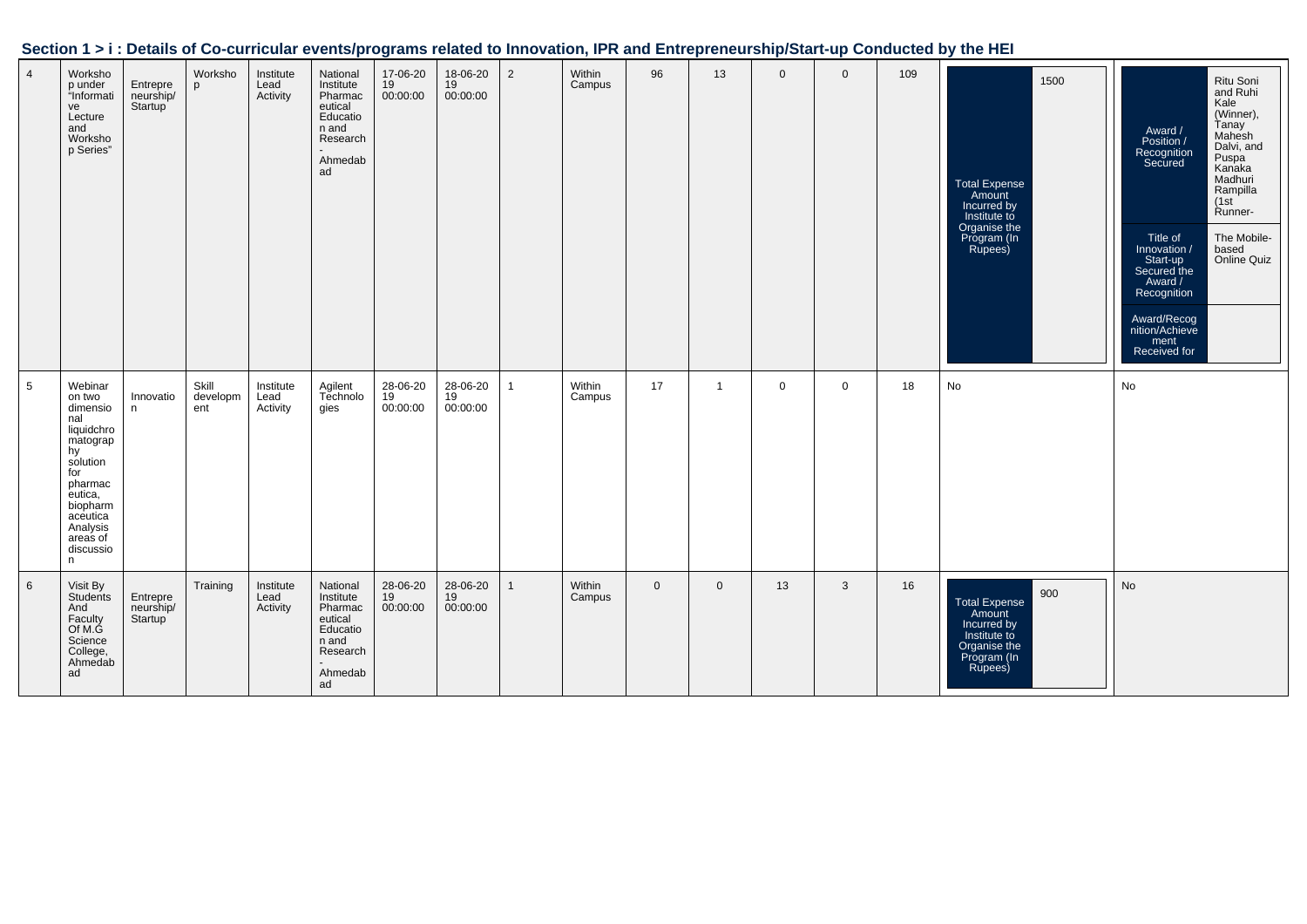| Section 1 > i : Details of Co-curricular events/programs related to Innovation, IPR and Entrepreneurship/Start-up Conducted by the HEI |  |
|----------------------------------------------------------------------------------------------------------------------------------------|--|
|                                                                                                                                        |  |

| $\overline{4}$  | Worksho<br>p under<br>"Informati<br>ve<br>Lecture<br>and<br>Worksho<br>p Series"                                                                                                | Entrepre<br>neurship/<br>Startup | Worksho<br>p             | Institute<br>Lead<br>Activity | National<br>Institute<br>Pharmac<br>eutical<br>Educatio<br>n and<br>Research<br>Ahmedab<br>ad | 17-06-20<br>19<br>00:00:00 | 18-06-20<br>19<br>00:00:00 | 2            | Within<br>Campus | 96             | 13                      | $\mathbf 0$ | $\mathbf 0$ | 109 | 1500<br><b>Total Expense</b><br>Amount<br>Incurred by<br>Institute to<br>Organise the<br>Program (In<br>Rupees) | Ritu Soni<br>and Ruhi<br>Kale<br>(Winner),<br>Tanay<br>Award /<br>Mahesh<br>Position /<br>Dalvi, and<br>Recognition<br>Secured<br>Puspa<br>Kanaka<br>Madhuri<br>Rampilla<br>(1st)<br>Runner-<br>Title of<br>The Mobile-<br>based<br>Online Quiz<br>Innovation /<br>Start-up<br>Secured the<br>Award /<br>Recognition<br>Award/Recog<br>nition/Achieve<br>ment<br>Received for |
|-----------------|---------------------------------------------------------------------------------------------------------------------------------------------------------------------------------|----------------------------------|--------------------------|-------------------------------|-----------------------------------------------------------------------------------------------|----------------------------|----------------------------|--------------|------------------|----------------|-------------------------|-------------|-------------|-----|-----------------------------------------------------------------------------------------------------------------|-------------------------------------------------------------------------------------------------------------------------------------------------------------------------------------------------------------------------------------------------------------------------------------------------------------------------------------------------------------------------------|
| $5\phantom{.0}$ | Webinar<br>on two<br>dimensio<br>nal<br>liquidchro<br>matograp<br>hy<br>solution<br>for<br>pharmac<br>eutica,<br>biopharm<br>aceutica<br>Analysis<br>areas of<br>discussio<br>n | Innovatio<br>n                   | Skill<br>developm<br>ent | Institute<br>Lead<br>Activity | Agilent<br>Technolo<br>gies                                                                   | 28-06-20<br>19<br>00:00:00 | 28-06-20<br>19<br>00:00:00 | $\mathbf{1}$ | Within<br>Campus | 17             | $\overline{\mathbf{1}}$ | $\mathbf 0$ | $\mathbf 0$ | 18  | No                                                                                                              | No                                                                                                                                                                                                                                                                                                                                                                            |
| 6               | Visit By<br>Students<br>And<br>Faculty<br>Of M.G<br>Science<br>College,<br>Ahmedab<br>ad                                                                                        | Entrepre<br>neurship/<br>Startup | Training                 | Institute<br>Lead<br>Activity | National<br>Institute<br>Pharmac<br>eutical<br>Educatio<br>n and<br>Research<br>Ahmedab<br>ad | 28-06-20<br>19<br>00:00:00 | 28-06-20<br>19<br>00:00:00 |              | Within<br>Campus | $\overline{0}$ | $\mathbf{0}$            | 13          | 3           | 16  | 900<br><b>Total Expense</b><br>Amount<br>Incurred by<br>Institute to<br>Organise the<br>Program (In<br>Rupees)  | No                                                                                                                                                                                                                                                                                                                                                                            |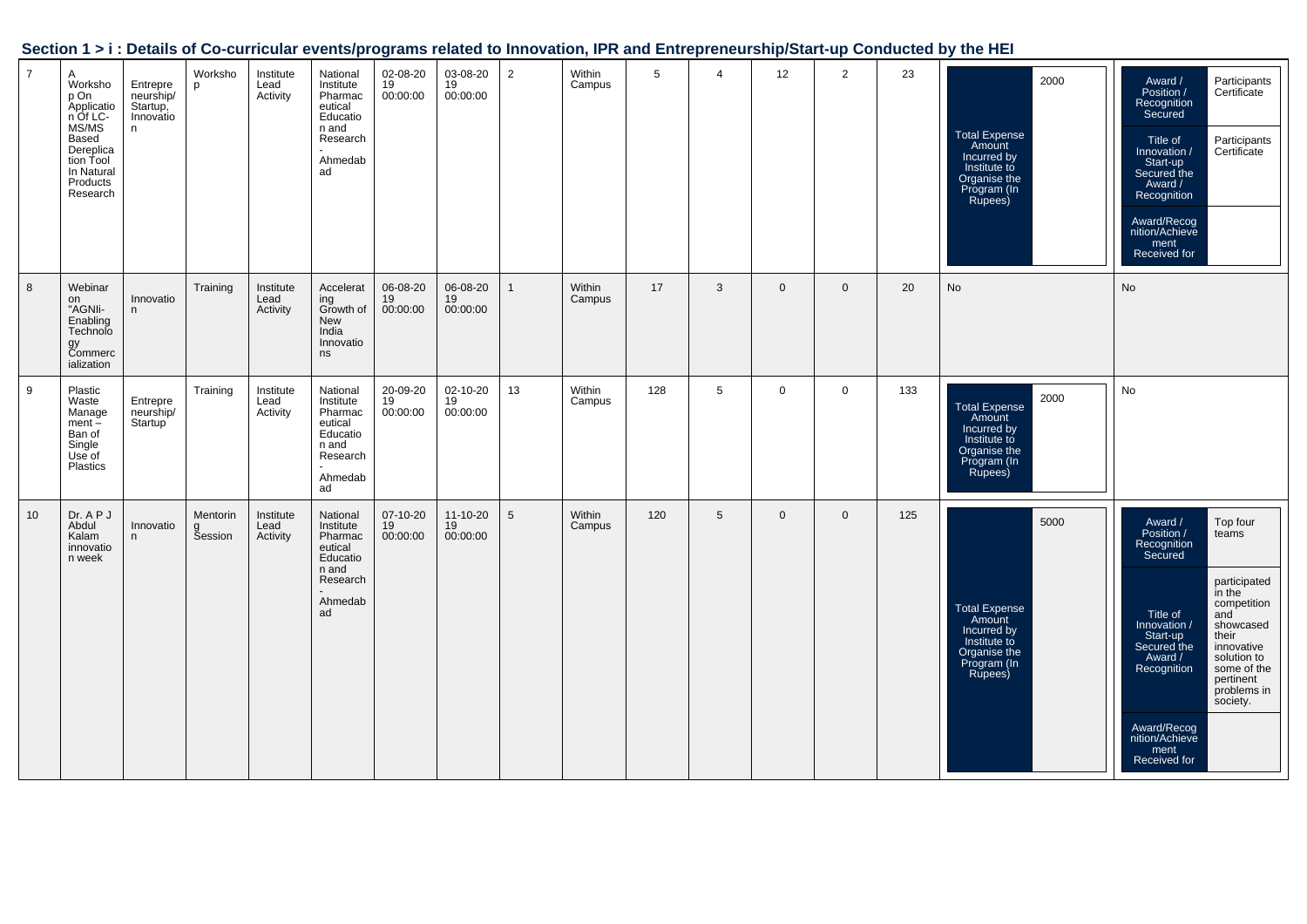|  |  | Section 1 > i : Details of Co-curricular events/programs related to Innovation, IPR and Entrepreneurship/Start-up Conducted by the HEI |
|--|--|----------------------------------------------------------------------------------------------------------------------------------------|
|  |  |                                                                                                                                        |

| $\overline{7}$ | A<br>Worksho<br>p On<br>Applicatio<br>n Of LC-<br>MS/MS<br>Based<br>Dereplica<br>tion Tool<br>In Natural<br>Products<br>Research | Entrepre<br>neurship/<br>Startup,<br>Innovatio<br>n | Worksho<br>p             | Institute<br>Lead<br>Activity | National<br>Institute<br>Pharmac<br>eutical<br>Educatio<br>n and<br>Research<br>Ahmedab<br>ad | 02-08-20<br>19<br>00:00:00 | 03-08-20<br>19<br>00:00:00       | $\overline{2}$ | Within<br>Campus | 5   | 4 | 12             | $\overline{2}$ | 23  | 2000<br><b>Total Expense</b><br>Amount<br>Incurred by<br>Institute to<br>Organise the<br>Program (In<br>Rupees) | Award /<br>Participants<br>Position /<br>Certificate<br>Recognition<br>Secured<br>Title of<br>Participants<br>Certificate<br>Innovation /<br>Start-up<br>Secured the<br>Award /<br>Recognition<br>Award/Recog<br>nition/Achieve<br>ment<br>Received for                                                                                                                  |
|----------------|----------------------------------------------------------------------------------------------------------------------------------|-----------------------------------------------------|--------------------------|-------------------------------|-----------------------------------------------------------------------------------------------|----------------------------|----------------------------------|----------------|------------------|-----|---|----------------|----------------|-----|-----------------------------------------------------------------------------------------------------------------|--------------------------------------------------------------------------------------------------------------------------------------------------------------------------------------------------------------------------------------------------------------------------------------------------------------------------------------------------------------------------|
| 8              | Webinar<br>on<br>"AGNIi-<br>Enabling<br>Technolo<br>gy<br>Commerc<br>ialization                                                  | Innovatio<br>n.                                     | Training                 | Institute<br>Lead<br>Activity | Accelerat<br>ing<br>Growth of<br>New<br>India<br>Innovatio<br>ns                              | 06-08-20<br>19<br>00:00:00 | 06-08-20<br>19<br>00:00:00       | $\mathbf{1}$   | Within<br>Campus | 17  | 3 | $\overline{0}$ | $\mathbf 0$    | 20  | No                                                                                                              | <b>No</b>                                                                                                                                                                                                                                                                                                                                                                |
| 9              | Plastic<br>Waste<br>Manage<br>$ment -$<br>Ban of<br>Single<br>Use of<br>Plastics                                                 | Entrepre<br>neurship/<br>Startup <sup>1</sup>       | Training                 | Institute<br>Lead<br>Activity | National<br>Institute<br>Pharmac<br>eutical<br>Educatio<br>n and<br>Research<br>Ahmedab<br>ad | 20-09-20<br>19<br>00:00:00 | 02-10-20<br>19<br>00:00:00       | 13             | Within<br>Campus | 128 | 5 | $\mathbf 0$    | $\mathbf 0$    | 133 | 2000<br><b>Total Expense</b><br>Amount<br>Incurred by<br>Institute to<br>Organise the<br>Program (In<br>Rupees) | No                                                                                                                                                                                                                                                                                                                                                                       |
| 10             | Dr. A P J<br>Abdul<br>Kalam<br>innovatio<br>n week                                                                               | Innovatio<br>n.                                     | Mentorin<br>g<br>Session | Institute<br>Lead<br>Activity | National<br>Institute<br>Pharmac<br>eutical<br>Educatio<br>n and<br>Research<br>Ahmedab<br>ad | 07-10-20<br>19<br>00:00:00 | $11 - 10 - 20$<br>19<br>00:00:00 | 5              | Within<br>Campus | 120 | 5 | $\overline{0}$ | $\overline{0}$ | 125 | 5000<br><b>Total Expense</b><br>Amount<br>Incurred by<br>Institute to<br>Organise the<br>Program (In<br>Rupees) | Top four<br>Award /<br>Position /<br>teams<br>Recognition<br>Secured<br>participated<br>in the<br>competition<br>Title of<br>and<br>showcased<br>Innovation /<br>Start-up<br>their<br>Secured the<br>innovative<br>solution to<br>Award /<br>some of the<br>Recognition<br>pertinent<br>problems in<br>society.<br>Award/Recog<br>nition/Achieve<br>ment<br>Received for |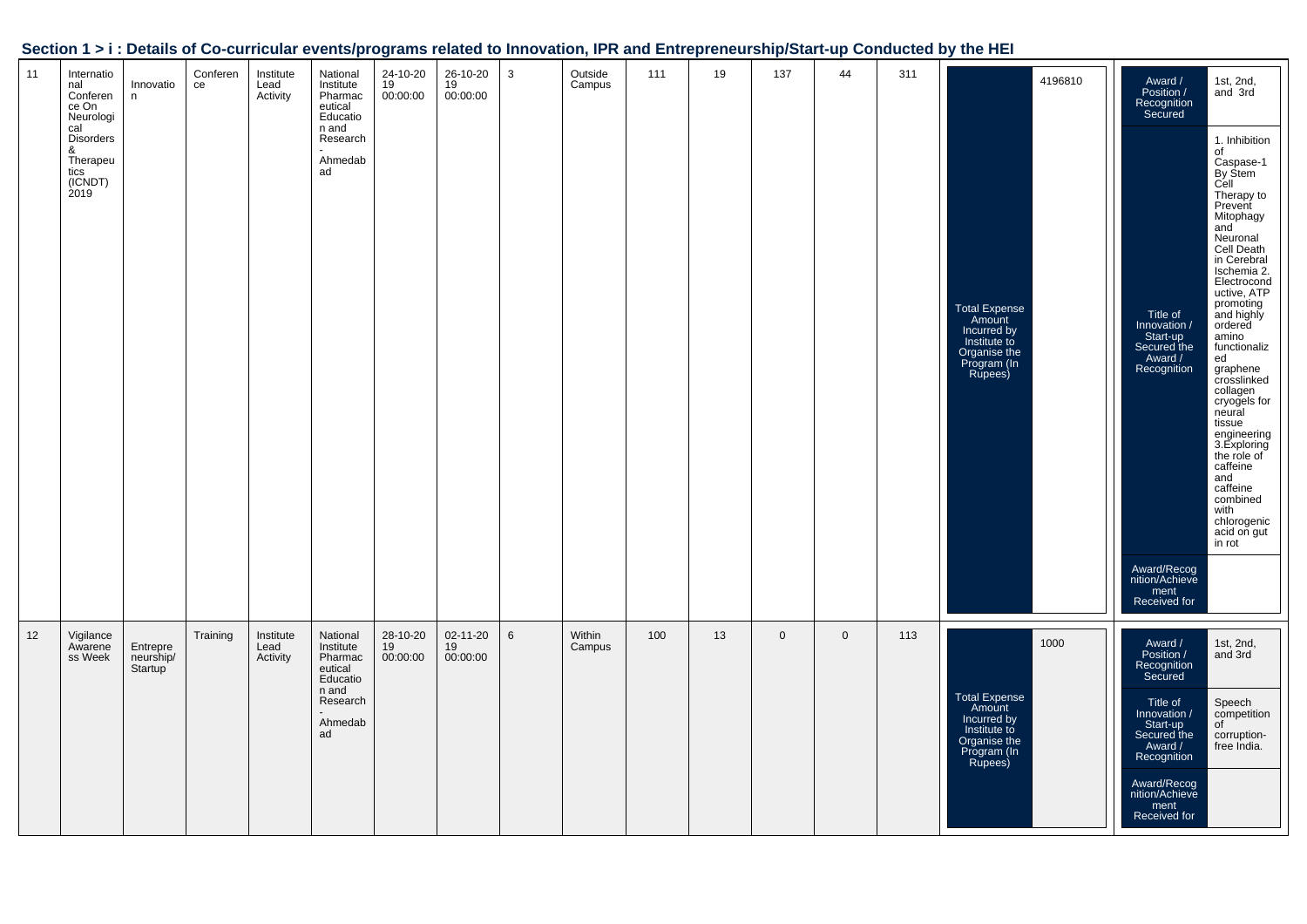| 11 | Internatio<br>nal<br>Conferen<br>ce On<br>Neurologi<br>cal<br><b>Disorders</b><br>&<br>Therapeu<br>tics<br>(ICNDT)<br>2019 | Innovatio<br>n                   | Conferen<br>ce | Institute<br>Lead<br>Activity | National<br>Institute<br>Pharmac<br>eutical<br>Educatio<br>n and<br>Research<br>Ahmedab<br>ad | 24-10-20<br>19<br>00:00:00 | 26-10-20<br>19<br>00:00:00 | 3               | Outside<br>Campus | 111 | 19 | 137         | 44          | 311 | 4196810<br><b>Total Expense</b><br>Amount<br>Incurred by<br>Institute to<br>Organise the<br>Program (In<br>Rupees) | Award /<br>Position /<br>1st, 2nd,<br>and 3rd<br>Recognition<br>Secured<br>1. Inhibition<br>of<br>Caspase-1<br>By Stem<br>Cell<br>Therapy to<br>Prevent<br>Mitophagy<br>and<br>Neuronal<br>Cell Death<br>in Cerebral<br>Ischemia 2.<br>Electrocond<br>uctive, ATP<br>promoting<br>Title of<br>and highly<br>Innovation /<br>ordered<br>Start-up<br>amino<br>Secured the<br>functionaliz<br>Award /<br>ed<br>Recognition<br>graphene<br>crosslinked<br>collagen<br>cryogels for<br>neural<br>tissue<br>engineering<br>3. Exploring<br>the role of<br>caffeine<br>and<br>caffeine<br>combined<br>with<br>chlorogenic<br>acid on gut<br>in rot<br>Award/Recog<br>nition/Achieve<br>ment<br>Received for |
|----|----------------------------------------------------------------------------------------------------------------------------|----------------------------------|----------------|-------------------------------|-----------------------------------------------------------------------------------------------|----------------------------|----------------------------|-----------------|-------------------|-----|----|-------------|-------------|-----|--------------------------------------------------------------------------------------------------------------------|------------------------------------------------------------------------------------------------------------------------------------------------------------------------------------------------------------------------------------------------------------------------------------------------------------------------------------------------------------------------------------------------------------------------------------------------------------------------------------------------------------------------------------------------------------------------------------------------------------------------------------------------------------------------------------------------------|
| 12 | Vigilance<br>Awarene<br>ss Week                                                                                            | Entrepre<br>neurship/<br>Startup | Training       | Institute<br>Lead<br>Activity | National<br>Institute<br>Pharmac<br>eutical<br>Educatio<br>n and<br>Research<br>Ahmedab<br>ad | 28-10-20<br>19<br>00:00:00 | 02-11-20<br>19<br>00:00:00 | $6\phantom{1}6$ | Within<br>Campus  | 100 | 13 | $\mathbf 0$ | $\mathbf 0$ | 113 | 1000<br>Total Expense<br>Amount<br>Incurred by<br>Institute to<br>Organise the<br>Program (In<br>Rupees)           | 1st, 2nd,<br>and 3rd<br>Award /<br>Position /<br>Recognition<br>Secured<br>Title of<br>Speech<br>competition<br>Innovation /<br>of<br>Start-up<br>Secured the<br>corruption-<br>free India.<br>Award /<br>Recognition<br>Award/Recog<br>nition/Achieve<br>ment<br>Received for                                                                                                                                                                                                                                                                                                                                                                                                                       |

### **Section 1 > i : Details of Co-curricular events/programs related to Innovation, IPR and Entrepreneurship/Start-up Conducted by the HEI**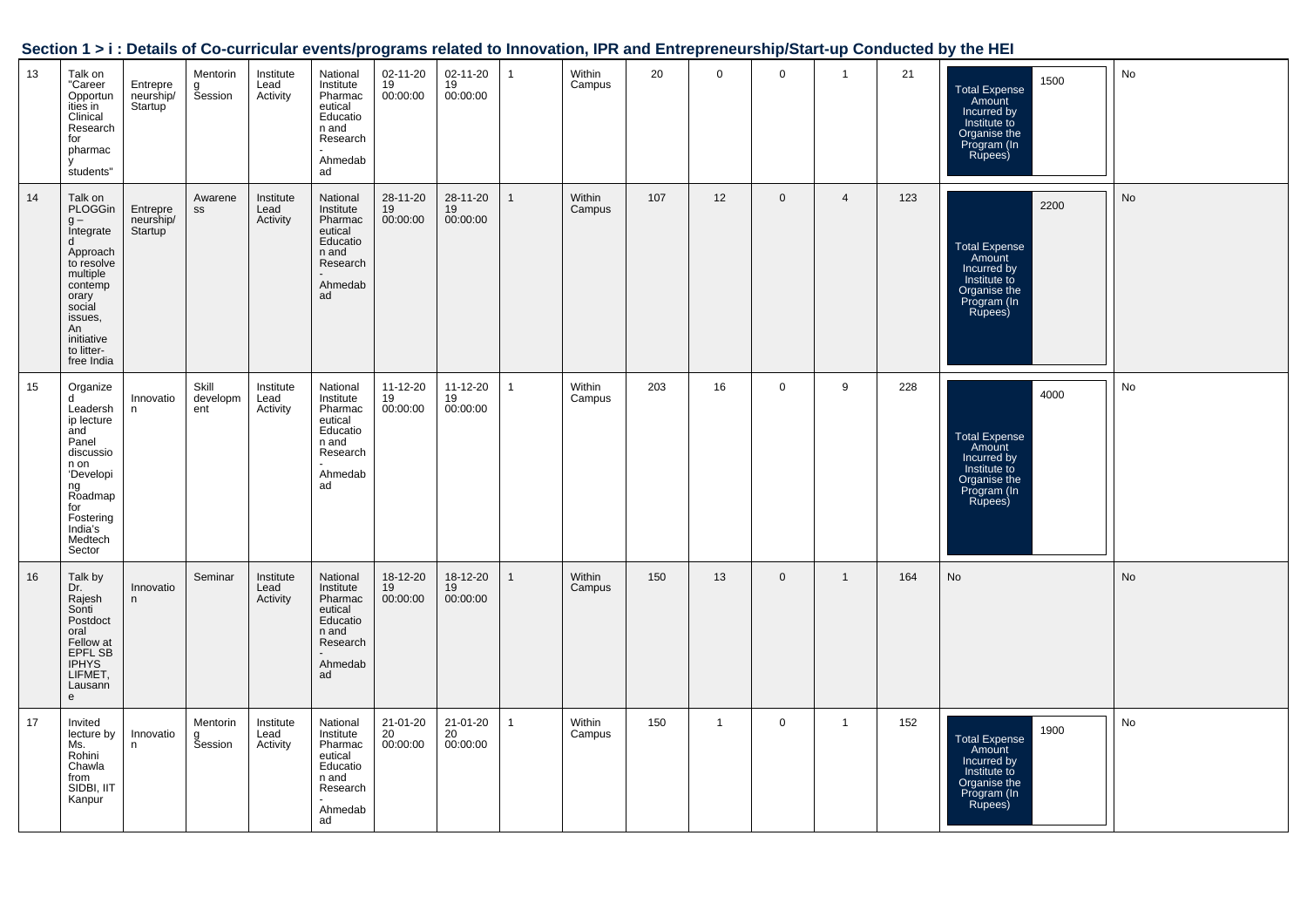| Section 1 > i : Details of Co-curricular events/programs related to Innovation, IPR and Entrepreneurship/Start-up Conducted by the HEI |  |
|----------------------------------------------------------------------------------------------------------------------------------------|--|
|                                                                                                                                        |  |

| 13 | Talk on<br>"Career<br>Opportun<br>ities in<br>Clinical<br>Research<br>for<br>pharmac<br>students"                                                                          | Entrepre<br>neurship/<br>Startup <sup>1</sup> | Mentorin<br>g<br>Session | Institute<br>Lead<br>Activity | National<br>Institute<br>Pharmac<br>eutical<br>Educatio<br>n and<br>Research<br>Ahmedab<br>ad | 02-11-20<br>19<br>00:00:00       | 02-11-20<br>19<br>00:00:00 | $\mathbf{1}$ | Within<br>Campus | 20  | $\mathsf{O}$ | $\mathbf 0$    | $\overline{1}$ | 21  | 1500<br><b>Total Expense</b><br>Amount<br>Incurred by<br>Institute to<br>Organise the<br>Program (In<br>Rupees) | No |
|----|----------------------------------------------------------------------------------------------------------------------------------------------------------------------------|-----------------------------------------------|--------------------------|-------------------------------|-----------------------------------------------------------------------------------------------|----------------------------------|----------------------------|--------------|------------------|-----|--------------|----------------|----------------|-----|-----------------------------------------------------------------------------------------------------------------|----|
| 14 | Talk on<br>PLOGGin<br>g -<br>Integrate<br>d<br>Approach<br>to resolve<br>multiple<br>contemp<br>orary<br>social<br>issues,<br>An<br>initiative<br>to litter-<br>free India | Entrepre<br>neurship/<br>Startup              | Awarene<br>SS            | Institute<br>Lead<br>Activity | National<br>Institute<br>Pharmac<br>eutical<br>Educatio<br>n and<br>Research<br>Ahmedab<br>ad | 28-11-20<br>19<br>00:00:00       | 28-11-20<br>19<br>00:00:00 | $\mathbf{1}$ | Within<br>Campus | 107 | 12           | $\overline{0}$ | $\overline{4}$ | 123 | 2200<br>Total Expense<br>Amount<br>Incurred by<br>Institute to<br>Organise the<br>Program (In<br>Rupees)        | No |
| 15 | Organize<br><sub>d</sub><br>Leadersh<br>ip lecture<br>and<br>Panel<br>discussio<br>n on<br>'Developi<br>ng<br>Roadmap<br>for<br>Fostering<br>India's<br>Medtech<br>Sector  | Innovatio<br>n                                | Skill<br>developm<br>ent | Institute<br>Lead<br>Activity | National<br>Institute<br>Pharmac<br>eutical<br>Educatio<br>n and<br>Research<br>Ahmedab<br>ad | 11-12-20<br>19<br>00:00:00       | 11-12-20<br>19<br>00:00:00 | $\mathbf{1}$ | Within<br>Campus | 203 | 16           | $\mathbf{0}$   | 9              | 228 | 4000<br><b>Total Expense</b><br>Amount<br>Incurred by<br>Institute to<br>Organise the<br>Program (In<br>Rupees) | No |
| 16 | Talk by<br>Dr.<br>Rajesh<br>Sonti<br>Postdoct<br>oral<br>Fellow at<br>EPFL SB<br><b>IPHYS</b><br>LIFMET,<br>Lausann<br>e                                                   | Innovatio<br>n                                | Seminar                  | Institute<br>Lead<br>Activity | National<br>Institute<br>Pharmac<br>eutical<br>Educatio<br>n and<br>Research<br>Ahmedab<br>ad | 18-12-20<br>19<br>00:00:00       | 18-12-20<br>19<br>00:00:00 | $\mathbf{1}$ | Within<br>Campus | 150 | 13           | $\mathbf 0$    | $\mathbf{1}$   | 164 | No                                                                                                              | No |
| 17 | Invited<br>lecture by<br>Ms.<br>Rohini<br>Chawla<br>from<br>SIDBI, IIT<br>Kanpur                                                                                           | Innovatio<br>n                                | Mentorin<br>g<br>Session | Institute<br>Lead<br>Activity | National<br>Institute<br>Pharmac<br>eutical<br>Educatio<br>n and<br>Research<br>Ahmedab<br>ad | $21 - 01 - 20$<br>20<br>00:00:00 | 21-01-20<br>20<br>00:00:00 | $\mathbf{1}$ | Within<br>Campus | 150 | $\mathbf{1}$ | $\mathbf{0}$   | $\mathbf{1}$   | 152 | 1900<br><b>Total Expense</b><br>Amount<br>Incurred by<br>Institute to<br>Organise the<br>Program (In<br>Rupees) | No |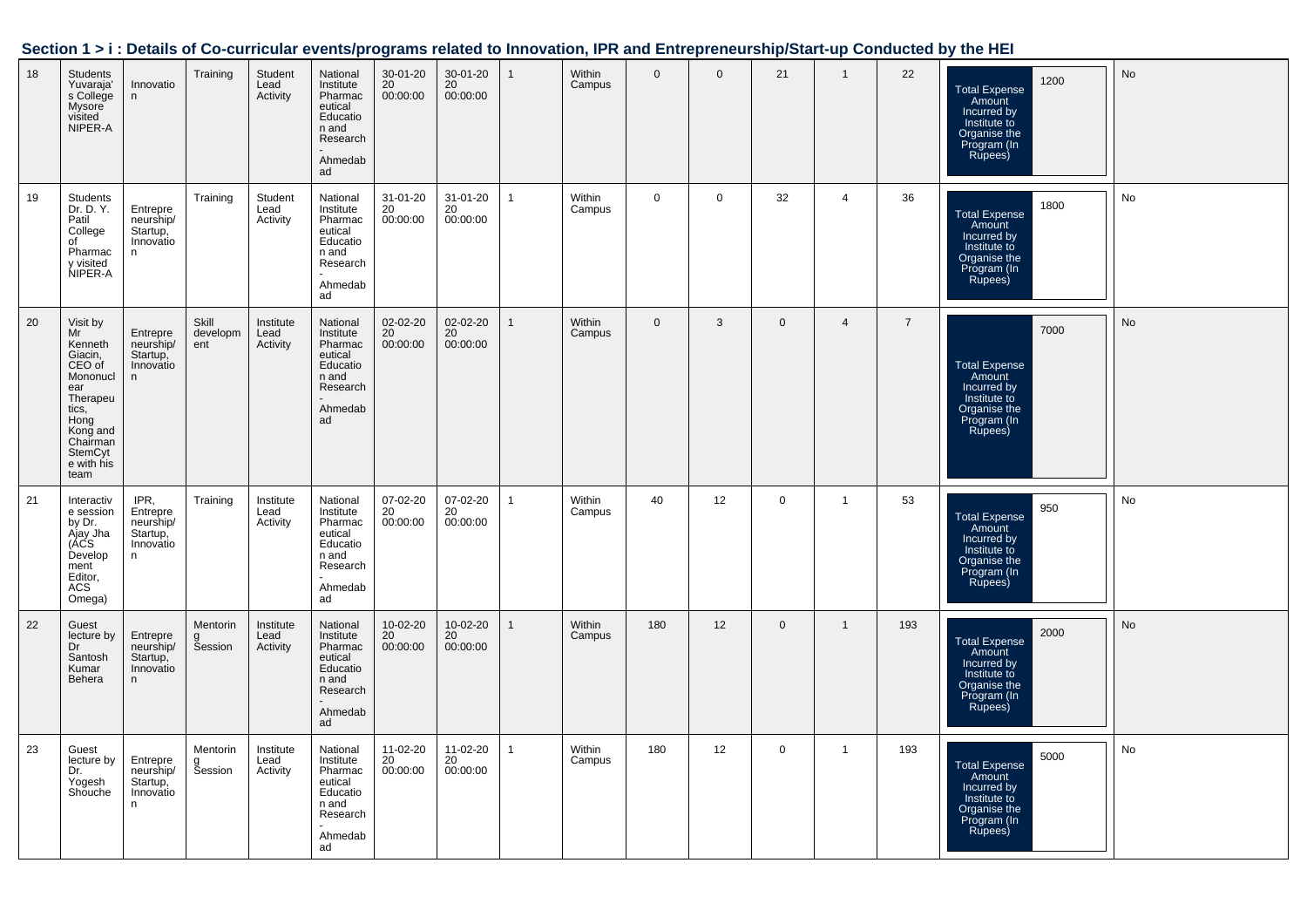| Section 1 > i : Details of Co-curricular events/programs related to Innovation, IPR and Entrepreneurship/Start-up Conducted by the HEI |  |  |
|----------------------------------------------------------------------------------------------------------------------------------------|--|--|
|                                                                                                                                        |  |  |

| 18 | <b>Students</b><br>Yuvaraja'<br>s College<br>Mysore<br>visited<br>NIPER-A                                                                               | Innovatio<br>n                                               | Training                 | Student<br>Lead<br>Activity   | National<br>Institute<br>Pharmac<br>eutical<br>Educatio<br>n and<br>Research<br>Ahmedab<br>ad | 30-01-20<br>20<br>00:00:00 | 30-01-20<br>20<br>00:00:00 | $\mathbf{1}$ | Within<br>Campus | $\mathbf{0}$ | $\mathbf{0}$ | 21           | $\overline{1}$ | 22             | 1200<br><b>Total Expense</b><br>Amount<br>Incurred by<br>Institute to<br>Organise the<br>Program (In<br>Rupees) | No        |
|----|---------------------------------------------------------------------------------------------------------------------------------------------------------|--------------------------------------------------------------|--------------------------|-------------------------------|-----------------------------------------------------------------------------------------------|----------------------------|----------------------------|--------------|------------------|--------------|--------------|--------------|----------------|----------------|-----------------------------------------------------------------------------------------------------------------|-----------|
| 19 | <b>Students</b><br>Dr. D. Y.<br>Patil<br>College<br>of<br>Pharmac<br>y visited<br>NIPER-A                                                               | Entrepre<br>neurship/<br>Startup,<br>Innovatio<br>n          | Training                 | Student<br>Lead<br>Activity   | National<br>Institute<br>Pharmac<br>eutical<br>Educatio<br>n and<br>Research<br>Ahmedab<br>ad | 31-01-20<br>20<br>00:00:00 | 31-01-20<br>20<br>00:00:00 | $\mathbf{1}$ | Within<br>Campus | $\mathbf 0$  | $\mathbf 0$  | 32           | $\overline{4}$ | 36             | 1800<br><b>Total Expense</b><br>Amount<br>Incurred by<br>Institute to<br>Organise the<br>Program (In<br>Rupees) | No        |
| 20 | Visit by<br>Mr<br>Kenneth<br>Giacin,<br>CEO of<br>Mononucl<br>ear<br>Therapeu<br>tics,<br>Hong<br>Kong and<br>Chairman<br>StemCyt<br>e with his<br>team | Entrepre<br>neurship/<br>Startup,<br>Innovatio<br>n          | Skill<br>developm<br>ent | Institute<br>Lead<br>Activity | National<br>Institute<br>Pharmac<br>eutical<br>Educatio<br>n and<br>Research<br>Ahmedab<br>ad | 02-02-20<br>20<br>00:00:00 | 02-02-20<br>20<br>00:00:00 | $\mathbf{1}$ | Within<br>Campus | $\mathbf 0$  | 3            | $\mathbf 0$  | $\overline{4}$ | $\overline{7}$ | 7000<br>Total Expense<br>Amount<br>Incurred by<br>Institute to<br>Organise the<br>Program (In<br>Rupees)        | No        |
| 21 | Interactiv<br>e session<br>by Dr.<br>Ajay Jha<br>(ACS<br>Develop<br>ment<br>Editor,<br>ACS<br>Omega)                                                    | IPR,<br>Entrepre<br>neurship/<br>Startup,<br>Innovatio<br>n. | Training                 | Institute<br>Lead<br>Activity | National<br>Institute<br>Pharmac<br>eutical<br>Educatio<br>n and<br>Research<br>Ahmedab<br>ad | 07-02-20<br>20<br>00:00:00 | 07-02-20<br>20<br>00:00:00 | $\mathbf{1}$ | Within<br>Campus | 40           | 12           | $\mathbf 0$  | $\mathbf{1}$   | 53             | 950<br><b>Total Expense</b><br>Amount<br>Incurred by<br>Institute to<br>Organise the<br>Program (In<br>Rupees)  | No        |
| 22 | Guest<br>lecture by<br>Dr<br>Santosh<br>Kumar<br>Behera                                                                                                 | Entrepre<br>neurship/<br>Startup,<br>Innovatio<br>n.         | Mentorin<br>g<br>Session | Institute<br>Lead<br>Activity | National<br>Institute<br>Pharmac<br>eutical<br>Educatio<br>n and<br>Research<br>Ahmedab<br>ad | 10-02-20<br>20<br>00:00:00 | 10-02-20<br>20<br>00:00:00 |              | Within<br>Campus | 180          | 12           | $\mathbf{0}$ | $\overline{1}$ | 193            | 2000<br><b>Total Expense</b><br>Amount<br>Incurred by<br>Institute to<br>Organise the<br>Program (In<br>Rupees) | <b>No</b> |
| 23 | Guest<br>lecture by<br>Dr.<br>Yogesh<br>Shouche                                                                                                         | Entrepre<br>neurship/<br>Startup,<br>Innovatio<br>n          | Mentorin<br>g<br>Session | Institute<br>Lead<br>Activity | National<br>Institute<br>Pharmac<br>eutical<br>Educatio<br>n and<br>Research<br>Ahmedab<br>ad | 11-02-20<br>20<br>00:00:00 | 11-02-20<br>20<br>00:00:00 | $\mathbf{1}$ | Within<br>Campus | 180          | 12           | $\mathbf 0$  | $\overline{1}$ | 193            | 5000<br><b>Total Expense</b><br>Amount<br>Incurred by<br>Institute to<br>Organise the<br>Program (In<br>Rupees) | No        |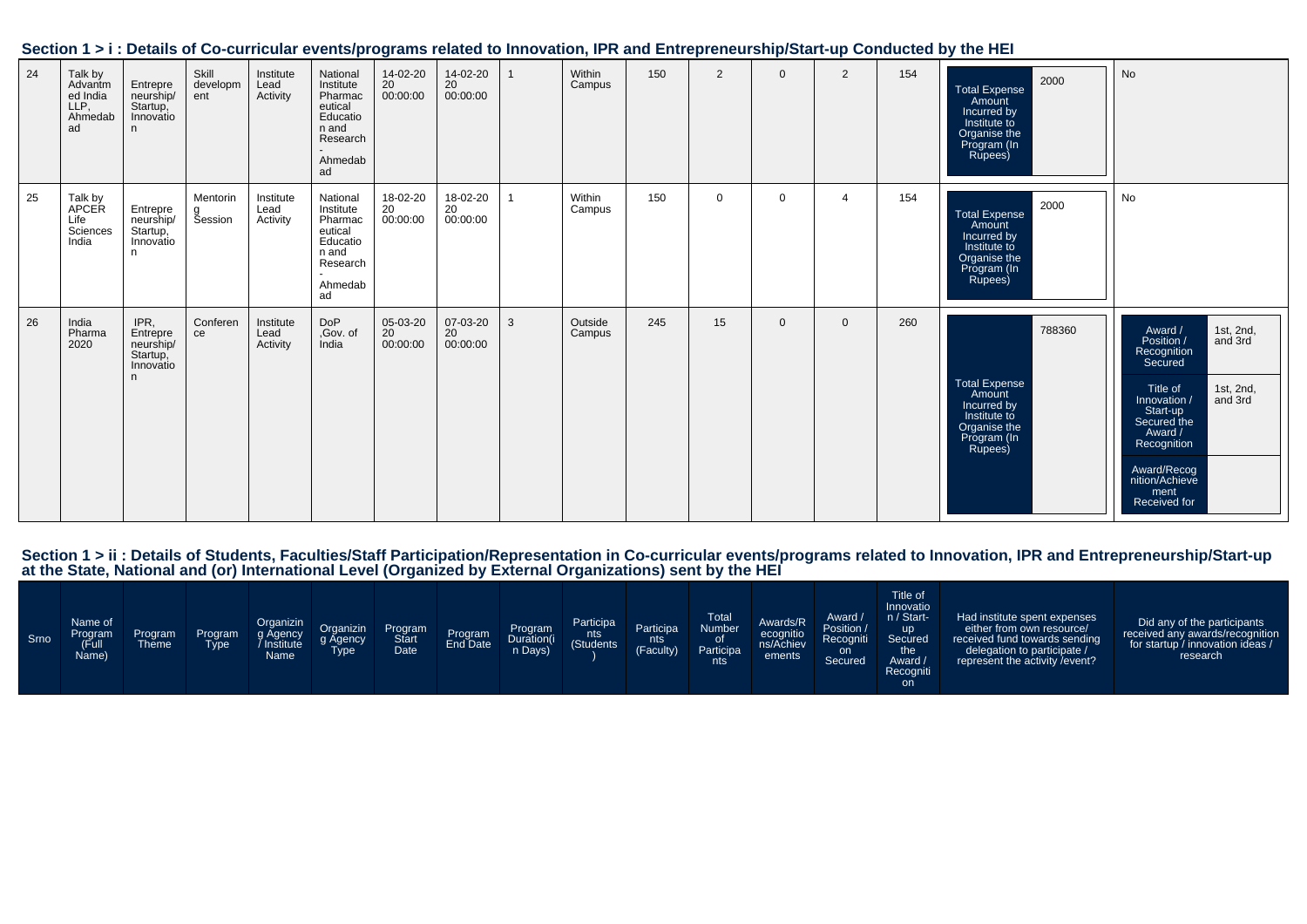|  | Section 1 > i : Details of Co-curricular events/programs related to Innovation, IPR and Entrepreneurship/Start-up Conducted by the HEI |  |
|--|----------------------------------------------------------------------------------------------------------------------------------------|--|
|  |                                                                                                                                        |  |

| 24 | Talk by<br>Advantm<br>ed India<br>LLP,<br>Ahmedab<br>ad | Entrepre<br>neurship/<br>Startup,<br>Innovatio<br>n.        | Skill<br>developm<br>ent   | Institute<br>Lead<br>Activity | National<br>Institute<br>Pharmac<br>eutical<br>Educatio<br>n and<br>Research<br>Ahmedab<br>ad | 14-02-20<br>20<br>00:00:00       | 14-02-20<br>20<br>00:00:00 |   | Within<br>Campus  | 150 | 2        | $\Omega$     | 2              | 154 | 2000<br><b>Total Expense</b><br>Amount<br>Incurred by<br>Institute to<br>Organise the<br>Program (In<br>Rupees)   | No                                                                                                                                                                                                                                        |
|----|---------------------------------------------------------|-------------------------------------------------------------|----------------------------|-------------------------------|-----------------------------------------------------------------------------------------------|----------------------------------|----------------------------|---|-------------------|-----|----------|--------------|----------------|-----|-------------------------------------------------------------------------------------------------------------------|-------------------------------------------------------------------------------------------------------------------------------------------------------------------------------------------------------------------------------------------|
| 25 | Talk by<br>APCER<br>Life<br>Sciences<br>India           | Entrepre<br>neurship/<br>Startup,<br>Innovatio<br>n         | Mentorin<br><b>Šession</b> | Institute<br>Lead<br>Activity | National<br>Institute<br>Pharmac<br>eutical<br>Educatio<br>n and<br>Research<br>Ahmedab<br>ad | 18-02-20<br>$20 - 7$<br>00:00:00 | 18-02-20<br>20<br>00:00:00 |   | Within<br>Campus  | 150 | $\Omega$ | $\Omega$     | $\overline{4}$ | 154 | 2000<br><b>Total Expense</b><br>Amount<br>Incurred by<br>Institute to<br>Organise the<br>Program (In<br>Rupees)   | No                                                                                                                                                                                                                                        |
| 26 | India<br>Pharma<br>2020                                 | IPR,<br>Entrepre<br>neurship/<br>Startup,<br>Innovatio<br>n | Conferen<br>ce             | Institute<br>Lead<br>Activity | <b>DoP</b><br>,Gov. of<br>India                                                               | 05-03-20<br>20<br>00:00:00       | 07-03-20<br>20<br>00:00:00 | 3 | Outside<br>Campus | 245 | 15       | $\mathbf{0}$ | $\Omega$       | 260 | 788360<br><b>Total Expense</b><br>Amount<br>Incurred by<br>Institute to<br>Organise the<br>Program (In<br>Rupees) | 1st, 2nd,<br>Award /<br>and 3rd<br>Position /<br>Recognition<br>Secured<br>Title of<br>1st, 2nd,<br>and 3rd<br>Innovation /<br>Start-up<br>Secured the<br>Award /<br>Recognition<br>Award/Recog<br>nition/Achieve<br>ment<br>Received for |

Section 1 > ii : Details of Students, Faculties/Staff Participation/Representation in Co-curricular events/programs related to Innovation, IPR and Entrepreneurship/Start-up<br>at the State, National and (or) International Lev

| Srno | Name of<br>Program<br>(Full<br>Name) | Program<br><b>Theme</b> | Program<br><b>Type</b> | Organizin<br>g Agency<br>Institute<br>Name | Organizin<br>g Agency<br><b>Type</b> | Program<br>Date | Program<br>End Date | Program<br>Duration(i<br>n Days) | Participa<br>nts<br>(Students | Participa<br>nts<br>(Faculty) | Total<br>Number<br><b>Participa</b><br>nts | Awards/R<br>ecognitio<br>ns/Achiev<br>ements | Award /<br>Position /<br>Recogniti<br>on<br>Secured | Title of<br>Innovatio<br>n / Start-<br><b>up</b><br>Secured<br>the<br>Award /<br>Recogniti<br><b>on</b> | Had institute spent expenses<br>either from own resource/<br>received fund towards sending<br>delegation to participate /<br>represent the activity / event? | Did any of the participants<br>received any awards/recognition<br>for startup / innovation ideas /<br>research |
|------|--------------------------------------|-------------------------|------------------------|--------------------------------------------|--------------------------------------|-----------------|---------------------|----------------------------------|-------------------------------|-------------------------------|--------------------------------------------|----------------------------------------------|-----------------------------------------------------|---------------------------------------------------------------------------------------------------------|--------------------------------------------------------------------------------------------------------------------------------------------------------------|----------------------------------------------------------------------------------------------------------------|
|------|--------------------------------------|-------------------------|------------------------|--------------------------------------------|--------------------------------------|-----------------|---------------------|----------------------------------|-------------------------------|-------------------------------|--------------------------------------------|----------------------------------------------|-----------------------------------------------------|---------------------------------------------------------------------------------------------------------|--------------------------------------------------------------------------------------------------------------------------------------------------------------|----------------------------------------------------------------------------------------------------------------|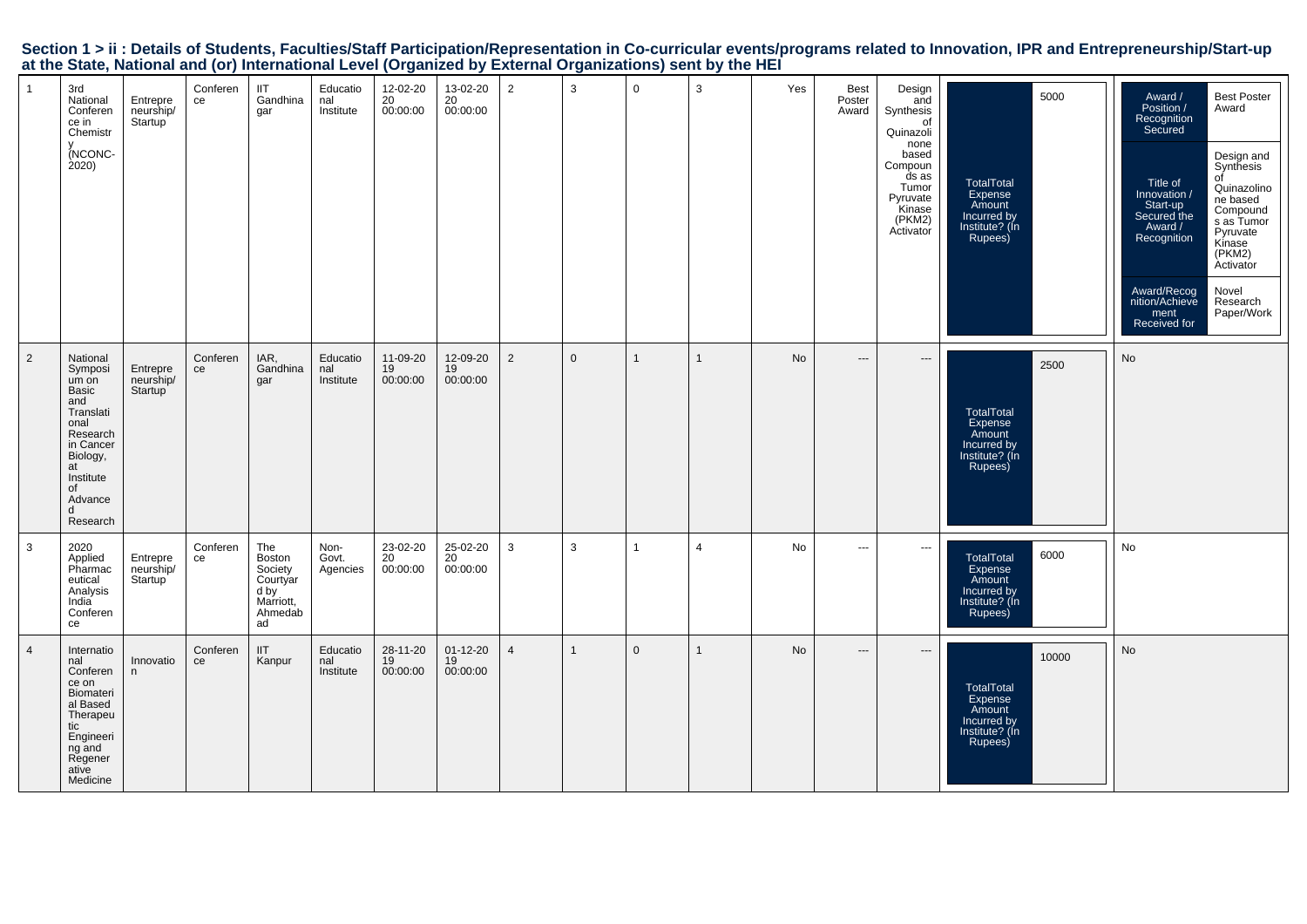| Section 1 > ii : Details of Students, Faculties/Staff Participation/Representation in Co-curricular events/programs related to Innovation, IPR and Entrepreneurship/Start-up |  |
|------------------------------------------------------------------------------------------------------------------------------------------------------------------------------|--|
| at the State, National and (or) International Level (Organized by External Organizations) sent by the HEI                                                                    |  |

| $\mathbf{1}$   | 3rd<br>National<br>Conferen<br>ce in<br>Chemistr<br>(NCONC-<br>2020)                                                                                        | Entrepre<br>neurship/<br>Startup | Conferen<br>ce | <b>IIT</b><br>Gandhina<br>gar                                              | Educatio<br>nal<br>Institute | 12-02-20<br>20<br>00:00:00 | 13-02-20<br>20<br>00:00:00       | $\overline{2}$ | 3            | $\mathbf 0$  | 3              | Yes       | <b>Best</b><br>Poster<br>Award | Design<br>and<br>Synthesis<br>of<br>Quinazoli<br>none<br>based<br>Compoun<br>ds as<br>Tumor<br>Pyruvate<br>Kinase<br>(PKM2)<br>Activator | 5000<br>TotalTotal<br>Expense<br>Amount<br>Incurred by<br>Institute? (In<br>Rupees)        | Award /<br>Position /<br>Recognition<br>Secured<br>Title of<br>Innovation /<br>Start-up<br>Secured the<br>Award /<br>Recognition<br>Award/Recog<br>nition/Achieve<br>ment<br>Received for | <b>Best Poster</b><br>Award<br>Design and<br>Synthesis<br>$\sigma$ f<br>Quinazolino<br>ne based<br>Compound<br>s as Tumor<br>Pyruvate<br>Kinase<br>(PKM2)<br>Activator<br>Novel<br>Research<br>Paper/Work |
|----------------|-------------------------------------------------------------------------------------------------------------------------------------------------------------|----------------------------------|----------------|----------------------------------------------------------------------------|------------------------------|----------------------------|----------------------------------|----------------|--------------|--------------|----------------|-----------|--------------------------------|------------------------------------------------------------------------------------------------------------------------------------------|--------------------------------------------------------------------------------------------|-------------------------------------------------------------------------------------------------------------------------------------------------------------------------------------------|-----------------------------------------------------------------------------------------------------------------------------------------------------------------------------------------------------------|
| $\overline{2}$ | National<br>Symposi<br>um on<br>Basic<br>and<br>Translati<br>onal<br>Research<br>in Cancer<br>Biology,<br>at<br>Institute<br>of<br>Advance<br>d<br>Research | Entrepre<br>neurship/<br>Startup | Conferen<br>ce | IAR,<br>Gandhina<br>gar                                                    | Educatio<br>nal<br>Institute | 11-09-20<br>19<br>00:00:00 | 12-09-20<br>19<br>00:00:00       | $\overline{2}$ | $\mathbf{0}$ | $\mathbf{1}$ | $\mathbf{1}$   | No        | ---                            | $\cdots$                                                                                                                                 | 2500<br>TotalTotal<br>Expense<br>Amount<br>Incurred by<br>Institute? (In<br>Rupees)        | No                                                                                                                                                                                        |                                                                                                                                                                                                           |
| 3              | 2020<br>Applied<br>Pharmac<br>eutical<br>Analysis<br>India<br>Conferen<br>ce                                                                                | Entrepre<br>neurship/<br>Startup | Conferen<br>ce | The<br>Boston<br>Society<br>Courtyar<br>d by<br>Marriott,<br>Ahmedab<br>ad | Non-<br>Govt.<br>Agencies    | 23-02-20<br>20<br>00:00:00 | 25-02-20<br>20<br>00:00:00       | $\mathbf{3}$   | 3            | $\mathbf{1}$ | $\overline{4}$ | No        | $\scriptstyle\cdots$           | $\scriptstyle\cdots$                                                                                                                     | 6000<br><b>TotalTotal</b><br>Expense<br>Amount<br>Incurred by<br>Institute? (Ín<br>Rupees) | No                                                                                                                                                                                        |                                                                                                                                                                                                           |
| $\overline{4}$ | Internatio<br>nal<br>Conferen<br>ce on<br>Biomateri<br>al Based<br>Therapeu<br>tic<br>Engineeri<br>ng and<br>Regener<br>ative<br>Medicine                   | Innovatio<br>n                   | Conferen<br>ce | <b>IIT</b><br>Kanpur                                                       | Educatio<br>nal<br>Institute | 28-11-20<br>19<br>00:00:00 | $01 - 12 - 20$<br>19<br>00:00:00 | $\overline{4}$ |              | $\mathbf 0$  | 1              | <b>No</b> | ---                            | ---                                                                                                                                      | 10000<br>TotalTotal<br>Expense<br>Amount<br>Incurred by<br>Institute? (In<br>Rupees)       | No                                                                                                                                                                                        |                                                                                                                                                                                                           |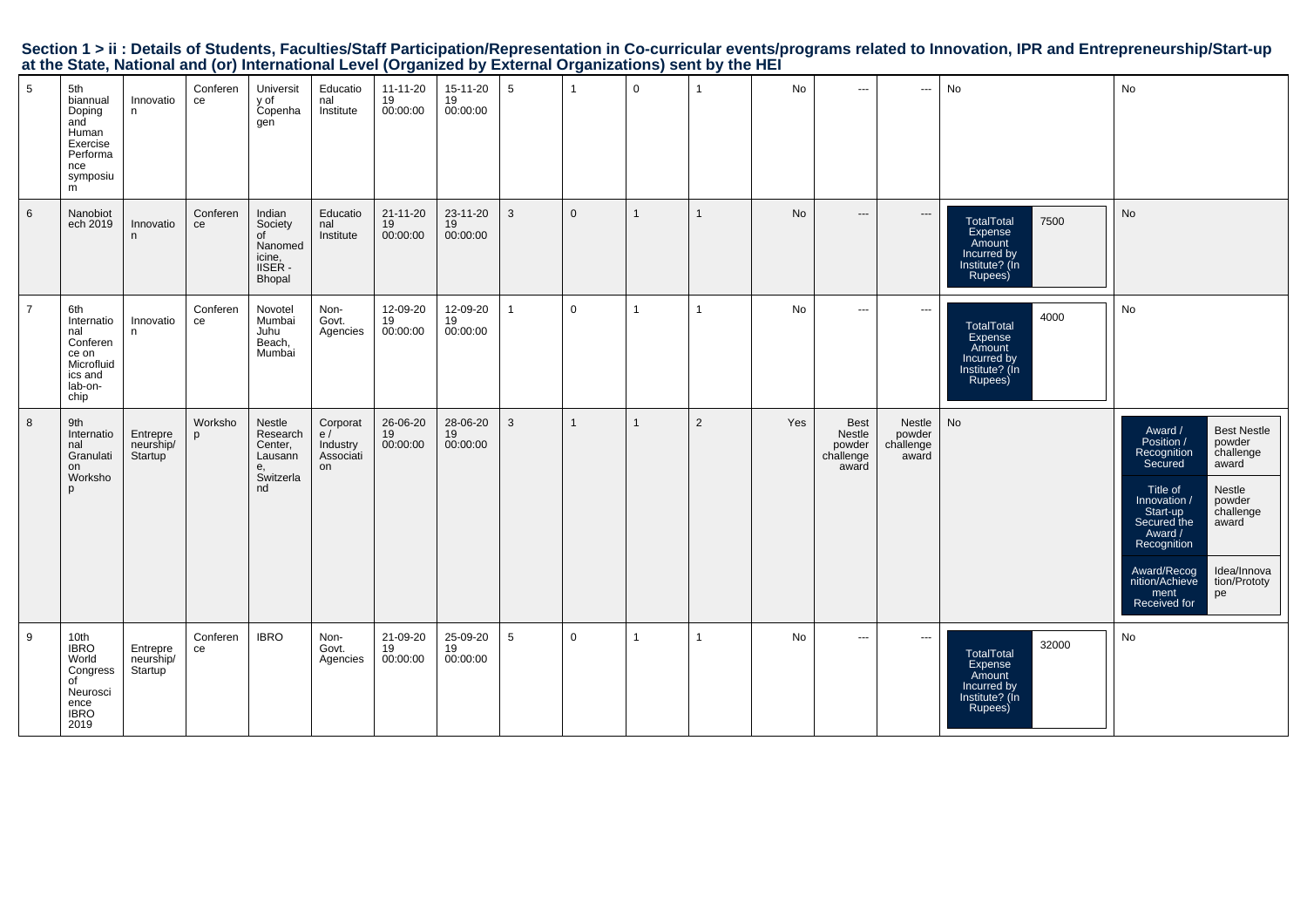| Section 1 > ii : Details of Students, Faculties/Staff Participation/Representation in Co-curricular events/programs related to Innovation, IPR and Entrepreneurship/Start-up |  |  |  |
|------------------------------------------------------------------------------------------------------------------------------------------------------------------------------|--|--|--|
| at the State, National and (or) International Level (Organized by External Organizations) sent by the HEI                                                                    |  |  |  |

| 5              | 5th<br>biannual<br>Doping<br>and<br>Human<br>Exercise<br>Performa<br>nce<br>symposiu<br>m | Innovatio<br>n                   | Conferen<br>ce | Universit<br>y of<br>Copenha<br>gen                               | Educatio<br>nal<br>Institute                  | 11-11-20<br>19<br>00:00:00       | 15-11-20<br>19<br>00:00:00 | $5\phantom{.0}$ | -1             | $\mathbf 0$  | $\mathbf{1}$   | No        | $\hspace{0.05cm} \ldots$                              | $\hspace{0.05cm} \cdots$               | No                                                                                                | No                                                                                                                                                                                                                                                                                                                             |
|----------------|-------------------------------------------------------------------------------------------|----------------------------------|----------------|-------------------------------------------------------------------|-----------------------------------------------|----------------------------------|----------------------------|-----------------|----------------|--------------|----------------|-----------|-------------------------------------------------------|----------------------------------------|---------------------------------------------------------------------------------------------------|--------------------------------------------------------------------------------------------------------------------------------------------------------------------------------------------------------------------------------------------------------------------------------------------------------------------------------|
| 6              | Nanobiot<br>ech 2019                                                                      | Innovatio<br>n                   | Conferen<br>ce | Indian<br>Society<br>of<br>Nanomed<br>icine,<br>IISER -<br>Bhopal | Educatio<br>nal<br>Institute                  | $21 - 11 - 20$<br>19<br>00:00:00 | 23-11-20<br>19<br>00:00:00 | $\mathbf{3}$    | $\mathbf{0}$   | $\mathbf{1}$ | $\overline{1}$ | <b>No</b> | $\hspace{0.05cm} \ldots$                              | $\hspace{0.05cm} \cdots$               | <b>TotalTotal</b><br>7500<br><b>Expense</b><br>Amount<br>Incurred by<br>Institute? (In<br>Rupees) | No                                                                                                                                                                                                                                                                                                                             |
| $\overline{7}$ | 6th<br>Internatio<br>nal<br>Conferen<br>ce on<br>Microfluid<br>ics and<br>lab-on-<br>chip | Innovatio<br>n                   | Conferen<br>ce | Novotel<br>Mumbai<br>Juhu<br>Beach,<br>Mumbai                     | Non-<br>Govt.<br>Agencies                     | 12-09-20<br>19<br>00:00:00       | 12-09-20<br>19<br>00:00:00 | $\mathbf{1}$    | $\mathbf 0$    | $\mathbf{1}$ | $\mathbf{1}$   | <b>No</b> | $\sim$ $\sim$ $\sim$                                  | $\hspace{0.05cm} \cdots$               | 4000<br>TotalTotal<br>Expense<br>Amount<br>Incurred by<br>Institute? (In<br>Rupees)               | No                                                                                                                                                                                                                                                                                                                             |
| 8              | 9th<br>Internatio<br>nal<br>Granulati<br>on<br>Worksho<br>D                               | Entrepre<br>neurship/<br>Startup | Worksho<br>p   | Nestle<br>Research<br>Center,<br>Lausann<br>е.<br>Switzerla<br>nd | Corporat<br>e/<br>Industry<br>Associáti<br>on | 26-06-20<br>19<br>00:00:00       | 28-06-20<br>19<br>00:00:00 | $\mathbf{3}$    | $\overline{1}$ | $\mathbf{1}$ | 2              | Yes       | <b>Best</b><br>Nestle<br>powder<br>challenge<br>award | Nestle<br>powder<br>challenge<br>award | No                                                                                                | <b>Best Nestle</b><br>Award /<br>Position /<br>powder<br>challenge<br>Recognition<br>Secured<br>award<br>Title of<br>Nestle<br>powder<br>Innovation /<br>challenge<br>Start-up<br>Secured the<br>award<br>Award /<br>Recognition<br>Award/Recog<br>Idea/Innova<br>nition/Achieve<br>tion/Prototy<br>ment<br>pe<br>Received for |
| 9              | 10th<br>IBRO<br>World<br>Congress<br>of<br>Neurosci<br>ence<br><b>IBRO</b><br>2019        | Entrepre<br>neurship/<br>Startup | Conferen<br>ce | <b>IBRO</b>                                                       | Non-<br>Govt.<br>Agencies                     | 21-09-20<br>19<br>00:00:00       | 25-09-20<br>19<br>00:00:00 | 5               | $\mathbf 0$    | $\mathbf{1}$ | $\mathbf{1}$   | No        | ---                                                   | $\hspace{0.05cm} \cdots$               | 32000<br>TotalTotal<br>Expense<br>Amount<br>Incurred by<br>Institute? (In<br>Rupees)              | No                                                                                                                                                                                                                                                                                                                             |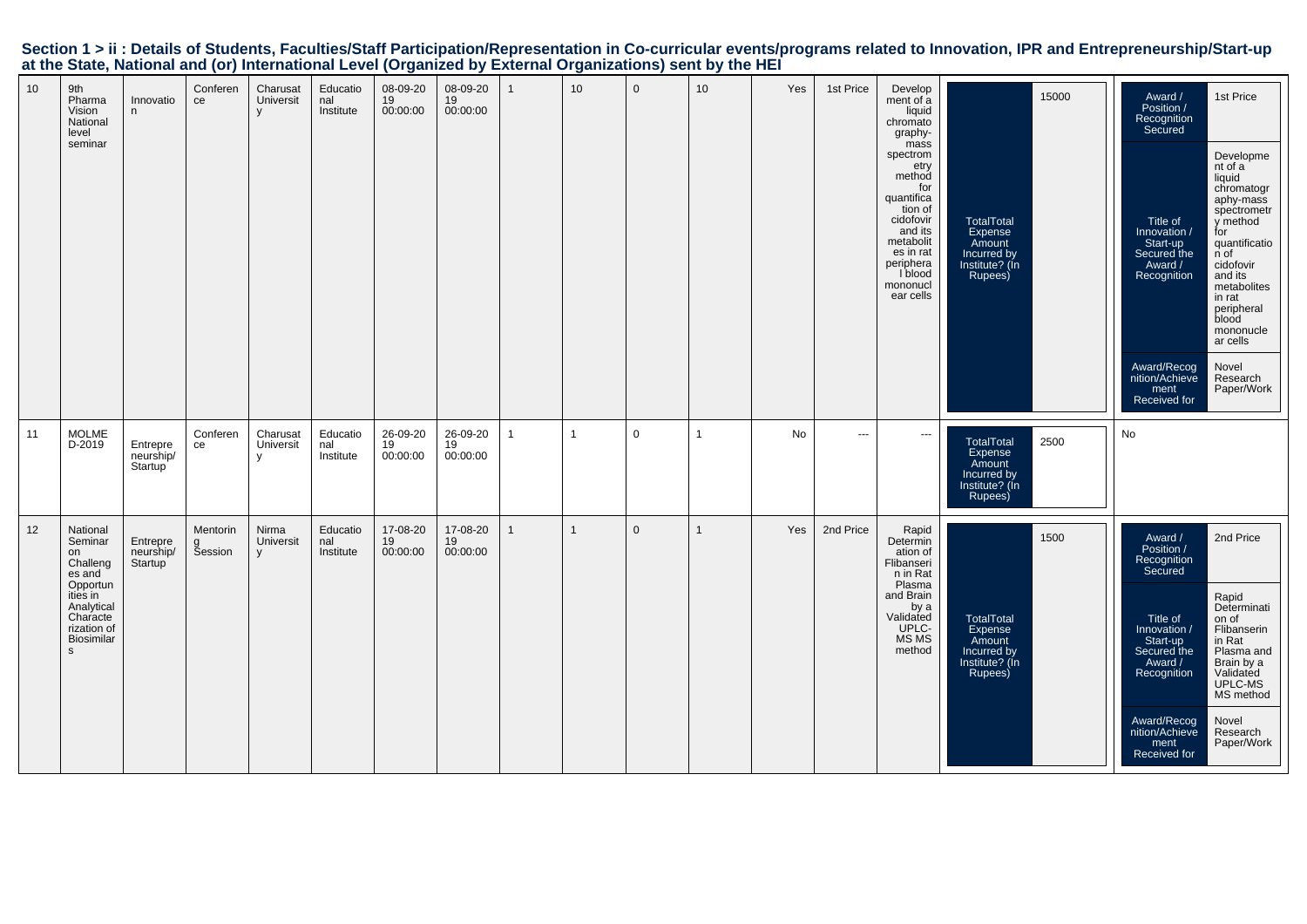| 10 | 9th<br>Pharma<br>Vision<br>National<br>level<br>seminar                                                                              | Innovatio<br>n                   | Conferen<br>ce                  | Charusat<br>Universit<br>$\vee$       | Educatio<br>nal<br>Institute | 08-09-20<br>19<br>00:00:00 | 08-09-20<br>19<br>00:00:00 |              | 10           | $\mathbf 0$  | 10 <sup>1</sup> | Yes | 1st Price | Develop<br>ment of a<br>liquid<br>chromato<br>graphy-<br>mass<br>spectrom<br>etry<br>method<br>for<br>quantifica<br>tion of<br>cidofovir<br>and its<br>metabolit<br>es in rat<br>periphera<br>l blood<br>mononucl<br>ear cells | 15000<br><b>TotalTotal</b><br>Expense<br>Amount<br>Incurred by<br>Institute? (In<br>Rupees)       | Award /<br>Position /<br>Recognition<br>Secured<br>Title of<br>Innovation /<br>Start-up<br>Secured the<br>Award /<br>Recognition<br>Award/Recog<br>nition/Achieve<br>ment<br>Received for | 1st Price<br>Developme<br>nt of a<br>liquid<br>chromatogr<br>aphy-mass<br>spectrometr<br>y method<br>for<br>quantificatio<br>n of<br>cidofovir<br>and its<br>metabolites<br>in rat<br>peripheral<br>blood<br>mononucle<br>ar cells<br>Novel<br>Research<br>Paper/Work |
|----|--------------------------------------------------------------------------------------------------------------------------------------|----------------------------------|---------------------------------|---------------------------------------|------------------------------|----------------------------|----------------------------|--------------|--------------|--------------|-----------------|-----|-----------|--------------------------------------------------------------------------------------------------------------------------------------------------------------------------------------------------------------------------------|---------------------------------------------------------------------------------------------------|-------------------------------------------------------------------------------------------------------------------------------------------------------------------------------------------|-----------------------------------------------------------------------------------------------------------------------------------------------------------------------------------------------------------------------------------------------------------------------|
| 11 | <b>MOLME</b><br>D-2019                                                                                                               | Entrepre<br>neurship/<br>Startup | Conferen<br>ce                  | Charusat<br>Universit<br>$\mathsf{V}$ | Educatio<br>nal<br>Institute | 26-09-20<br>19<br>00:00:00 | 26-09-20<br>19<br>00:00:00 | $\mathbf{1}$ | $\mathbf{1}$ | $\mathbf 0$  | 1               | No  | ---       | $\overline{\phantom{a}}$                                                                                                                                                                                                       | 2500<br><b>TotalTotal</b><br><b>Expense</b><br>Amount<br>Incurred by<br>Institute? (In<br>Rupees) | No                                                                                                                                                                                        |                                                                                                                                                                                                                                                                       |
| 12 | National<br>Seminar<br>on<br>Challeng<br>es and<br>Opportun<br>ities in<br>Analytical<br>Characte<br>rization of<br>Biosimilar<br>s. | Entrepre<br>neurship/<br>Startup | <b>Mentorin</b><br>g<br>Session | Nirma<br>Universit<br>V               | Educatio<br>nal<br>Institute | 17-08-20<br>19<br>00:00:00 | 17-08-20<br>19<br>00:00:00 |              | $\mathbf{1}$ | $\mathbf{0}$ | 1               | Yes | 2nd Price | Rapid<br>Determin<br>ation of<br>Flibanseri<br>n in Rat<br>Plasma<br>and Brain<br>by a<br>Validated<br>UPLC-<br><b>MS MS</b><br>method                                                                                         | 1500<br>TotalTotal<br>Expense<br>Amount<br>Incurred by<br>Institute? (Ín<br>Rupees)               | Award /<br>Position /<br>Recognition<br>Secured<br>Title of<br>Innovation<br>Start-up<br>Secured the<br>Award /<br>Recognition<br>Award/Recog<br>nition/Achieve<br>ment<br>Received for   | 2nd Price<br>Rapid<br>Determinati<br>on of<br>Flibanserin<br>in Rat<br>Plasma and<br>Brain by a<br>Validated<br>UPLC-MS<br>MS method<br>Novel<br>Research<br>Paper/Work                                                                                               |

## Section 1 > ii : Details of Students, Faculties/Staff Participation/Representation in Co-curricular events/programs related to Innovation, IPR and Entrepreneurship/Start-up<br>at the State, National and (or) International Lev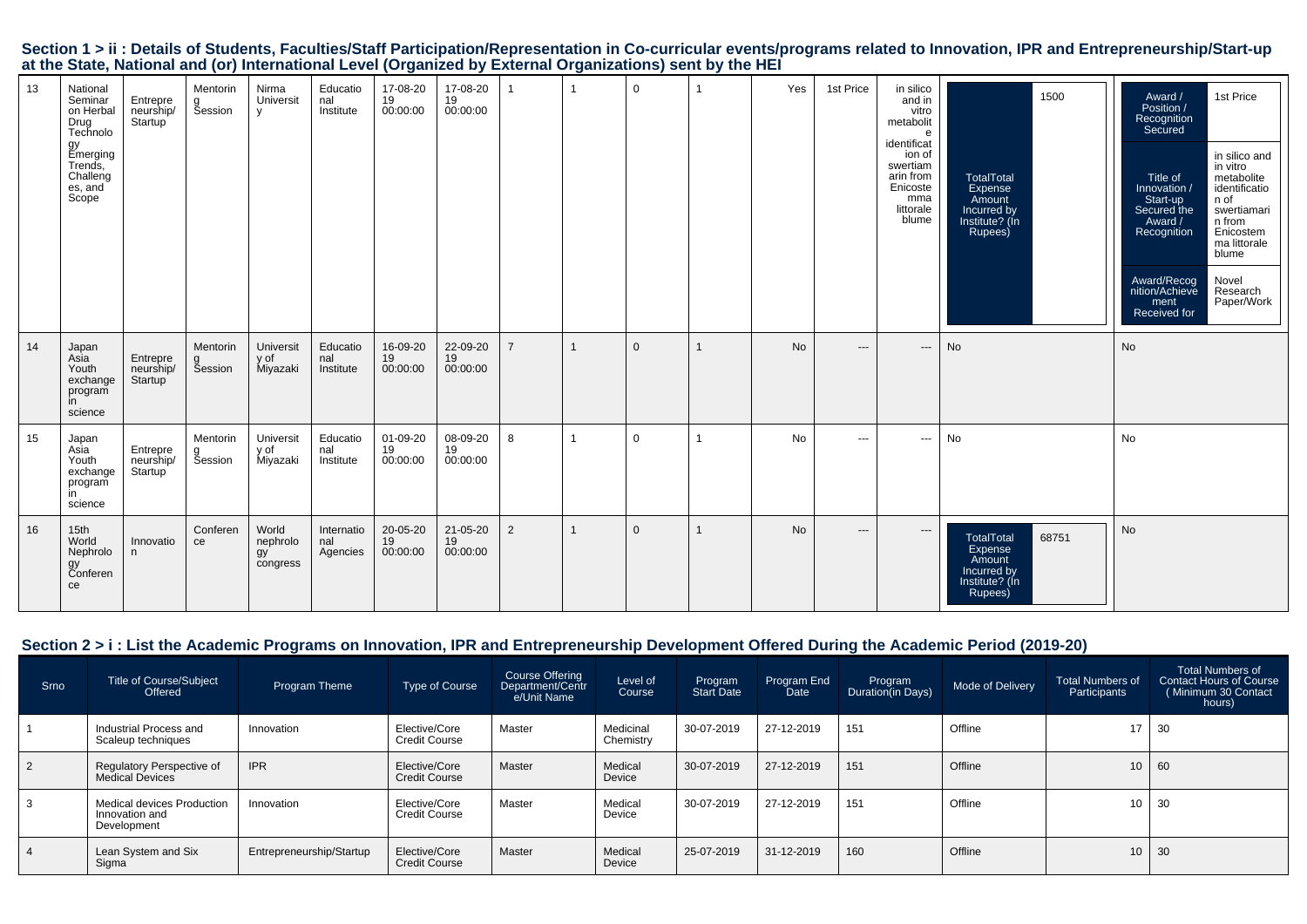| Section 1 > ii : Details of Students, Faculties/Staff Participation/Representation in Co-curricular events/programs related to Innovation, IPR and Entrepreneurship/Start-up |  |
|------------------------------------------------------------------------------------------------------------------------------------------------------------------------------|--|
| at the State, National and (or) International Level (Organized by External Organizations) sent by the HEI                                                                    |  |

| 13 | National<br>Seminar<br>on Herbal<br>Drug<br>Technolo<br>gy<br>Emerging<br>Trends,<br>Challeng<br>es, and<br>Scope | Entrepre<br>neurship/<br>Startup              | Mentorin<br>g<br>Session | Nirma<br>Universit<br>y             | Educatio<br>nal<br>Institute  | 17-08-20<br>19<br>00:00:00 | 17-08-20<br>19<br>00:00:00 |                |    | $\mathbf 0$    |   | Yes       | 1st Price | in silico<br>and in<br>vitro<br>metabolit<br>e<br>identificat<br>ion of<br>swertiam<br>arin from<br>Enicoste<br>mma<br>littorale<br>blume | 1500<br>TotalTotal<br>Expense<br>Amount<br>Incurred by<br>Institute? (In<br>Rupees)         | 1st Price<br>Award /<br>Position /<br>Recognition<br>Secured<br>in silico and<br>in vitro<br>metabolite<br>Title of<br>identificatio<br>Innovation /<br>n of<br>Start-up<br>Secured the<br>swertiamari<br>Award /<br>n from<br>Enicostem<br>Recognition<br>ma littorale<br>blume<br>Award/Recog<br>Novel<br>Research<br>nition/Achieve<br>Paper/Work<br>ment<br>Received for |
|----|-------------------------------------------------------------------------------------------------------------------|-----------------------------------------------|--------------------------|-------------------------------------|-------------------------------|----------------------------|----------------------------|----------------|----|----------------|---|-----------|-----------|-------------------------------------------------------------------------------------------------------------------------------------------|---------------------------------------------------------------------------------------------|------------------------------------------------------------------------------------------------------------------------------------------------------------------------------------------------------------------------------------------------------------------------------------------------------------------------------------------------------------------------------|
| 14 | Japan<br>Asia<br>Youth<br>exchange<br>program<br>in<br>science                                                    | Entrepre<br>neurship/<br>Startup              | Mentorin<br>Šession      | Universit<br>y of<br>Miyazaki       | Educatio<br>nal<br>Institute  | 16-09-20<br>19<br>00:00:00 | 22-09-20<br>19<br>00:00:00 | $\overline{7}$ |    | $\overline{0}$ |   | <b>No</b> | $---$     | $\hspace{1.5cm} \textbf{---}$                                                                                                             | No                                                                                          | No                                                                                                                                                                                                                                                                                                                                                                           |
| 15 | Japan<br>Asia<br>Youth<br>exchange<br>program<br>in<br>science                                                    | Entrepre<br>neurship/<br>Startup <sup>1</sup> | Mentorin<br>Šession      | Universit<br>y of<br>Miyazaki       | Educatio<br>nal<br>Institute  | 01-09-20<br>19<br>00:00:00 | 08-09-20<br>19<br>00:00:00 | 8              | -1 | $\Omega$       |   | <b>No</b> | $\cdots$  | ---                                                                                                                                       | <b>No</b>                                                                                   | <b>No</b>                                                                                                                                                                                                                                                                                                                                                                    |
| 16 | 15 <sub>th</sub><br>World<br>Nephrolo<br>gy<br>Conferen<br>ce                                                     | Innovatio<br>n                                | Conferen<br>ce           | World<br>nephrolo<br>gy<br>congress | Internatio<br>nal<br>Agencies | 20-05-20<br>19<br>00:00:00 | 21-05-20<br>19<br>00:00:00 | 2              |    | $\overline{0}$ | 1 | <b>No</b> | $---$     | $\hspace{1.5cm} \textbf{---}$                                                                                                             | <b>TotalTotal</b><br>68751<br>Expense<br>Amount<br>Incurred by<br>Institute? (In<br>Rupees) | No                                                                                                                                                                                                                                                                                                                                                                           |

## **Section 2 > i : List the Academic Programs on Innovation, IPR and Entrepreneurship Development Offered During the Academic Period (2019-20)**

| Srno | <b>Title of Course/Subject</b><br>Offered                          | Program Theme            | <b>Type of Course</b>                 | Course Offering<br>Department/Centr<br>e/Unit Name | Level of<br>Course     | Program<br>Start Date | Program End<br><b>Date</b> | Program<br>Duration(in Days) | Mode of Delivery | Total Numbers of<br>Participants | Total Numbers of<br><b>Contact Hours of Course</b><br>Minimum 30 Contact<br>hours) |
|------|--------------------------------------------------------------------|--------------------------|---------------------------------------|----------------------------------------------------|------------------------|-----------------------|----------------------------|------------------------------|------------------|----------------------------------|------------------------------------------------------------------------------------|
|      | Industrial Process and<br>Scaleup techniques                       | Innovation               | Elective/Core<br><b>Credit Course</b> | Master                                             | Medicinal<br>Chemistry | 30-07-2019            | 27-12-2019                 | 151                          | Offline          | 17                               | 30                                                                                 |
|      | Regulatory Perspective of<br><b>Medical Devices</b>                | <b>IPR</b>               | Elective/Core<br><b>Credit Course</b> | Master                                             | Medical<br>Device      | 30-07-2019            | 27-12-2019                 | 151                          | Offline          | 10 <sup>1</sup>                  | 60                                                                                 |
|      | <b>Medical devices Production</b><br>Innovation and<br>Development | Innovation               | Elective/Core<br>Credit Course        | Master                                             | Medical<br>Device      | 30-07-2019            | 27-12-2019                 | 151                          | Offline          | 10 <sub>1</sub>                  | - 30                                                                               |
|      | Lean System and Six<br>Sigma                                       | Entrepreneurship/Startup | Elective/Core<br><b>Credit Course</b> | Master                                             | Medical<br>Device      | 25-07-2019            | 31-12-2019                 | 160                          | Offline          | 10 <sup>1</sup>                  | 30                                                                                 |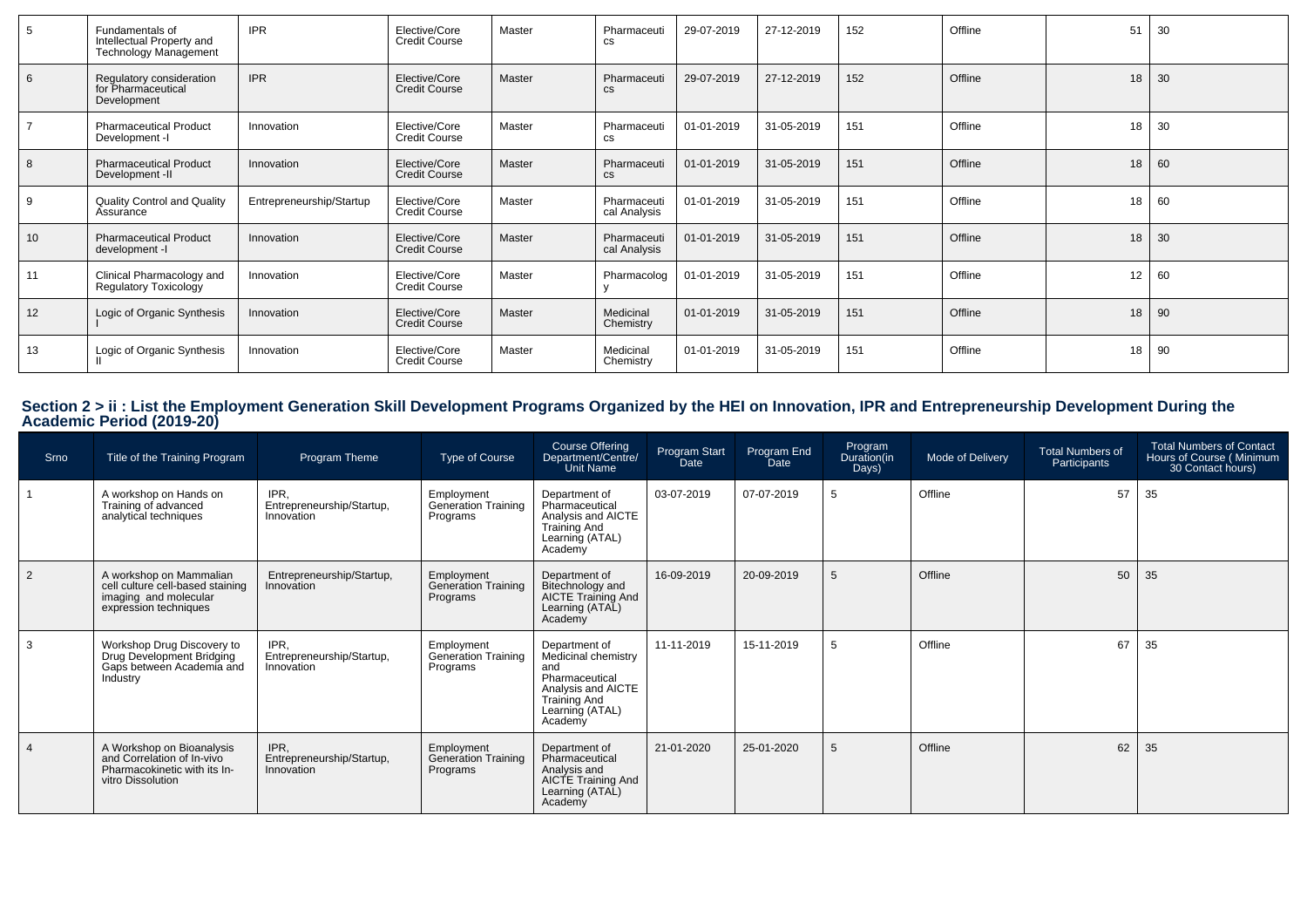| -5              | Fundamentals of<br>Intellectual Property and<br><b>Technology Management</b> | <b>IPR</b>               | Elective/Core<br><b>Credit Course</b> | Master | Pharmaceuti<br>CS            | 29-07-2019 | 27-12-2019 | 152 | Offline | 51 | 30 |
|-----------------|------------------------------------------------------------------------------|--------------------------|---------------------------------------|--------|------------------------------|------------|------------|-----|---------|----|----|
| 6               | Regulatory consideration<br>for Pharmaceutical<br>Development                | <b>IPR</b>               | Elective/Core<br><b>Credit Course</b> | Master | Pharmaceuti<br><b>CS</b>     | 29-07-2019 | 27-12-2019 | 152 | Offline | 18 | 30 |
|                 | <b>Pharmaceutical Product</b><br>Development -I                              | Innovation               | Elective/Core<br><b>Credit Course</b> | Master | Pharmaceuti<br>СS            | 01-01-2019 | 31-05-2019 | 151 | Offline | 18 | 30 |
| 8               | <b>Pharmaceutical Product</b><br>Development -II                             | Innovation               | Elective/Core<br><b>Credit Course</b> | Master | Pharmaceuti<br>$\mathsf{cs}$ | 01-01-2019 | 31-05-2019 | 151 | Offline | 18 | 60 |
| -9              | Quality Control and Quality<br>Assurance                                     | Entrepreneurship/Startup | Elective/Core<br><b>Credit Course</b> | Master | Pharmaceuti<br>cal Analysis  | 01-01-2019 | 31-05-2019 | 151 | Offline | 18 | 60 |
| 10 <sup>°</sup> | <b>Pharmaceutical Product</b><br>development -I                              | Innovation               | Elective/Core<br><b>Credit Course</b> | Master | Pharmaceuti<br>cal Analysis  | 01-01-2019 | 31-05-2019 | 151 | Offline | 18 | 30 |
| 11              | Clinical Pharmacology and<br><b>Regulatory Toxicology</b>                    | Innovation               | Elective/Core<br><b>Credit Course</b> | Master | Pharmacolog                  | 01-01-2019 | 31-05-2019 | 151 | Offline | 12 | 60 |
| 12              | Logic of Organic Synthesis                                                   | Innovation               | Elective/Core<br><b>Credit Course</b> | Master | Medicinal<br>Chemistry       | 01-01-2019 | 31-05-2019 | 151 | Offline | 18 | 90 |
| 13              | Logic of Organic Synthesis                                                   | Innovation               | Elective/Core<br><b>Credit Course</b> | Master | Medicinal<br>Chemistry       | 01-01-2019 | 31-05-2019 | 151 | Offline | 18 | 90 |

# **Section 2 > ii : List the Employment Generation Skill Development Programs Organized by the HEI on Innovation, IPR and Entrepreneurship Development During the Academic Period (2019-20)**

| Srno           | Title of the Training Program                                                                                 | Program Theme                                   | Type of Course                                       | Course Offering<br>Department/Centre/<br>Unit Name                                                                                       | Program Start<br>Date | Program End<br>Date | Program<br>Duration(in<br>Days) | Mode of Delivery | <b>Total Numbers of</b><br>Participants | <b>Total Numbers of Contact</b><br>Hours of Course (Minimum<br>30 Contact hours) |
|----------------|---------------------------------------------------------------------------------------------------------------|-------------------------------------------------|------------------------------------------------------|------------------------------------------------------------------------------------------------------------------------------------------|-----------------------|---------------------|---------------------------------|------------------|-----------------------------------------|----------------------------------------------------------------------------------|
|                | A workshop on Hands on<br>Training of advanced<br>analytical techniques                                       | IPR,<br>Entrepreneurship/Startup,<br>Innovation | Employment<br>Generation Training<br>Programs        | Department of<br>Pharmaceutical<br>Analysis and AICTE<br><b>Training And</b><br>Learning (ATAL)<br>Academy                               | 03-07-2019            | 07-07-2019          | 5                               | Offline          | 57                                      | 35                                                                               |
| $\overline{2}$ | A workshop on Mammalian<br>cell culture cell-based staining<br>imaging and molecular<br>expression techniques | Entrepreneurship/Startup,<br>Innovation         | Employment<br><b>Generation Training</b><br>Programs | Department of<br>Bitechnology and<br>AICTE Training And<br>Learning (ATAL)<br>Academy                                                    | 16-09-2019            | 20-09-2019          | 5                               | Offline          | 50                                      | 35                                                                               |
| 3              | Workshop Drug Discovery to<br>Drug Development Bridging<br>Gaps between Academia and<br>Industry              | IPR,<br>Entrepreneurship/Startup,<br>Innovation | Employment<br>Generation Training<br>Programs        | Department of<br>Medicinal chemistry<br>and<br>Pharmaceutical<br>Analysis and AICTE<br><b>Training And</b><br>Learning (ATAL)<br>Academy | 11-11-2019            | 15-11-2019          | 5                               | Offline          | 67                                      | 35                                                                               |
|                | A Workshop on Bioanalysis<br>and Correlation of In-vivo<br>Pharmacokinetic with its In-<br>vitro Dissolution  | IPR.<br>Entrepreneurship/Startup,<br>Innovation | Employment<br><b>Generation Training</b><br>Programs | Department of<br>Pharmaceutical<br>Analysis and<br>AICTE Training And<br>Learning (ATAL)<br>Academy                                      | 21-01-2020            | 25-01-2020          | 5                               | Offline          | 62                                      | 35                                                                               |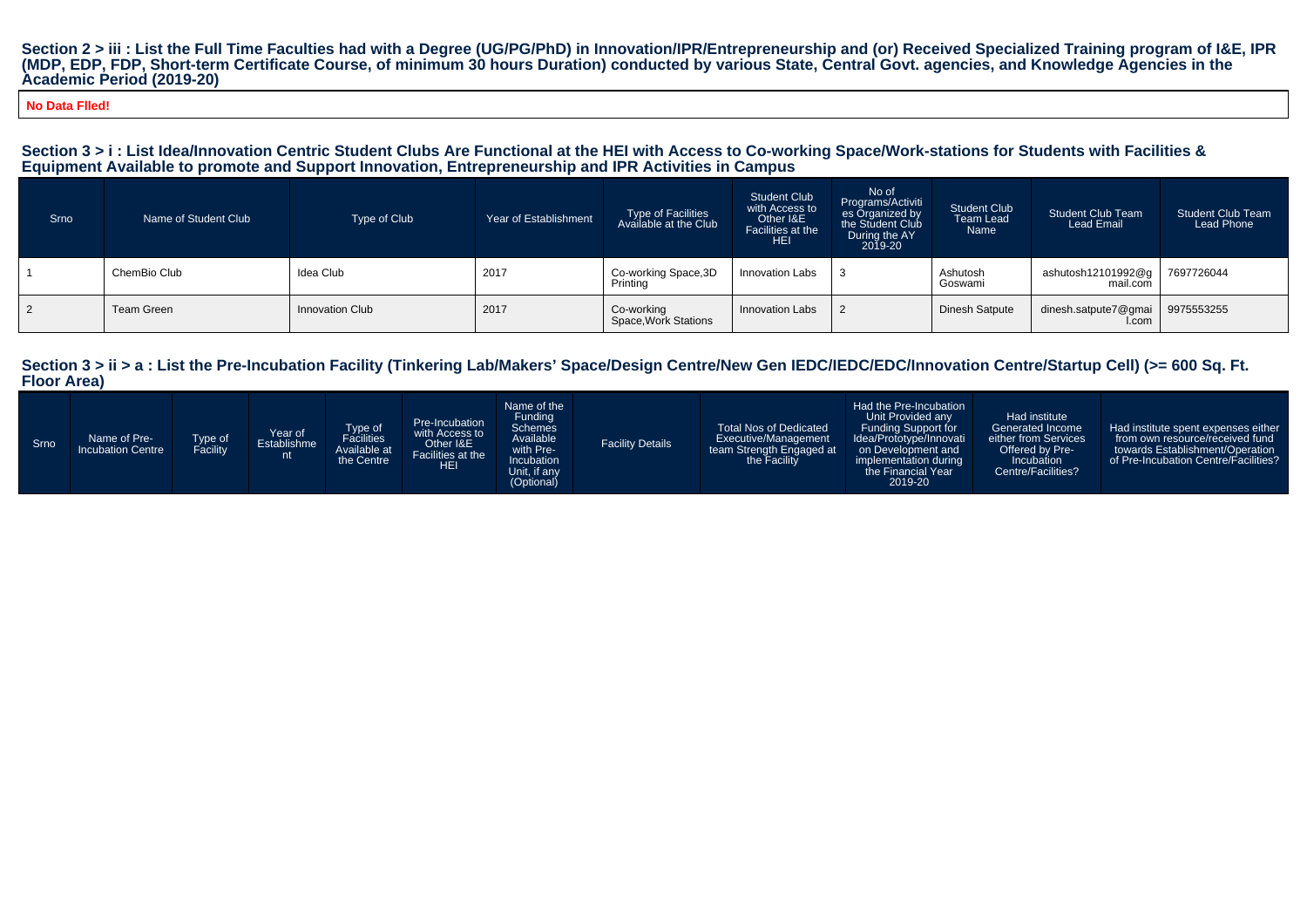Section 2 > iii : List the Full Time Faculties had with a Degree (UG/PG/PhD) in Innovation/IPR/Entrepreneurship and (or) Received Specialized Training program of I&E, IPR<br>(MDP, EDP, FDP, Short-term Certificate Course, of m **Academic Period (2019-20)**

**No Data Flled!**

#### **Section 3 > i : List Idea/Innovation Centric Student Clubs Are Functional at the HEI with Access to Co-working Space/Work-stations for Students with Facilities &Equipment Available to promote and Support Innovation, Entrepreneurship and IPR Activities in Campus**

| <b>Srno</b>    | Name of Student Club | Type of Club           | Year of Establishment | Type of Facilities<br>Available at the Club | <b>Student Club</b><br>with Access to<br>Other I&E<br>Facilities at the<br><b>HEI</b> | No of<br>Programs/Activiti<br>es Organized by<br>the Student Club<br>During the AY<br>2019-20 | <b>Student Club</b><br>Team Lead<br>Name | <b>Student Club Team</b><br>Lead Email | <b>Student Club Team</b><br>Lead Phone |
|----------------|----------------------|------------------------|-----------------------|---------------------------------------------|---------------------------------------------------------------------------------------|-----------------------------------------------------------------------------------------------|------------------------------------------|----------------------------------------|----------------------------------------|
|                | ChemBio Club         | Idea Club              | 2017                  | Co-working Space, 3D<br>Printing            | Innovation Labs                                                                       |                                                                                               | Ashutosh<br>Goswami                      | ashutosh12101992@g  <br>mail.com       | 7697726044                             |
| $\overline{2}$ | Team Green           | <b>Innovation Club</b> | 2017                  | Co-working<br>Space, Work Stations          | <b>Innovation Labs</b>                                                                |                                                                                               | Dinesh Satpute                           | dinesh.satpute7@gmai<br>I.com          | 9975553255                             |

| Srno |
|------|
|------|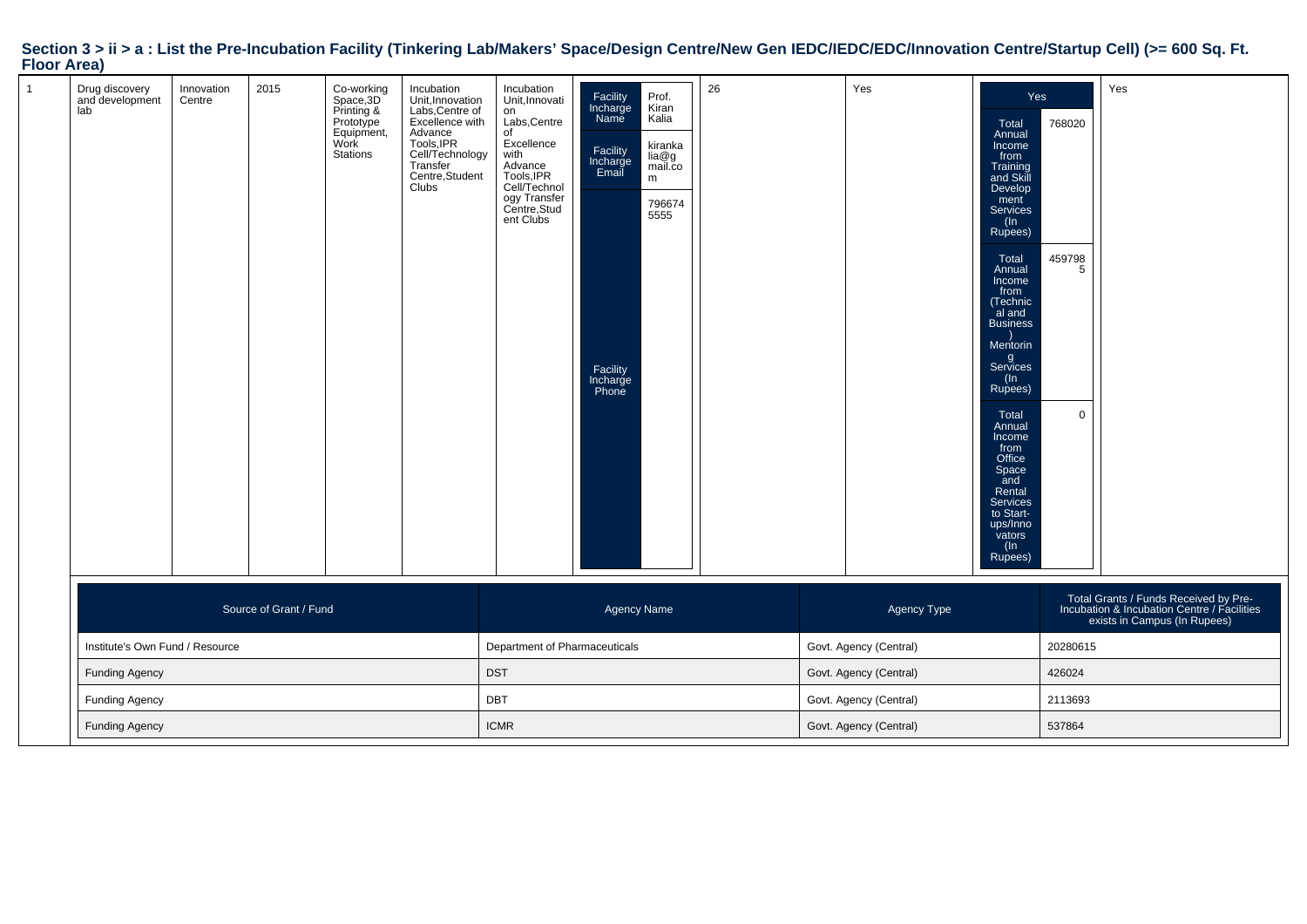| $\mathbf{1}$ | Drug discovery<br>and development<br>lab | Innovation<br>Centre | 2015                   | Co-working<br>Space,3D<br>Printing &<br>Prototype<br>Equipment,<br>Work<br>Stations | Incubation<br>Unit, Innovation<br>Labs, Centre of<br>Excellence with<br>Advance<br>Tools, IPR<br>Cell/Technology<br>Transfer<br>Centre, Student<br><b>Clubs</b> | Incubation<br>Unit, Innovati<br>on<br>Labs, Centre<br>of<br>Excellence<br>with<br>nm<br>Advance<br>Tools, IPR<br>Cell/Technol<br>ogy Transfer<br>Centre, Stud<br>ent Clubs | Facility<br>Incharge<br>Name<br>Prof.<br>Kiran<br>Kalia<br>kiranka<br>Facility<br>Incharge<br>Email<br>lia@g<br>mail.co<br>m<br>796674<br>5555<br>Facility<br>Incharge<br>Phone | 26 |                        | Yes                    | Yes<br>Total<br>Annual<br>Income<br>from<br>Training<br>and Skill<br>Develop<br>ment<br>Services<br>(In<br>Rupees)<br>Total<br>Annual<br>Income<br>from<br>(Technic<br>al and<br><b>Business</b><br>Mentorin<br>g<br>Services<br>(In<br>Rupees)<br>Total<br>Annual<br>Income<br>from<br>Office<br>Space<br>and<br>Rental<br>Services<br>to Start-<br>ups/Inno<br>vators<br>$(\ln$<br>Rupees) | 768020<br>459798<br>$5^{\circ}$<br>$\mathbf 0$ | Yes                                                                                                                  |
|--------------|------------------------------------------|----------------------|------------------------|-------------------------------------------------------------------------------------|-----------------------------------------------------------------------------------------------------------------------------------------------------------------|----------------------------------------------------------------------------------------------------------------------------------------------------------------------------|---------------------------------------------------------------------------------------------------------------------------------------------------------------------------------|----|------------------------|------------------------|----------------------------------------------------------------------------------------------------------------------------------------------------------------------------------------------------------------------------------------------------------------------------------------------------------------------------------------------------------------------------------------------|------------------------------------------------|----------------------------------------------------------------------------------------------------------------------|
|              |                                          |                      | Source of Grant / Fund |                                                                                     |                                                                                                                                                                 |                                                                                                                                                                            | <b>Agency Name</b>                                                                                                                                                              |    |                        | Agency Type            |                                                                                                                                                                                                                                                                                                                                                                                              |                                                | Total Grants / Funds Received by Pre-<br>Incubation & Incubation Centre / Facilities<br>exists in Campus (In Rupees) |
|              | Institute's Own Fund / Resource          |                      |                        |                                                                                     |                                                                                                                                                                 | Department of Pharmaceuticals                                                                                                                                              |                                                                                                                                                                                 |    |                        | Govt. Agency (Central) |                                                                                                                                                                                                                                                                                                                                                                                              | 20280615                                       |                                                                                                                      |
|              | <b>Funding Agency</b>                    |                      |                        |                                                                                     |                                                                                                                                                                 | <b>DST</b>                                                                                                                                                                 |                                                                                                                                                                                 |    | Govt. Agency (Central) |                        |                                                                                                                                                                                                                                                                                                                                                                                              | 426024                                         |                                                                                                                      |
|              | <b>Funding Agency</b>                    |                      |                        |                                                                                     |                                                                                                                                                                 | DBT                                                                                                                                                                        |                                                                                                                                                                                 |    | Govt. Agency (Central) |                        |                                                                                                                                                                                                                                                                                                                                                                                              | 2113693                                        |                                                                                                                      |
|              | <b>Funding Agency</b>                    |                      |                        |                                                                                     |                                                                                                                                                                 | <b>ICMR</b>                                                                                                                                                                |                                                                                                                                                                                 |    | Govt. Agency (Central) |                        |                                                                                                                                                                                                                                                                                                                                                                                              | 537864                                         |                                                                                                                      |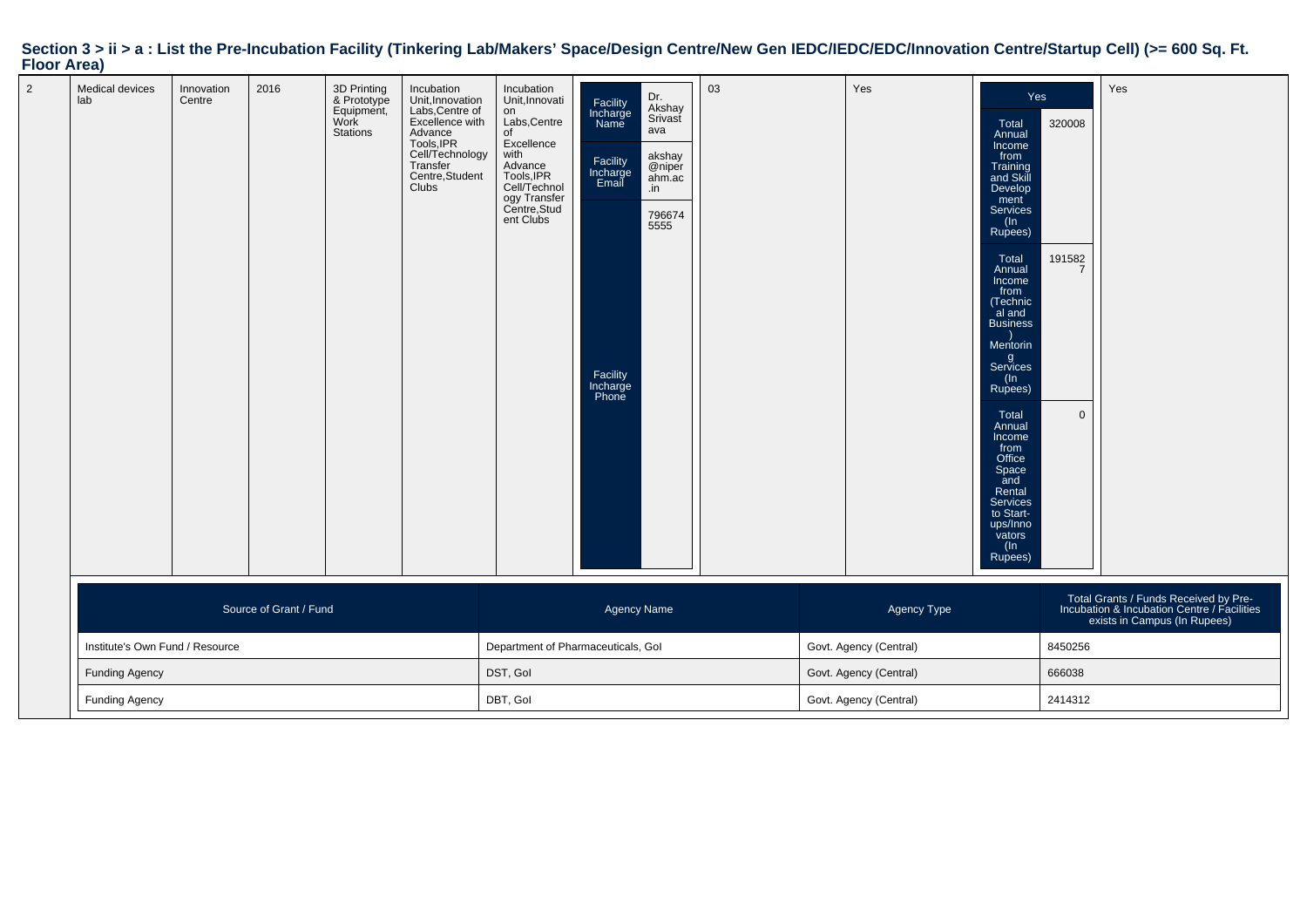|                    |  |  | Section 3 > ii > a : List the Pre-Incubation Facility (Tinkering Lab/Makers' Space/Design Centre/New Gen IEDC/IEDC/EDC/Innovation Centre/Startup Cell) (>= 600 Sq. Ft. |
|--------------------|--|--|------------------------------------------------------------------------------------------------------------------------------------------------------------------------|
| <b>Floor Area)</b> |  |  |                                                                                                                                                                        |

| Medical devices<br>lab          | Innovation<br>Centre | 2016 | 3D Printing<br>& Prototype<br>Equipment,<br>Work<br><b>Stations</b> | Incubation<br>Unit, Innovation<br>Labs, Centre of<br>Excellence with<br>Advance<br>Tools, IPR<br>Cell/Technology<br>Transfer<br>Centre, Student<br>Clubs | Incubation<br>Unit, Innovati<br>on<br>Labs, Centre<br>of<br>Excellence<br>with<br>Advance<br>Tools, IPR<br>Cell/Technol<br>ogy Transfer<br>Centre, Stud<br>ent Clubs | Facility<br>Incharge<br>Name<br>Facility<br>Incharge<br>Email<br>Facility<br>Incharge<br>Phone | Dr.<br>Akshay<br>Srivast<br>ava<br>akshay<br>@niper<br>ahm.ac<br>$\cdot$ in<br>796674<br>5555 | 03                     |             | Yes     | Yes<br>Total<br>Annual<br>Income<br>from<br>Training<br>and Skill<br>Develop<br>ment<br>Services<br>(ln<br>Rupees)<br>Total<br>Annual<br>Income<br>from<br>(Technic<br>al and<br><b>Business</b><br>Mentorin<br>g<br>Services<br>(In<br>Rupees)<br>Total<br>Annual<br>Income<br>from<br>Office<br>Space<br>and<br>Rental<br>Services<br>to Start-<br>ups/Inno<br>vators<br>(ln<br>Rupees) | 320008<br>191582<br>7<br>$\mathbf 0$ | Yes                                                                                                                  |
|---------------------------------|----------------------|------|---------------------------------------------------------------------|----------------------------------------------------------------------------------------------------------------------------------------------------------|----------------------------------------------------------------------------------------------------------------------------------------------------------------------|------------------------------------------------------------------------------------------------|-----------------------------------------------------------------------------------------------|------------------------|-------------|---------|-------------------------------------------------------------------------------------------------------------------------------------------------------------------------------------------------------------------------------------------------------------------------------------------------------------------------------------------------------------------------------------------|--------------------------------------|----------------------------------------------------------------------------------------------------------------------|
| Source of Grant / Fund          |                      |      |                                                                     |                                                                                                                                                          | Agency Name                                                                                                                                                          |                                                                                                |                                                                                               |                        | Agency Type |         |                                                                                                                                                                                                                                                                                                                                                                                           |                                      | Total Grants / Funds Received by Pre-<br>Incubation & Incubation Centre / Facilities<br>exists in Campus (In Rupees) |
| Institute's Own Fund / Resource |                      |      |                                                                     |                                                                                                                                                          | Department of Pharmaceuticals, Gol                                                                                                                                   |                                                                                                |                                                                                               | Govt. Agency (Central) |             |         | 8450256                                                                                                                                                                                                                                                                                                                                                                                   |                                      |                                                                                                                      |
| <b>Funding Agency</b>           |                      |      |                                                                     |                                                                                                                                                          | DST, Gol                                                                                                                                                             |                                                                                                |                                                                                               | Govt. Agency (Central) |             |         | 666038                                                                                                                                                                                                                                                                                                                                                                                    |                                      |                                                                                                                      |
| <b>Funding Agency</b>           |                      |      |                                                                     | DBT, Gol                                                                                                                                                 |                                                                                                                                                                      |                                                                                                | Govt. Agency (Central)                                                                        |                        |             | 2414312 |                                                                                                                                                                                                                                                                                                                                                                                           |                                      |                                                                                                                      |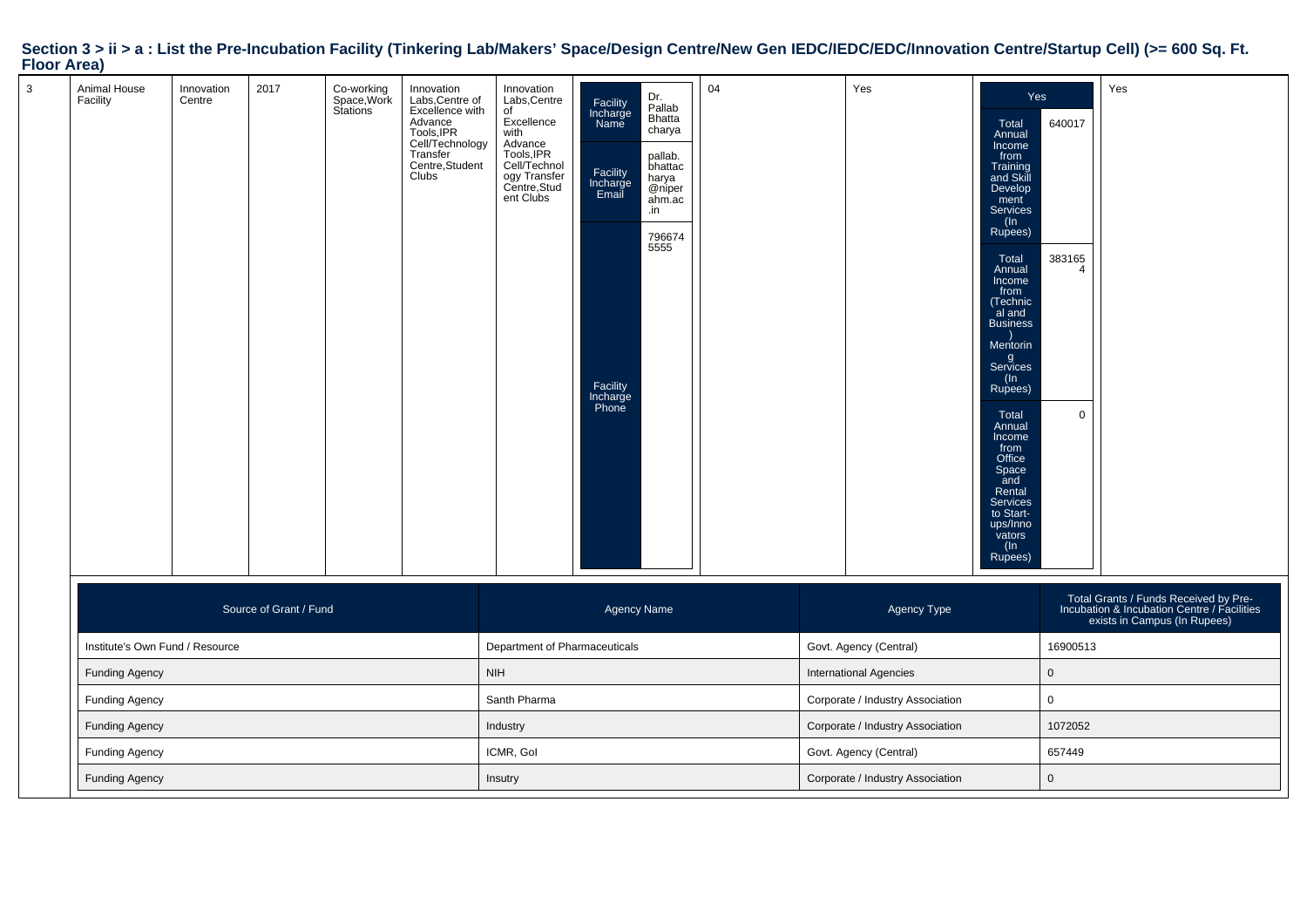| $\mathbf{3}$ | Animal House<br>Facility        | Innovation<br>Centre | 2017                   | Co-working<br>Space,Work<br>Stations | Innovation<br>Labs,Centre of<br>Excellence with<br><b>Advance</b><br>Tools, IPR<br>Cell/Technology<br>Transfer<br>Centre, Student<br>Clubs | Innovation<br>Labs, Centre<br>of<br>Excellence<br>with<br>Advance<br>Tools, IPR<br>Cell/Technol<br>ogy Transfer<br>Centre, Stud<br>ent Clubs | Facility<br>Incharge<br>Name<br>Facility<br>Incharge<br>Email<br>Facility<br>Incharge<br>Phone | Dr.<br>Pallab<br>Bhatta<br>charya<br>pallab.<br>bhattac<br>harya<br>@niper<br>ahm.ac<br>.in<br>796674<br>5555 | 04                            |             | Yes                    | Yes<br>Total<br>Annual<br>Income<br>from<br>Training<br>and Skill<br>Develop<br>ment<br><b>Services</b><br>(ln<br>Rupees)<br>Total<br>Annual<br>Income<br>from<br>(Technic<br>al and<br><b>Business</b><br>Mentorin<br>g<br>Services<br>(In<br>Rupees)<br>Total<br>Annual<br>Income<br>from<br>Office<br>Space<br>and<br>Rental<br>Services<br>to Start-<br>ups/Inno<br>vators<br>$(\ln$<br>Rupees) | 640017<br>383165<br>$\mathbf 0$ | Yes                                                                                                                  |
|--------------|---------------------------------|----------------------|------------------------|--------------------------------------|--------------------------------------------------------------------------------------------------------------------------------------------|----------------------------------------------------------------------------------------------------------------------------------------------|------------------------------------------------------------------------------------------------|---------------------------------------------------------------------------------------------------------------|-------------------------------|-------------|------------------------|-----------------------------------------------------------------------------------------------------------------------------------------------------------------------------------------------------------------------------------------------------------------------------------------------------------------------------------------------------------------------------------------------------|---------------------------------|----------------------------------------------------------------------------------------------------------------------|
|              |                                 |                      | Source of Grant / Fund |                                      |                                                                                                                                            |                                                                                                                                              | <b>Agency Name</b>                                                                             |                                                                                                               |                               |             | Agency Type            |                                                                                                                                                                                                                                                                                                                                                                                                     |                                 | Total Grants / Funds Received by Pre-<br>Incubation & Incubation Centre / Facilities<br>exists in Campus (In Rupees) |
|              | Institute's Own Fund / Resource |                      |                        |                                      |                                                                                                                                            | Department of Pharmaceuticals                                                                                                                |                                                                                                |                                                                                                               |                               |             | Govt. Agency (Central) |                                                                                                                                                                                                                                                                                                                                                                                                     | 16900513                        |                                                                                                                      |
|              | <b>Funding Agency</b>           |                      |                        |                                      |                                                                                                                                            | <b>NIH</b>                                                                                                                                   |                                                                                                |                                                                                                               | <b>International Agencies</b> |             | $\mathsf 0$            |                                                                                                                                                                                                                                                                                                                                                                                                     |                                 |                                                                                                                      |
|              | <b>Funding Agency</b>           |                      |                        |                                      | Santh Pharma                                                                                                                               |                                                                                                                                              |                                                                                                | Corporate / Industry Association                                                                              |                               | $\mathbf 0$ |                        |                                                                                                                                                                                                                                                                                                                                                                                                     |                                 |                                                                                                                      |
|              | <b>Funding Agency</b>           |                      |                        |                                      | Industry                                                                                                                                   |                                                                                                                                              |                                                                                                | Corporate / Industry Association                                                                              |                               | 1072052     |                        |                                                                                                                                                                                                                                                                                                                                                                                                     |                                 |                                                                                                                      |

ICMR, GoI Govt. Agency (Central) <sup>657449</sup>

Insutry **Corporate / Industry Association** 

n | 0

Funding Agency

Funding Agency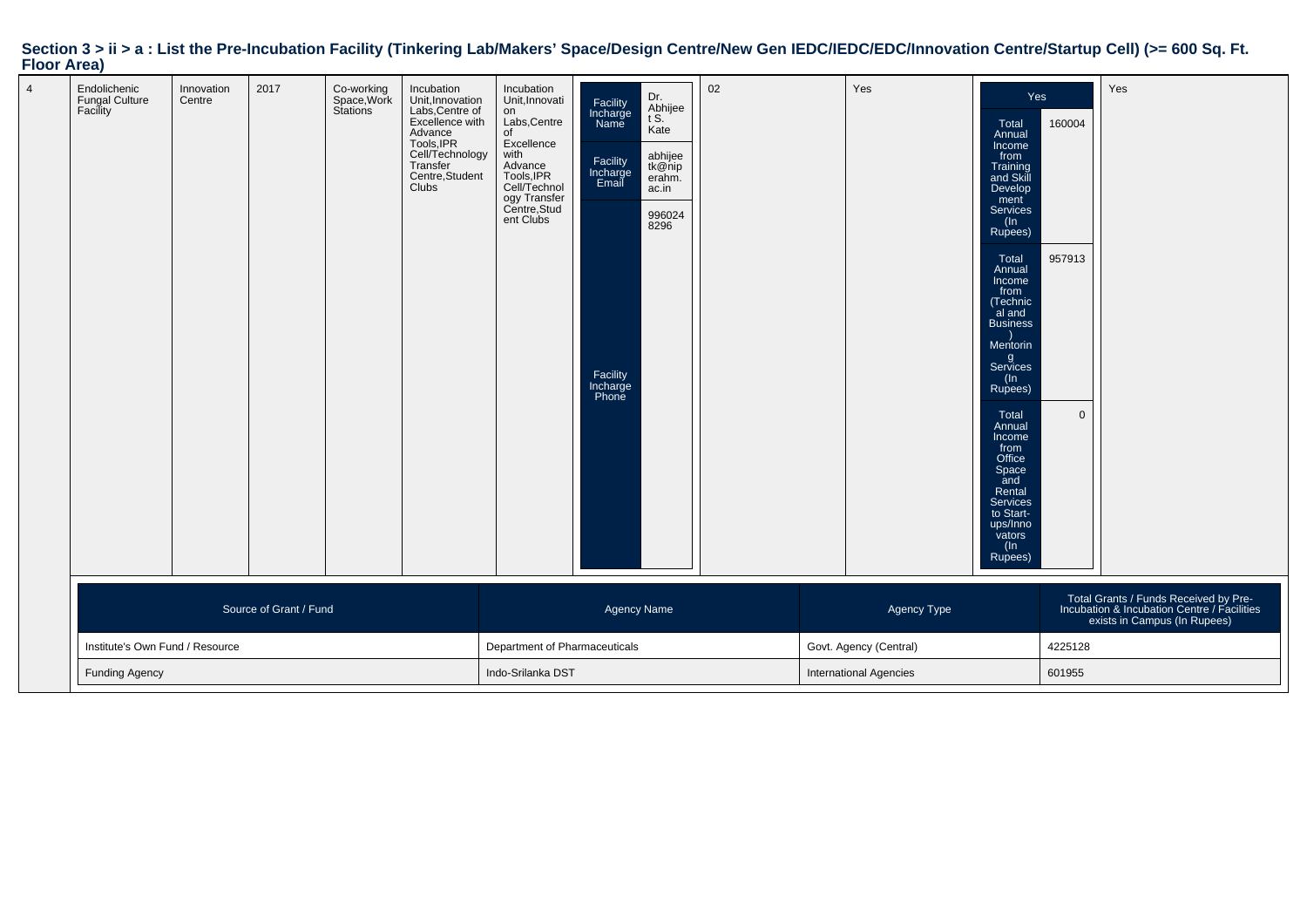|                    |  | Section 3 > ii > a : List the Pre-Incubation Facility (Tinkering Lab/Makers' Space/Design Centre/New Gen IEDC/IEDC/EDC/Innovation Centre/Startup Cell) (>= 600 Sq. Ft. |  |
|--------------------|--|------------------------------------------------------------------------------------------------------------------------------------------------------------------------|--|
| <b>Floor Area)</b> |  |                                                                                                                                                                        |  |

| Endolichenic<br>Fungal Culture<br>Facility | Innovation<br>Centre | 2017 | Co-working<br>Space,Work<br>Stations | Incubation<br>Unit, Innovation<br>Labs, Centre of<br>Excellence with<br>Advance<br>Tools, IPR<br>Cell/Technology<br>Transfer<br>Centre, Student<br>Clubs | Incubation<br>Unit, Innovati<br>on<br>Labs, Centre<br>οf<br>Excellence<br>with<br>Advance<br>Tools, IPR<br>Cell/Technol<br>ogy Transfer<br>Centre, Stud<br>ent Clubs | Facility<br>Incharge<br>Name<br>Facility<br>Incharge<br>Email<br>Facility<br>Incharge<br>Phone | Dr.<br>Abhijee<br>t S.<br>Kate<br>abhijee<br>tk@nip<br>erahm.<br>ac.in<br>996024<br>8296 | 02                     |             | Yes     | Yes<br>Total<br>Annual<br>Income<br>from<br>Training<br>and Skill<br>Develop<br>ment<br>Services<br>(ln<br>Rupees)<br>Total<br>Annual<br>Income<br>from<br>(Technic<br>al and<br><b>Business</b><br>Mentorin<br>g<br>Services<br>(ln<br>Rupees)<br>Total<br>Annual<br>Income<br>from<br>Office<br>Space<br>and<br>Rental<br>Services<br>to Start-<br>ups/Inno<br>vators<br>(In<br>Rupees) | 160004<br>957913<br>$\overline{0}$ | Yes                                                                                                                  |
|--------------------------------------------|----------------------|------|--------------------------------------|----------------------------------------------------------------------------------------------------------------------------------------------------------|----------------------------------------------------------------------------------------------------------------------------------------------------------------------|------------------------------------------------------------------------------------------------|------------------------------------------------------------------------------------------|------------------------|-------------|---------|-------------------------------------------------------------------------------------------------------------------------------------------------------------------------------------------------------------------------------------------------------------------------------------------------------------------------------------------------------------------------------------------|------------------------------------|----------------------------------------------------------------------------------------------------------------------|
| Source of Grant / Fund                     |                      |      |                                      |                                                                                                                                                          | Agency Name                                                                                                                                                          |                                                                                                |                                                                                          |                        | Agency Type |         |                                                                                                                                                                                                                                                                                                                                                                                           |                                    | Total Grants / Funds Received by Pre-<br>Incubation & Incubation Centre / Facilities<br>exists in Campus (In Rupees) |
| Institute's Own Fund / Resource            |                      |      |                                      |                                                                                                                                                          | Department of Pharmaceuticals                                                                                                                                        |                                                                                                |                                                                                          | Govt. Agency (Central) |             | 4225128 |                                                                                                                                                                                                                                                                                                                                                                                           |                                    |                                                                                                                      |
| <b>Funding Agency</b>                      |                      |      |                                      | Indo-Srilanka DST                                                                                                                                        |                                                                                                                                                                      |                                                                                                | 601955<br><b>International Agencies</b>                                                  |                        |             |         |                                                                                                                                                                                                                                                                                                                                                                                           |                                    |                                                                                                                      |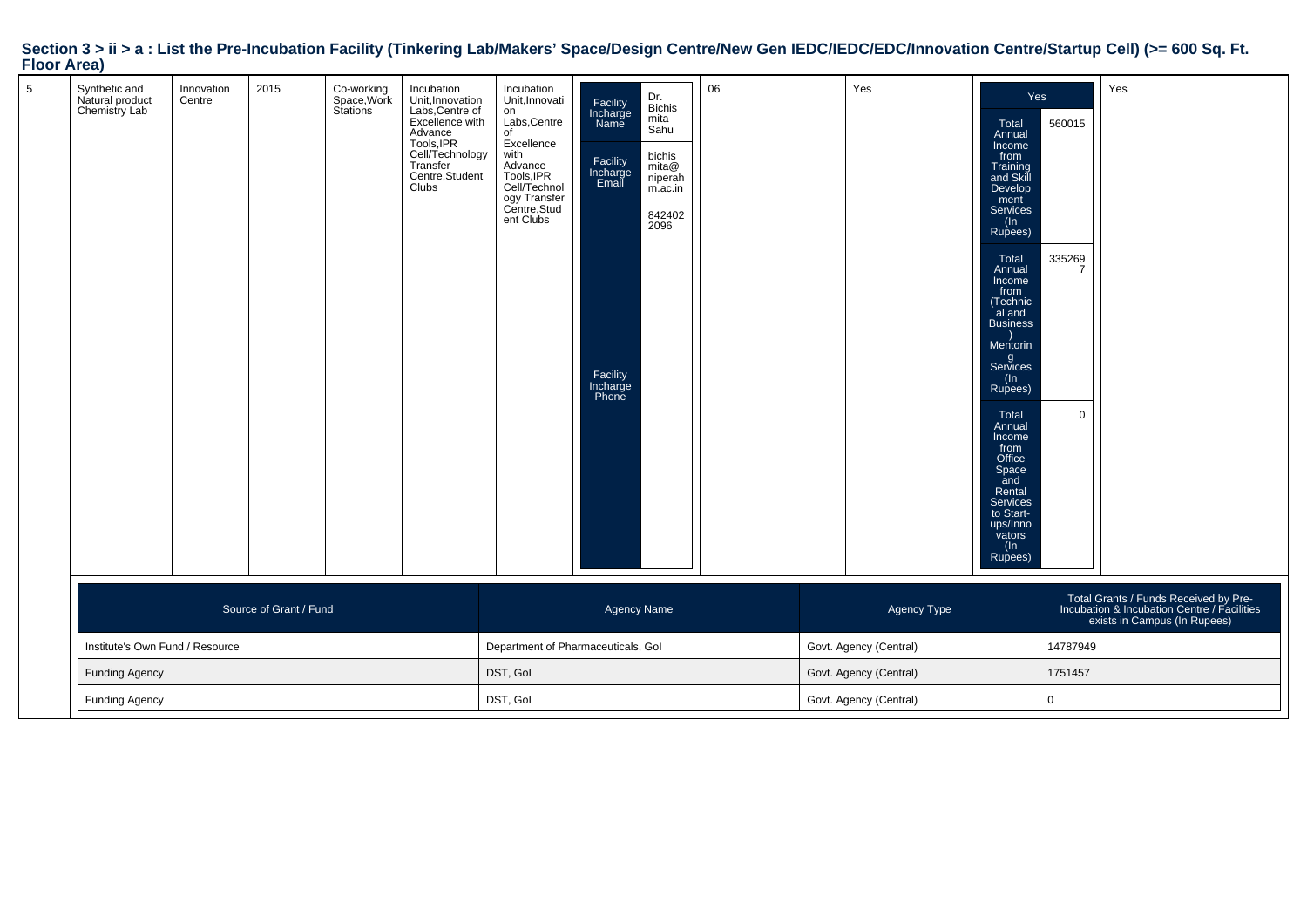| . <i>.</i> |                                                   |                      |                        |                                      |                                                                                                                                                          |                                                                                                                                                                      |                                                                                                |                                                                                          |                        |                        |             |                                                                                                                                                                                                                                                                                                                                                                                                         |                              |                                                                                                                      |
|------------|---------------------------------------------------|----------------------|------------------------|--------------------------------------|----------------------------------------------------------------------------------------------------------------------------------------------------------|----------------------------------------------------------------------------------------------------------------------------------------------------------------------|------------------------------------------------------------------------------------------------|------------------------------------------------------------------------------------------|------------------------|------------------------|-------------|---------------------------------------------------------------------------------------------------------------------------------------------------------------------------------------------------------------------------------------------------------------------------------------------------------------------------------------------------------------------------------------------------------|------------------------------|----------------------------------------------------------------------------------------------------------------------|
| 5          | Synthetic and<br>Natural product<br>Chemistry Lab | Innovation<br>Centre | 2015                   | Co-working<br>Space,Work<br>Stations | Incubation<br>Unit, Innovation<br>Labs, Centre of<br>Excellence with<br>Advance<br>Tools, IPR<br>Cell/Technology<br>Transfer<br>Centre, Student<br>Clubs | Incubation<br>Unit, Innovati<br>on<br>Labs, Centre<br>of<br>Excellence<br>with<br>Advance<br>Tools, IPR<br>Cell/Technol<br>ogy Transfer<br>Centre, Stud<br>ent Clubs | Facility<br>Incharge<br>Name<br>Facility<br>Incharge<br>Email<br>Facility<br>Incharge<br>Phone | Dr.<br>Bichis<br>mita<br>Sahu<br>bichis<br>mita@<br>niperah<br>m.ac.in<br>842402<br>2096 | 06                     |                        | Yes         | Yes<br>Total<br>Annual<br>Income<br>from<br>Training<br>and Skill<br>Develop<br>ment<br>Services<br>$(\ln$<br>Rupees)<br>Total<br>Annual<br>Income<br>from<br>(Technic<br>al and<br><b>Business</b><br>Mentorin<br>g<br>Services<br>(ln<br>Rupees)<br>Total<br>Annual<br>Income<br>from<br>Office<br>Space<br>_and<br>Rental<br><b>Services</b><br>to Start-<br>ups/Inno<br>vators<br>$(\ln$<br>Rupees) | 560015<br>335269<br>$\Omega$ | Yes                                                                                                                  |
|            |                                                   |                      | Source of Grant / Fund |                                      |                                                                                                                                                          |                                                                                                                                                                      | Agency Name                                                                                    |                                                                                          |                        |                        | Agency Type |                                                                                                                                                                                                                                                                                                                                                                                                         |                              | Total Grants / Funds Received by Pre-<br>Incubation & Incubation Centre / Facilities<br>exists in Campus (In Rupees) |
|            | Institute's Own Fund / Resource                   |                      |                        |                                      |                                                                                                                                                          |                                                                                                                                                                      | Department of Pharmaceuticals, Gol                                                             |                                                                                          |                        | Govt. Agency (Central) |             |                                                                                                                                                                                                                                                                                                                                                                                                         | 14787949                     |                                                                                                                      |
|            | <b>Funding Agency</b>                             |                      |                        |                                      |                                                                                                                                                          | DST, Gol                                                                                                                                                             |                                                                                                |                                                                                          |                        | Govt. Agency (Central) |             |                                                                                                                                                                                                                                                                                                                                                                                                         | 1751457                      |                                                                                                                      |
|            | <b>Funding Agency</b>                             |                      |                        |                                      |                                                                                                                                                          | DST, Gol                                                                                                                                                             |                                                                                                |                                                                                          | Govt. Agency (Central) |                        | $\mathbf 0$ |                                                                                                                                                                                                                                                                                                                                                                                                         |                              |                                                                                                                      |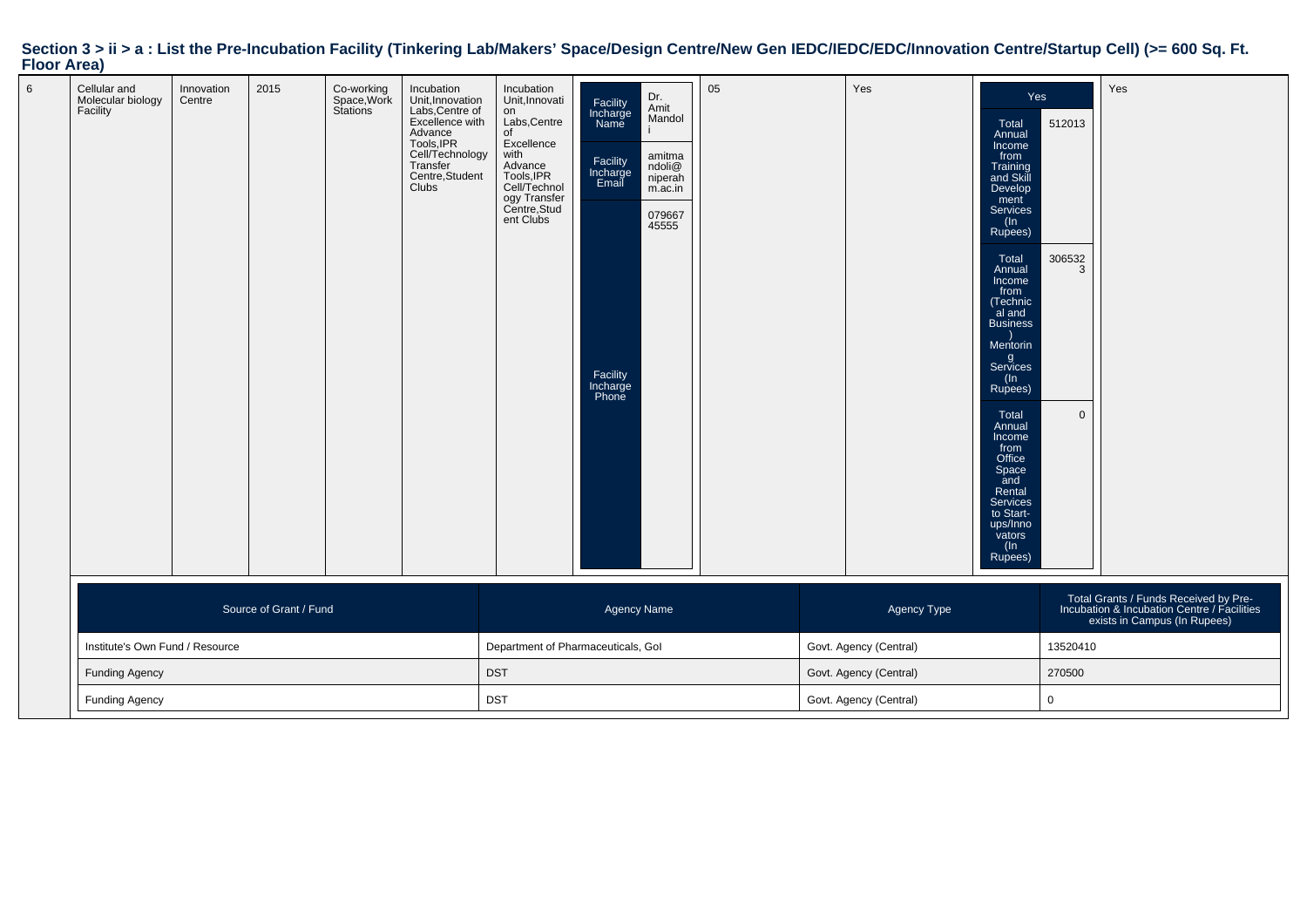|             | Section 3 > ii > a : List the Pre-Incubation Facility (Tinkering Lab/Makers' Space/Design Centre/New Gen IEDC/IEDC/EDC/Innovation Centre/Startup Cell) (>= 600 Sq. Ft. |
|-------------|------------------------------------------------------------------------------------------------------------------------------------------------------------------------|
| Floor Area) |                                                                                                                                                                        |

| Cellular and<br>Molecular biology<br>Facility | Innovation<br>Centre | 2015                   | Co-working<br>Space,Work<br>Stations | Incubation<br>Unit, Innovation<br>Labs, Centre of<br>Excellence with<br>Advance<br>Tools, IPR<br>Cell/Technology<br>Transfer<br>Centre, Student<br>Clubs | Incubation<br>Unit, Innovati<br>on<br>Labs, Centre<br>of<br>Excellence<br>with<br>Advance<br>Tools, IPR<br>Cell/Technol<br>ogy Transfer<br>Centre, Stud<br>ent Clubs | Facility<br>Incharge<br>Name<br>Facility<br>Incharge<br>Email<br>Facility<br>Incharge<br>Phone | Dr.<br>Amit<br>Mandol<br>amitma<br>ndoli@<br>niperah<br>m.ac.in<br>079667<br>45555 | 05 |        | Yes                    | Yes<br>Total<br>Annual<br>Income<br>from<br>Training<br>and Skill<br>Develop<br>ment<br>Services<br>$($ ln<br>Rupees)<br>Total<br>Annual<br>Income<br>from<br>(Technic<br>al and<br><b>Business</b><br>Mentorin<br>g<br>Services<br>(In<br>Rupees)<br>Total<br>Annual<br>Income<br>from<br>Office<br>Space<br>and<br>Rental<br>Services<br>to Start-<br>ups/Inno<br>vators<br>(In<br>Rupees) | 512013<br>306532<br>3<br>$\overline{0}$ | Yes                                                                                                                  |
|-----------------------------------------------|----------------------|------------------------|--------------------------------------|----------------------------------------------------------------------------------------------------------------------------------------------------------|----------------------------------------------------------------------------------------------------------------------------------------------------------------------|------------------------------------------------------------------------------------------------|------------------------------------------------------------------------------------|----|--------|------------------------|----------------------------------------------------------------------------------------------------------------------------------------------------------------------------------------------------------------------------------------------------------------------------------------------------------------------------------------------------------------------------------------------|-----------------------------------------|----------------------------------------------------------------------------------------------------------------------|
|                                               |                      | Source of Grant / Fund |                                      |                                                                                                                                                          |                                                                                                                                                                      | Agency Name                                                                                    |                                                                                    |    |        | Agency Type            |                                                                                                                                                                                                                                                                                                                                                                                              |                                         | Total Grants / Funds Received by Pre-<br>Incubation & Incubation Centre / Facilities<br>exists in Campus (In Rupees) |
| Institute's Own Fund / Resource               |                      |                        |                                      |                                                                                                                                                          | Department of Pharmaceuticals, Gol                                                                                                                                   |                                                                                                |                                                                                    |    |        | Govt. Agency (Central) |                                                                                                                                                                                                                                                                                                                                                                                              | 13520410                                |                                                                                                                      |
| <b>Funding Agency</b>                         |                      |                        |                                      | <b>DST</b>                                                                                                                                               |                                                                                                                                                                      |                                                                                                | Govt. Agency (Central)                                                             |    | 270500 |                        |                                                                                                                                                                                                                                                                                                                                                                                              |                                         |                                                                                                                      |
| <b>Funding Agency</b>                         |                      |                        |                                      | <b>DST</b>                                                                                                                                               |                                                                                                                                                                      |                                                                                                | Govt. Agency (Central)                                                             |    | 0      |                        |                                                                                                                                                                                                                                                                                                                                                                                              |                                         |                                                                                                                      |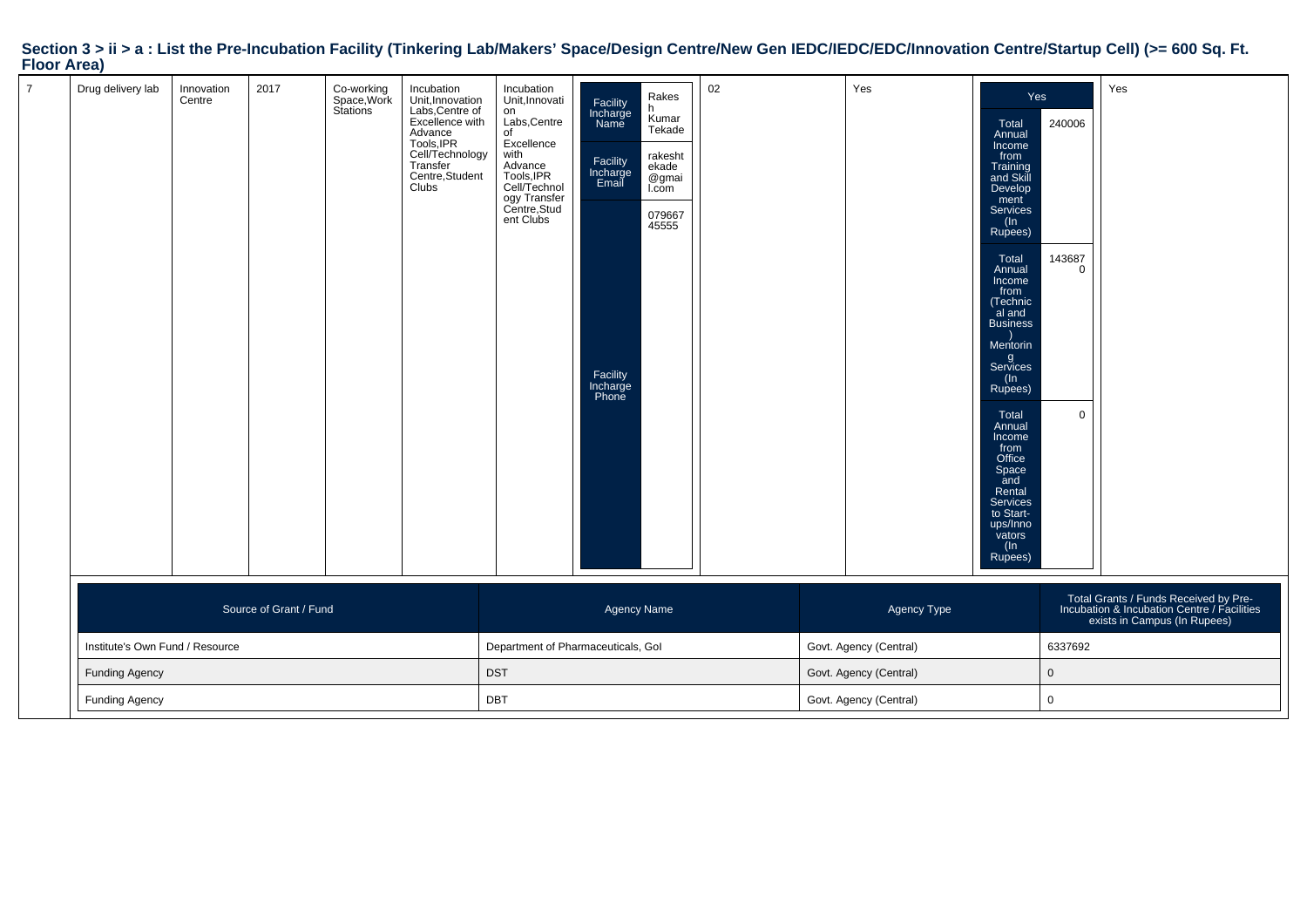| . <i>.</i>                      |                      |                        |                                      |                                                                                                                                                          |                                                                                                                                                                   |                                                                                                |                                                                                              |    |             |                        |                                                                                                                                                                                                                                                                                                                                                                                                 |                                          |                                                                                                                      |
|---------------------------------|----------------------|------------------------|--------------------------------------|----------------------------------------------------------------------------------------------------------------------------------------------------------|-------------------------------------------------------------------------------------------------------------------------------------------------------------------|------------------------------------------------------------------------------------------------|----------------------------------------------------------------------------------------------|----|-------------|------------------------|-------------------------------------------------------------------------------------------------------------------------------------------------------------------------------------------------------------------------------------------------------------------------------------------------------------------------------------------------------------------------------------------------|------------------------------------------|----------------------------------------------------------------------------------------------------------------------|
| Drug delivery lab               | Innovation<br>Centre | 2017                   | Co-working<br>Space,Work<br>Stations | Incubation<br>Unit, Innovation<br>Labs, Centre of<br>Excellence with<br>Advance<br>Tools, IPR<br>Cell/Technology<br>Transfer<br>Centre, Student<br>Clubs | Incubation<br>Unit, Innovati<br>on<br>Labs, Centre<br>of<br>Excellence<br>with<br>nnan<br>Tools, IPR<br>Cell/Technol<br>ogy Transfer<br>Centre, Stud<br>ent Clubs | Facility<br>Incharge<br>Name<br>Facility<br>Incharge<br>Email<br>Facility<br>Incharge<br>Phone | Rakes<br>Kumar<br>Tekade<br>rakesht<br>ekade<br>@gmai<br>L <sub>com</sub><br>079667<br>45555 | 02 |             | Yes                    | Yes<br>Total<br>Annual<br>Income<br>from<br>Training<br>and Skill<br>Develop<br>ment<br>Services<br>(In<br>Rupees)<br>Total<br>Annual<br>Income<br>from<br>(Technic<br>al and<br><b>Business</b><br>Mentorin<br>g<br>Services<br>$($ ln<br>Rupees)<br>Total<br>Annual<br>Income<br>from<br>Office<br>Space<br>and<br>Rental<br>Services<br>to Start-<br>ups/Inno<br>vators<br>$(\ln$<br>Rupees) | 240006<br>143687<br>$\Omega$<br>$\Omega$ | Yes                                                                                                                  |
|                                 |                      | Source of Grant / Fund |                                      |                                                                                                                                                          |                                                                                                                                                                   | <b>Agency Name</b>                                                                             |                                                                                              |    |             | Agency Type            |                                                                                                                                                                                                                                                                                                                                                                                                 |                                          | Total Grants / Funds Received by Pre-<br>Incubation & Incubation Centre / Facilities<br>exists in Campus (In Rupees) |
| Institute's Own Fund / Resource |                      |                        |                                      |                                                                                                                                                          | Department of Pharmaceuticals, Gol                                                                                                                                |                                                                                                |                                                                                              |    |             | Govt. Agency (Central) |                                                                                                                                                                                                                                                                                                                                                                                                 | 6337692                                  |                                                                                                                      |
| <b>Funding Agency</b>           |                      |                        |                                      | <b>DST</b>                                                                                                                                               |                                                                                                                                                                   |                                                                                                | Govt. Agency (Central)                                                                       |    | $\mathbf 0$ |                        |                                                                                                                                                                                                                                                                                                                                                                                                 |                                          |                                                                                                                      |
| <b>Funding Agency</b>           |                      |                        |                                      | <b>DBT</b>                                                                                                                                               |                                                                                                                                                                   |                                                                                                | Govt. Agency (Central)                                                                       |    | 0           |                        |                                                                                                                                                                                                                                                                                                                                                                                                 |                                          |                                                                                                                      |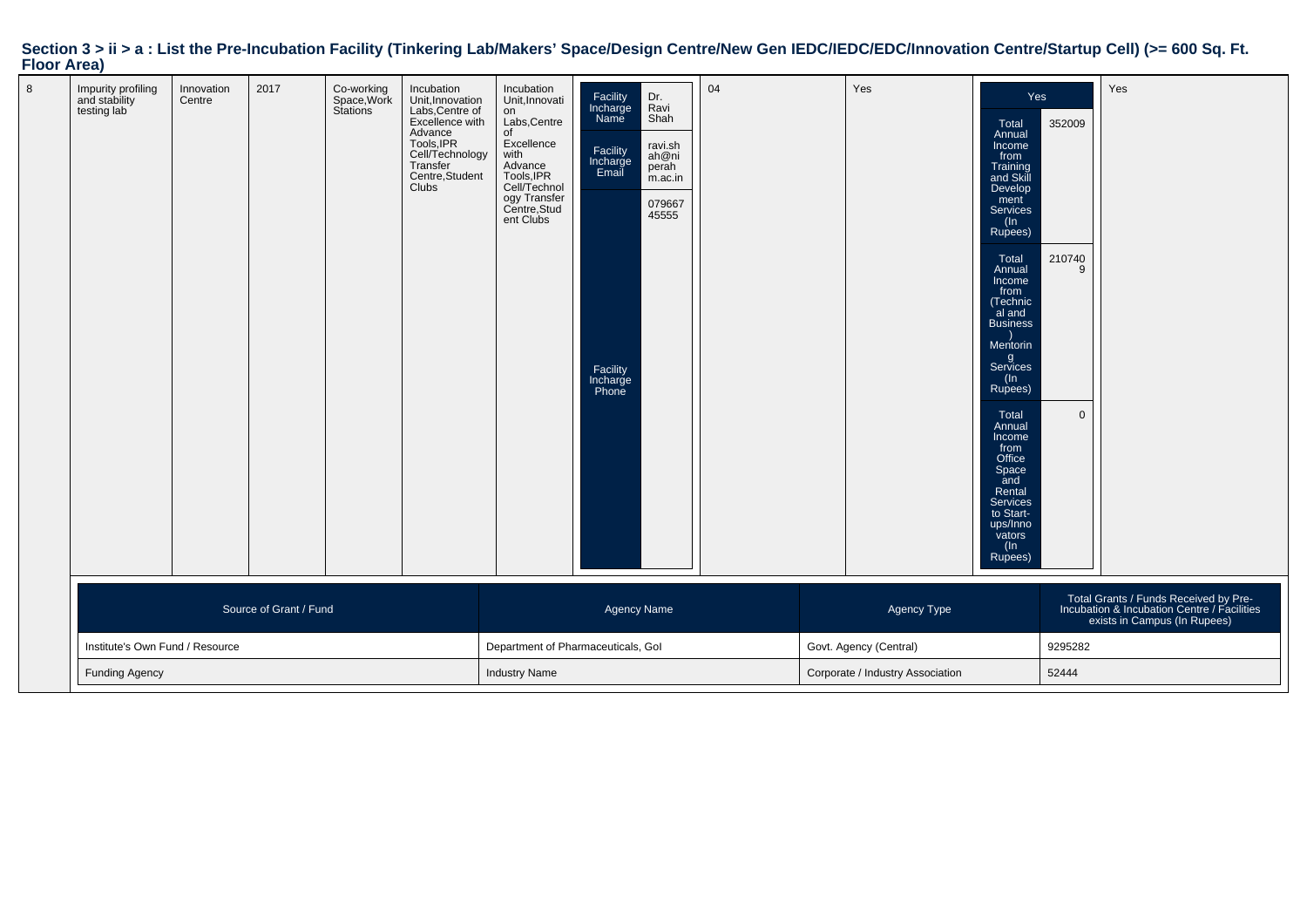| Section 3 > ii > a : List the Pre-Incubation Facility (Tinkering Lab/Makers' Space/Design Centre/New Gen IEDC/IEDC/EDC/Innovation Centre/Startup Cell) (>= 600 Sq. Ft. |  |  |
|------------------------------------------------------------------------------------------------------------------------------------------------------------------------|--|--|
| <b>Floor Area)</b>                                                                                                                                                     |  |  |

| Impurity profiling<br>and stability<br>testing lab | Innovation<br>Centre  | 2017                   | Co-working<br>Space, Work<br>Stations | Incubation<br>Unit, Innovation<br>Labs, Centre of<br>Excellence with<br>Advance<br>Tools, IPR<br>Cell/Technology<br>Transfer<br>Centre, Student<br>Clubs | Incubation<br>Unit, Innovati<br>on<br>Labs, Centre<br>of<br>Excellence<br>Excellence<br>Mith<br>Advance<br>Tools, IPR<br>Cell/Technol<br>ogy Transfer<br>Centre, Stud<br>ent Clubs | Facility<br>Incharge<br>Name<br>Facility<br>Incharge<br>Email<br>Facility<br>Incharge<br>Phone | Dr.<br>Ravi<br>Shah<br>ravi.sh<br>ah@ni<br>perah<br>m.ac.in<br>079667<br>45555 | 04      |       | Yes         | Yes<br>Total<br>Annual<br>Income<br>from<br>Training<br>and Skill<br>Develop<br>ment<br><b>Services</b><br>(In<br>Rupees)<br>Total<br>Annual<br>Income<br>from<br>(Technic<br>al and<br><b>Business</b><br>Mentorin<br>g<br>Services<br>(ln<br>Rupees)<br>Total<br>Annual<br>Income<br>from<br>Office<br>Space<br>and<br>Rental<br>Services<br>to Start-<br>ups/Inno<br>vators<br>$($ ln<br>Rupees) | 352009<br>210740<br>$\Omega$ | Yes                                                                                                                  |
|----------------------------------------------------|-----------------------|------------------------|---------------------------------------|----------------------------------------------------------------------------------------------------------------------------------------------------------|------------------------------------------------------------------------------------------------------------------------------------------------------------------------------------|------------------------------------------------------------------------------------------------|--------------------------------------------------------------------------------|---------|-------|-------------|-----------------------------------------------------------------------------------------------------------------------------------------------------------------------------------------------------------------------------------------------------------------------------------------------------------------------------------------------------------------------------------------------------|------------------------------|----------------------------------------------------------------------------------------------------------------------|
|                                                    |                       | Source of Grant / Fund |                                       |                                                                                                                                                          |                                                                                                                                                                                    | Agency Name                                                                                    |                                                                                |         |       | Agency Type |                                                                                                                                                                                                                                                                                                                                                                                                     |                              | Total Grants / Funds Received by Pre-<br>Incubation & Incubation Centre / Facilities<br>exists in Campus (In Rupees) |
| Institute's Own Fund / Resource                    |                       |                        |                                       | Department of Pharmaceuticals, Gol                                                                                                                       |                                                                                                                                                                                    | Govt. Agency (Central)                                                                         |                                                                                | 9295282 |       |             |                                                                                                                                                                                                                                                                                                                                                                                                     |                              |                                                                                                                      |
|                                                    | <b>Funding Agency</b> |                        |                                       | <b>Industry Name</b>                                                                                                                                     |                                                                                                                                                                                    |                                                                                                | Corporate / Industry Association                                               |         | 52444 |             |                                                                                                                                                                                                                                                                                                                                                                                                     |                              |                                                                                                                      |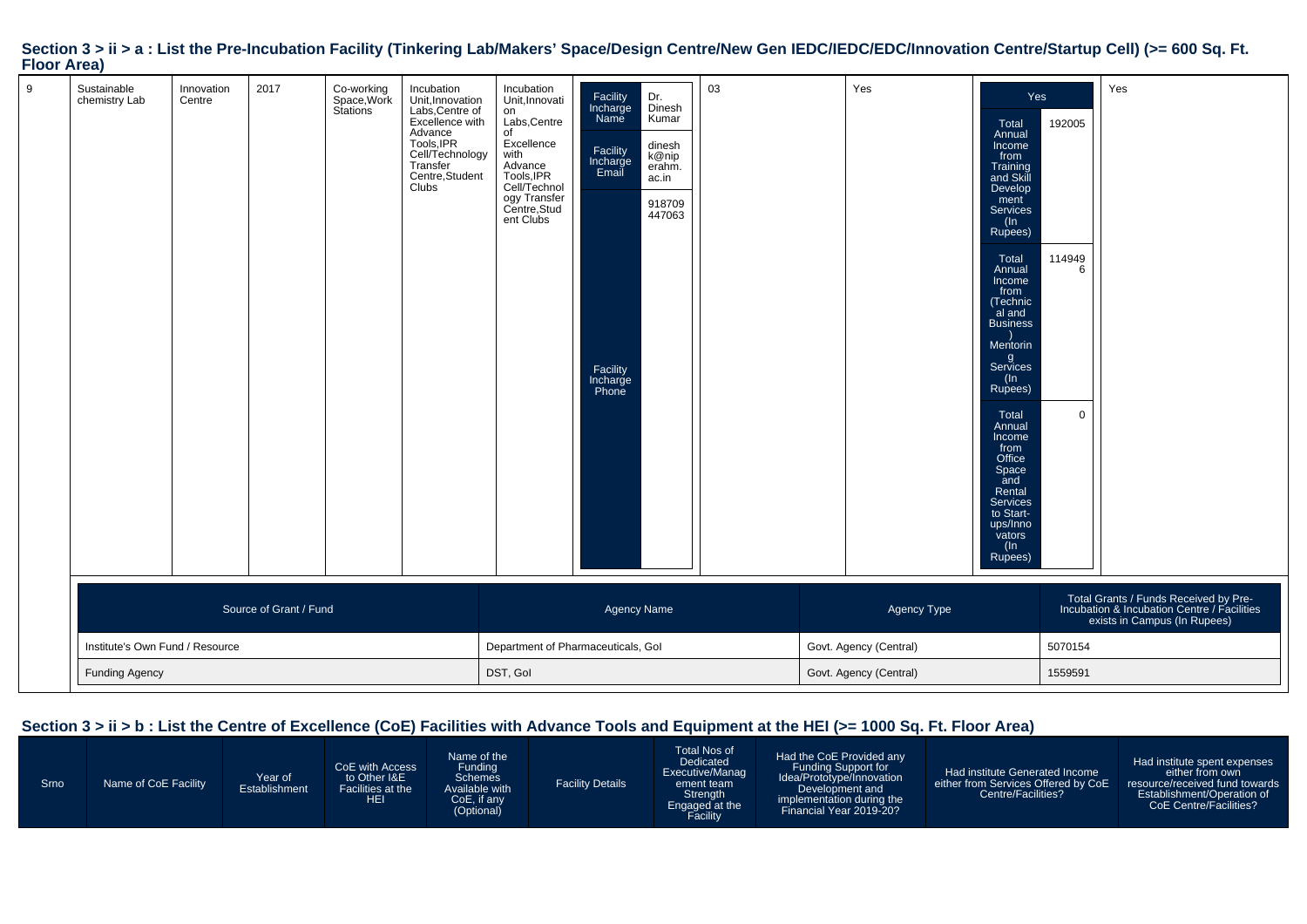|                    |  | Section 3 > ii > a : List the Pre-Incubation Facility (Tinkering Lab/Makers' Space/Design Centre/New Gen IEDC/IEDC/EDC/Innovation Centre/Startup Cell) (>= 600 Sq. Ft. |  |
|--------------------|--|------------------------------------------------------------------------------------------------------------------------------------------------------------------------|--|
| <b>Floor Area)</b> |  |                                                                                                                                                                        |  |

| 9 | Sustainable<br>chemistry Lab    | Innovation<br>Centre  | 2017                   | Co-working<br>Space, Work<br>Stations | Incubation<br>Unit, Innovation<br>Labs, Centre of<br>Excellence with<br>Advance<br>Tools, IPR<br>Cell/Technology<br>Transfer<br>Centre, Student<br>Clubs | Incubation<br>Unit, Innovati<br>on<br>Labs, Centre<br>of<br>Excellence<br>with<br>Advance<br>Tools, IPR<br>Cell/Technol<br>ogy Transfer<br>Centre, Stud<br>ent Clubs | Dr.<br>Facility<br>Incharge<br>Name<br>Dinesh<br>Kumar<br>dinesh<br>Facility<br>Incharge<br>k@nip<br>erahm.<br>Email<br>ac.in<br>918709<br>447063<br>Facility<br>Incharge<br>Phone | 03                     | Yes                    | Total<br>Annual<br>Income<br>from<br>Training<br>and Skill<br>Develop<br>ment<br>Services<br>(In<br>Rupees)<br>Total<br>Annual<br>Income<br>from<br>(Technic<br>al and<br><b>Business</b><br>Mentorin<br>g<br>Services<br>(ln<br>Rupees)<br>Total<br>Annual<br>Income<br>from<br>Office<br>Space<br>and<br>Rental<br>Services<br>to Start-<br>ups/Inno<br>vators<br>(In<br>Rupees) | Yes<br>192005<br>114949<br>6<br>$\Omega$ | Yes                                                                                                                  |
|---|---------------------------------|-----------------------|------------------------|---------------------------------------|----------------------------------------------------------------------------------------------------------------------------------------------------------|----------------------------------------------------------------------------------------------------------------------------------------------------------------------|------------------------------------------------------------------------------------------------------------------------------------------------------------------------------------|------------------------|------------------------|------------------------------------------------------------------------------------------------------------------------------------------------------------------------------------------------------------------------------------------------------------------------------------------------------------------------------------------------------------------------------------|------------------------------------------|----------------------------------------------------------------------------------------------------------------------|
|   |                                 |                       | Source of Grant / Fund |                                       |                                                                                                                                                          |                                                                                                                                                                      | <b>Agency Name</b>                                                                                                                                                                 |                        | Agency Type            |                                                                                                                                                                                                                                                                                                                                                                                    |                                          | Total Grants / Funds Received by Pre-<br>Incubation & Incubation Centre / Facilities<br>exists in Campus (In Rupees) |
|   | Institute's Own Fund / Resource |                       |                        |                                       |                                                                                                                                                          |                                                                                                                                                                      | Department of Pharmaceuticals, Gol                                                                                                                                                 |                        | Govt. Agency (Central) |                                                                                                                                                                                                                                                                                                                                                                                    | 5070154                                  |                                                                                                                      |
|   |                                 | <b>Funding Agency</b> |                        |                                       | DST, Gol                                                                                                                                                 |                                                                                                                                                                      |                                                                                                                                                                                    | Govt. Agency (Central) |                        | 1559591                                                                                                                                                                                                                                                                                                                                                                            |                                          |                                                                                                                      |

## **Section 3 > ii > b : List the Centre of Excellence (CoE) Facilities with Advance Tools and Equipment at the HEI (>= 1000 Sq. Ft. Floor Area)**

| Srno | Name of CoE Facility | Year of<br>Establishment | CoE with Access<br>to Other I&E<br>Facilities at the<br>HEI | Name of the<br>Funding<br>Schemes<br>Available with<br>CoE, if any<br>(Optional) | <b>Facility Details</b> | Total Nos of<br>Dedicated<br>Executive/Manag<br>ement team<br>Strength<br>Engaged at the<br>Facility | Had the CoE Provided any<br><b>Funding Support for</b><br>Idea/Prototype/Innovation<br>Development and<br>implementation during the<br>Financial Year 2019-20? | Had institute Generated Income<br>either from Services Offered by CoE<br>Centre/Facilities? | Had institute spent expenses<br>either from own<br>resource/received fund towards<br>Establishment/Operation of<br>CoE Centre/Facilities? |
|------|----------------------|--------------------------|-------------------------------------------------------------|----------------------------------------------------------------------------------|-------------------------|------------------------------------------------------------------------------------------------------|----------------------------------------------------------------------------------------------------------------------------------------------------------------|---------------------------------------------------------------------------------------------|-------------------------------------------------------------------------------------------------------------------------------------------|
|------|----------------------|--------------------------|-------------------------------------------------------------|----------------------------------------------------------------------------------|-------------------------|------------------------------------------------------------------------------------------------------|----------------------------------------------------------------------------------------------------------------------------------------------------------------|---------------------------------------------------------------------------------------------|-------------------------------------------------------------------------------------------------------------------------------------------|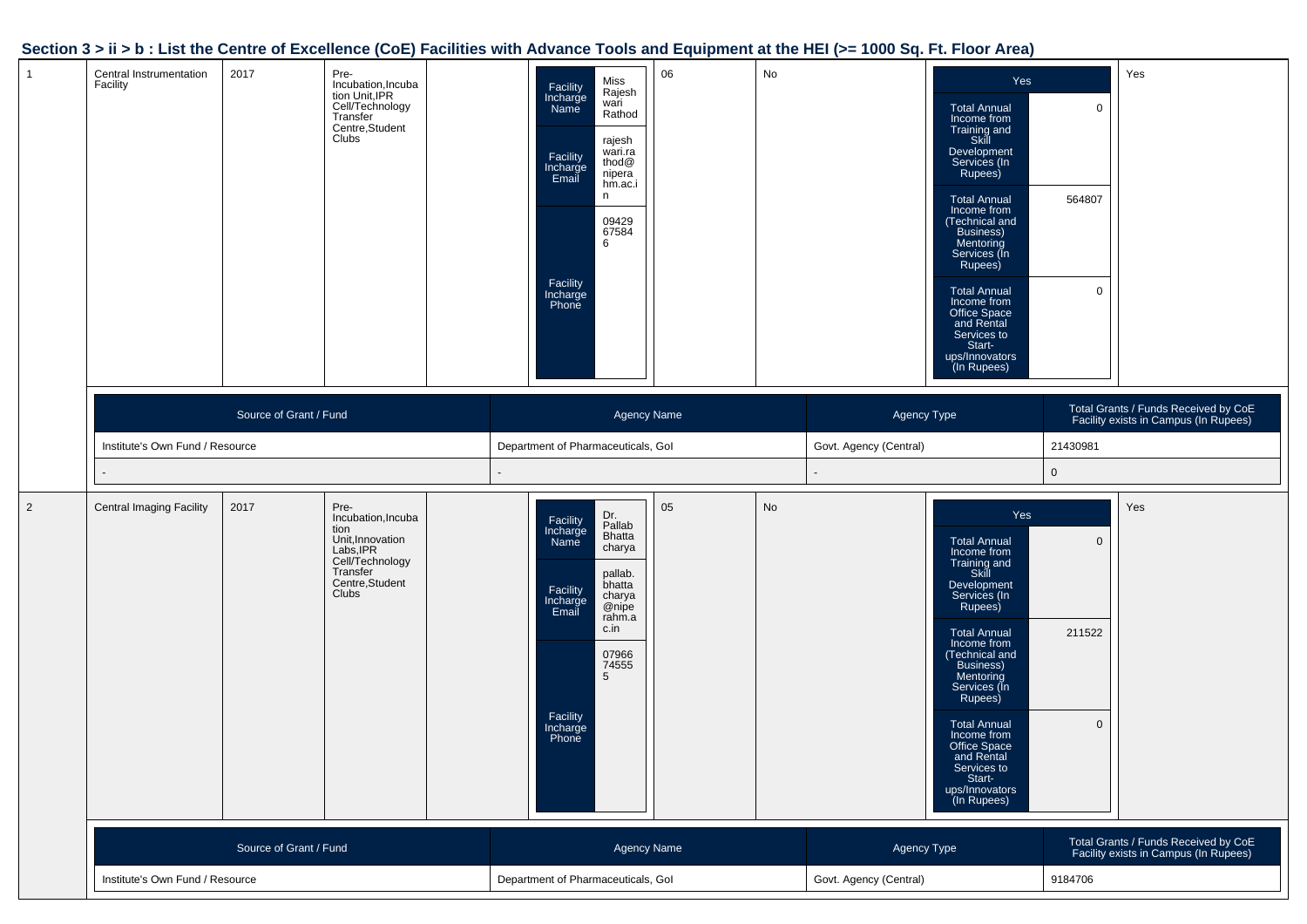### **Section 3 > ii > b : List the Centre of Excellence (CoE) Facilities with Advance Tools and Equipment at the HEI (>= 1000 Sq. Ft. Floor Area)**

|                |                                     |                        |                                                                                                                                |                                                                                                                                                                                                                                    | - 11     |                                       |                                                                                                                                                                                                                                                                                                                                                                   |                                                                               |
|----------------|-------------------------------------|------------------------|--------------------------------------------------------------------------------------------------------------------------------|------------------------------------------------------------------------------------------------------------------------------------------------------------------------------------------------------------------------------------|----------|---------------------------------------|-------------------------------------------------------------------------------------------------------------------------------------------------------------------------------------------------------------------------------------------------------------------------------------------------------------------------------------------------------------------|-------------------------------------------------------------------------------|
| $\mathbf{1}$   | Central Instrumentation<br>Facility | 2017                   | Pre-<br>Incubation, Incuba<br>tion Unit, IPR<br>Cell/Technology<br>Transfer<br>Centre, Student<br>Clubs                        | Miss<br>Facility<br>Rajesh<br>Incharge<br>Name<br>wari<br>Rathod<br>rajesh<br>wari.ra<br>Facility<br>thod@<br>Incharge<br>Email<br>nipera<br>hm.ac.i<br>n<br>09429<br>67584<br>6<br>Facility<br>Incharge<br>Phone                  | No<br>06 |                                       | Yes<br><b>Total Annual</b><br>Income from<br>Training and<br>Skill<br>Development<br>Services (In<br>Rupees)<br>564807<br><b>Total Annual</b><br>Income from<br>(Technical and<br>Business)<br>Mentoring<br>Services (In<br>Rupees)<br><b>Total Annual</b><br>Income from<br>Office Space<br>and Rental<br>Services to<br>Start-<br>ups/Innovators<br>(In Rupees) | Yes<br>$\mathbf 0$<br>$\mathbf 0$                                             |
|                | Institute's Own Fund / Resource     | Source of Grant / Fund |                                                                                                                                | Agency Name<br>Department of Pharmaceuticals, Gol                                                                                                                                                                                  |          | Agency Type<br>Govt. Agency (Central) | 21430981                                                                                                                                                                                                                                                                                                                                                          | Total Grants / Funds Received by CoE<br>Facility exists in Campus (In Rupees) |
|                |                                     |                        |                                                                                                                                |                                                                                                                                                                                                                                    |          |                                       | $\mathbf 0$                                                                                                                                                                                                                                                                                                                                                       |                                                                               |
| $\overline{2}$ | <b>Central Imaging Facility</b>     | 2017                   | Pre-<br>Incubation, Incuba<br>tion<br>Unit, Innovation<br>Labs, IPR<br>Cell/Technology<br>Transfer<br>Centre, Student<br>Clubs | Dr.<br>Facility<br>Pallab<br>Incharge<br>Bhatta<br>Name<br>charya<br>pallab.<br>bhatta<br>Facility<br>charya<br>@nipe<br>Incharge<br>Email<br>rahm.a<br>c.in<br>07966<br>74555<br>$5\overline{)}$<br>Facility<br>Incharge<br>Phone | 05<br>No |                                       | Yes<br><b>Total Annual</b><br>Income from<br>Training and<br>Skill<br>Development<br>Services (In<br>Rupees)<br><b>Total Annual</b><br>211522<br>Income from<br>(Technical and<br>Business)<br>Mentoring<br>Services (In<br>Rupees)<br><b>Total Annual</b><br>Income from<br>Office Space<br>and Rental<br>Services to<br>Start-<br>ups/Innovators<br>(In Rupees) | Yes<br>$\overline{0}$<br>$\mathbf 0$                                          |
|                |                                     | Source of Grant / Fund |                                                                                                                                | Agency Name                                                                                                                                                                                                                        |          | Agency Type                           |                                                                                                                                                                                                                                                                                                                                                                   | Total Grants / Funds Received by CoE<br>Facility exists in Campus (In Rupees) |
|                |                                     |                        |                                                                                                                                |                                                                                                                                                                                                                                    |          |                                       |                                                                                                                                                                                                                                                                                                                                                                   |                                                                               |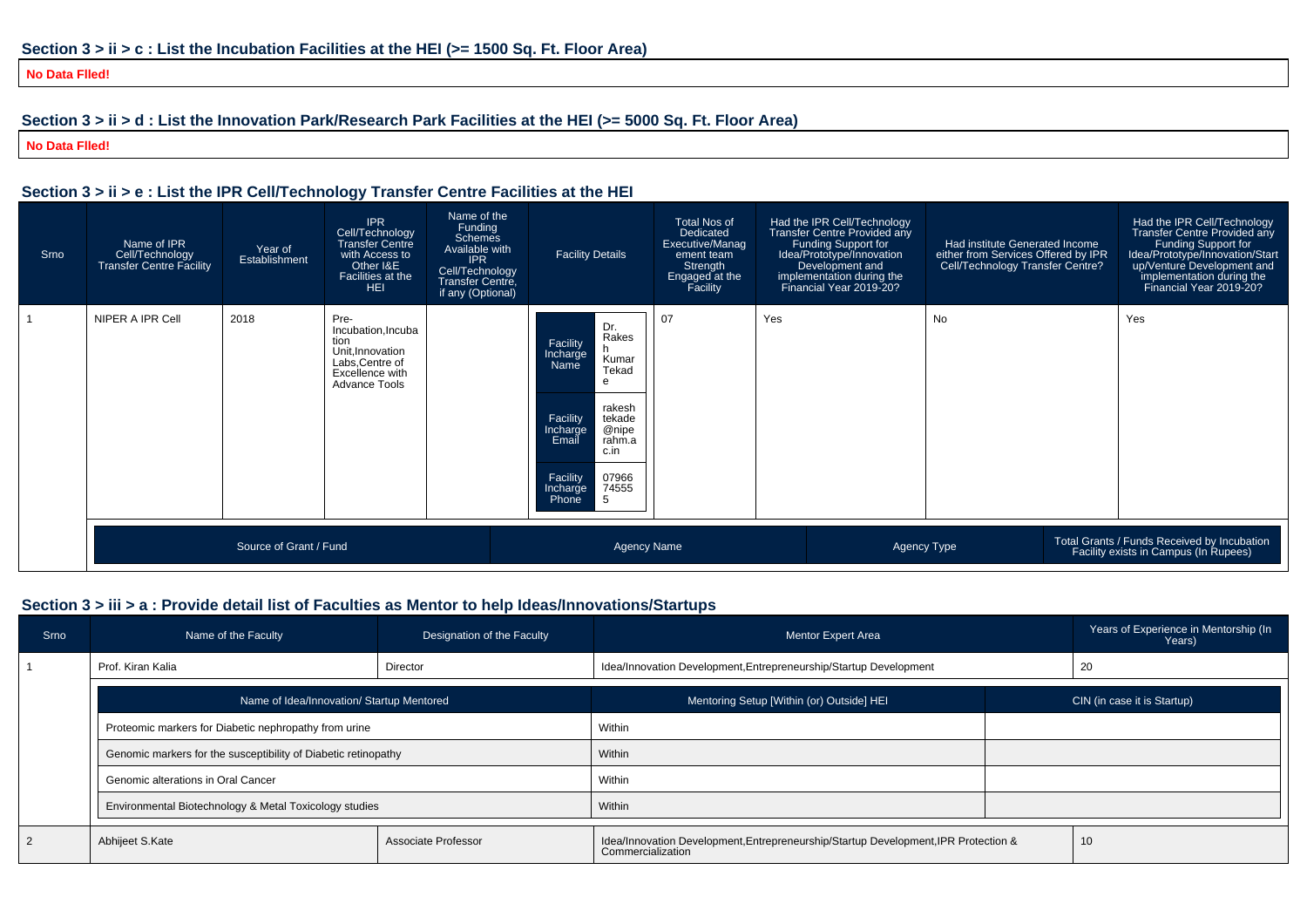**No Data Flled!**

## **Section 3 > ii > d : List the Innovation Park/Research Park Facilities at the HEI (>= 5000 Sq. Ft. Floor Area)**

**No Data Flled!**

### **Section 3 > ii > e : List the IPR Cell/Technology Transfer Centre Facilities at the HEI**

| Srno | Name of IPR<br>Cell/Technology<br><b>Transfer Centre Facility</b> | Year of<br>Establishment | <b>IPR</b><br>Cell/Technology<br><b>Transfer Centre</b><br>with Access to<br>Other I&E<br>Facilities at the<br><b>HEI</b> | Name of the<br>Funding<br><b>Schemes</b><br>Available with<br><b>IPR</b><br>Cell/Technology<br>Transfer Centre,<br>if any (Optional) | <b>Facility Details</b>                                                                                                                                                                                | <b>Total Nos of</b><br>Dedicated<br>Executive/Manag<br>ement team<br>Strength<br>Engaged at the<br>Facility | Had the IPR Cell/Technology<br>Transfer Centre Provided any<br>Funding Support for<br>Idea/Prototype/Innovation<br>Development and<br>implementation during the<br>Financial Year 2019-20? | Had institute Generated Income<br>either from Services Offered by IPR<br>Cell/Technology Transfer Centre? | Had the IPR Cell/Technology<br>Transfer Centre Provided any<br>Funding Support for<br>Idea/Prototype/Innovation/Start<br>up/Venture Development and<br>implementation during the<br>Financial Year 2019-20? |
|------|-------------------------------------------------------------------|--------------------------|---------------------------------------------------------------------------------------------------------------------------|--------------------------------------------------------------------------------------------------------------------------------------|--------------------------------------------------------------------------------------------------------------------------------------------------------------------------------------------------------|-------------------------------------------------------------------------------------------------------------|--------------------------------------------------------------------------------------------------------------------------------------------------------------------------------------------|-----------------------------------------------------------------------------------------------------------|-------------------------------------------------------------------------------------------------------------------------------------------------------------------------------------------------------------|
|      | NIPER A IPR Cell                                                  | 2018                     | Pre-<br>Incubation, Incuba<br>tion<br>Unit, Innovation<br>Labs, Centre of<br>Excellence with<br><b>Advance Tools</b>      |                                                                                                                                      | Dr.<br>Rakes<br>Facility<br>Incharge<br>Name<br>Kumar<br>Tekad<br>rakesh<br>Facility<br>tekade<br>@nipe<br>Incharge<br>Email<br>rahm.a<br>c.in<br>07966<br>Facility<br>74555<br>Incharge<br>Phone<br>5 | 07                                                                                                          | Yes                                                                                                                                                                                        | <b>No</b>                                                                                                 | Yes                                                                                                                                                                                                         |
|      |                                                                   | Source of Grant / Fund   |                                                                                                                           |                                                                                                                                      | <b>Agency Name</b>                                                                                                                                                                                     |                                                                                                             |                                                                                                                                                                                            | Agency Type                                                                                               | Total Grants / Funds Received by Incubation<br>Facility exists in Campus (In Rupees)                                                                                                                        |

### **Section 3 > iii > a : Provide detail list of Faculties as Mentor to help Ideas/Innovations/Startups**

| Srno | Designation of the Faculty<br>Name of the Faculty              |  | Mentor Expert Area                                                                                       | Years of Experience in Mentorship (In<br>Years) |
|------|----------------------------------------------------------------|--|----------------------------------------------------------------------------------------------------------|-------------------------------------------------|
|      | Prof. Kiran Kalia<br>Director                                  |  | Idea/Innovation Development, Entrepreneurship/Startup Development                                        | 20                                              |
|      | Name of Idea/Innovation/ Startup Mentored                      |  | Mentoring Setup [Within (or) Outside] HEI                                                                | CIN (in case it is Startup)                     |
|      | Proteomic markers for Diabetic nephropathy from urine          |  | Within                                                                                                   |                                                 |
|      | Genomic markers for the susceptibility of Diabetic retinopathy |  | Within                                                                                                   |                                                 |
|      | Genomic alterations in Oral Cancer                             |  | Within                                                                                                   |                                                 |
|      | Environmental Biotechnology & Metal Toxicology studies         |  | Within                                                                                                   |                                                 |
|      | Abhijeet S.Kate<br>Associate Professor                         |  | Idea/Innovation Development, Entrepreneurship/Startup Development, IPR Protection &<br>Commercialization | 10                                              |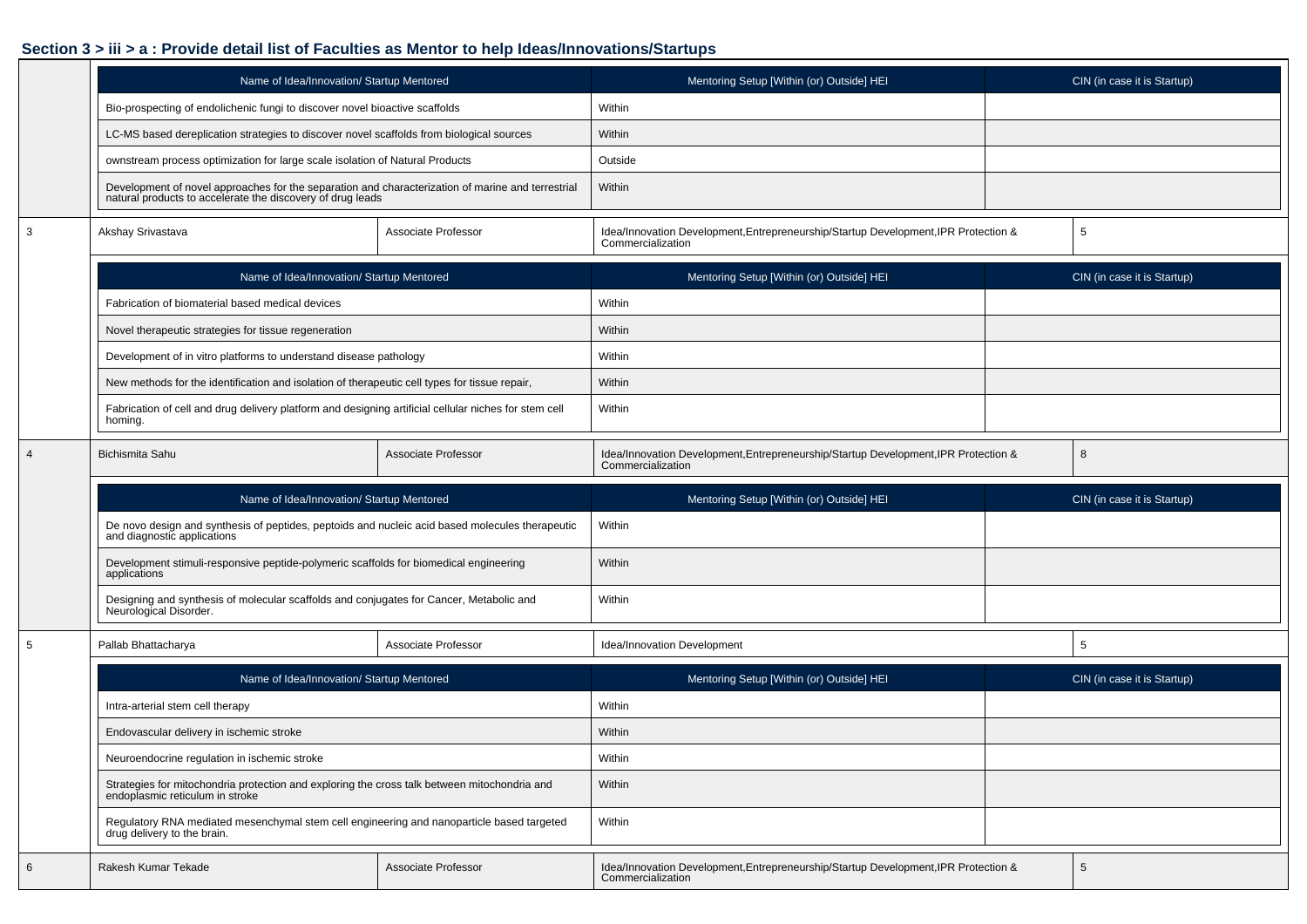## **Section 3 > iii > a : Provide detail list of Faculties as Mentor to help Ideas/Innovations/Startups**

|                | Name of Idea/Innovation/ Startup Mentored                                                                                                                    |                     | Mentoring Setup [Within (or) Outside] HEI                                                                | CIN (in case it is Startup) |  |  |
|----------------|--------------------------------------------------------------------------------------------------------------------------------------------------------------|---------------------|----------------------------------------------------------------------------------------------------------|-----------------------------|--|--|
|                | Bio-prospecting of endolichenic fungi to discover novel bioactive scaffolds                                                                                  |                     | Within                                                                                                   |                             |  |  |
|                | LC-MS based dereplication strategies to discover novel scaffolds from biological sources                                                                     |                     | Within                                                                                                   |                             |  |  |
|                | ownstream process optimization for large scale isolation of Natural Products                                                                                 |                     | Outside                                                                                                  |                             |  |  |
|                | Development of novel approaches for the separation and characterization of marine and terrestrial natural products to accelerate the discovery of drug leads |                     | Within                                                                                                   |                             |  |  |
| 3              | Akshay Srivastava                                                                                                                                            | Associate Professor | Idea/Innovation Development, Entrepreneurship/Startup Development, IPR Protection &<br>Commercialization | 5                           |  |  |
|                | Name of Idea/Innovation/ Startup Mentored                                                                                                                    |                     | Mentoring Setup [Within (or) Outside] HEI                                                                | CIN (in case it is Startup) |  |  |
|                | Fabrication of biomaterial based medical devices                                                                                                             |                     | Within                                                                                                   |                             |  |  |
|                | Novel therapeutic strategies for tissue regeneration                                                                                                         |                     | Within                                                                                                   |                             |  |  |
|                | Development of in vitro platforms to understand disease pathology                                                                                            |                     | Within                                                                                                   |                             |  |  |
|                | New methods for the identification and isolation of therapeutic cell types for tissue repair,                                                                |                     | Within                                                                                                   |                             |  |  |
|                | Fabrication of cell and drug delivery platform and designing artificial cellular niches for stem cell<br>homing.                                             |                     | Within                                                                                                   |                             |  |  |
| $\overline{4}$ | Bichismita Sahu                                                                                                                                              | Associate Professor | Idea/Innovation Development, Entrepreneurship/Startup Development, IPR Protection &<br>Commercialization | 8                           |  |  |
|                |                                                                                                                                                              |                     |                                                                                                          |                             |  |  |
|                | Name of Idea/Innovation/ Startup Mentored                                                                                                                    |                     | Mentoring Setup [Within (or) Outside] HEI                                                                | CIN (in case it is Startup) |  |  |
|                | De novo design and synthesis of peptides, peptoids and nucleic acid based molecules therapeutic and diagnostic applications                                  |                     | Within                                                                                                   |                             |  |  |
|                | Development stimuli-responsive peptide-polymeric scaffolds for biomedical engineering<br>applications                                                        |                     | Within                                                                                                   |                             |  |  |
|                | Designing and synthesis of molecular scaffolds and conjugates for Cancer, Metabolic and<br>Neurological Disorder.                                            |                     | Within                                                                                                   |                             |  |  |
| 5              | Pallab Bhattacharya                                                                                                                                          | Associate Professor | Idea/Innovation Development                                                                              | $5\phantom{.0}$             |  |  |
|                | Name of Idea/Innovation/ Startup Mentored                                                                                                                    |                     | Mentoring Setup [Within (or) Outside] HEI                                                                | CIN (in case it is Startup) |  |  |
|                | Intra-arterial stem cell therapy                                                                                                                             |                     | Within                                                                                                   |                             |  |  |
|                | Endovascular delivery in ischemic stroke                                                                                                                     |                     | Within                                                                                                   |                             |  |  |
|                | Neuroendocrine regulation in ischemic stroke                                                                                                                 |                     | Within                                                                                                   |                             |  |  |
|                | Strategies for mitochondria protection and exploring the cross talk between mitochondria and<br>endoplasmic reticulum in stroke                              |                     | Within                                                                                                   |                             |  |  |
|                | Regulatory RNA mediated mesenchymal stem cell engineering and nanoparticle based targeted<br>drug delivery to the brain.                                     |                     | Within                                                                                                   |                             |  |  |

٦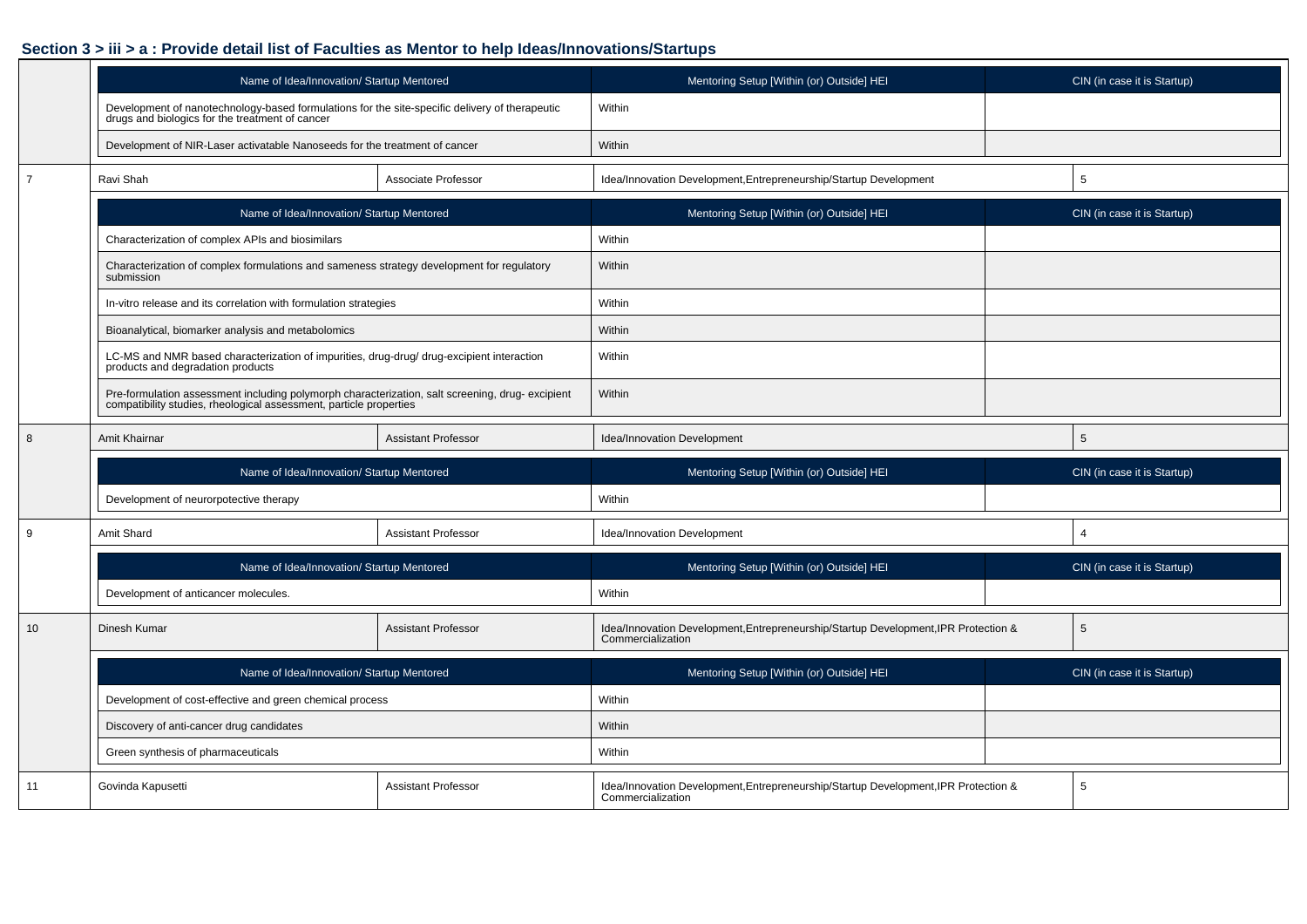## **Section 3 > iii > a : Provide detail list of Faculties as Mentor to help Ideas/Innovations/Startups**

|                  | Name of Idea/Innovation/ Startup Mentored                                                                                                                                               |                            | Mentoring Setup [Within (or) Outside] HEI                                                                | CIN (in case it is Startup) |  |  |
|------------------|-----------------------------------------------------------------------------------------------------------------------------------------------------------------------------------------|----------------------------|----------------------------------------------------------------------------------------------------------|-----------------------------|--|--|
|                  | Development of nanotechnology-based formulations for the site-specific delivery of therapeutic<br>drugs and biologics for the treatment of cancer                                       |                            | Within                                                                                                   |                             |  |  |
|                  | Development of NIR-Laser activatable Nanoseeds for the treatment of cancer                                                                                                              |                            | Within                                                                                                   |                             |  |  |
| $\overline{7}$   | Ravi Shah                                                                                                                                                                               | Associate Professor        | Idea/Innovation Development, Entrepreneurship/Startup Development                                        | 5                           |  |  |
|                  | Name of Idea/Innovation/ Startup Mentored                                                                                                                                               |                            | Mentoring Setup [Within (or) Outside] HEI                                                                | CIN (in case it is Startup) |  |  |
|                  | Characterization of complex APIs and biosimilars                                                                                                                                        |                            | Within                                                                                                   |                             |  |  |
|                  | Characterization of complex formulations and sameness strategy development for regulatory<br>submission                                                                                 |                            | Within                                                                                                   |                             |  |  |
|                  | In-vitro release and its correlation with formulation strategies                                                                                                                        |                            | Within                                                                                                   |                             |  |  |
|                  | Bioanalytical, biomarker analysis and metabolomics                                                                                                                                      |                            | Within                                                                                                   |                             |  |  |
|                  | LC-MS and NMR based characterization of impurities, drug-drug/ drug-excipient interaction<br>products and degradation products                                                          |                            | Within                                                                                                   |                             |  |  |
|                  | Pre-formulation assessment including polymorph characterization, salt screening, drug-excipient compatibility studies, rheological assessment, particle properties                      |                            | Within                                                                                                   |                             |  |  |
| $\boldsymbol{8}$ | Amit Khairnar                                                                                                                                                                           | <b>Assistant Professor</b> | Idea/Innovation Development                                                                              | $5\phantom{.0}$             |  |  |
|                  | Name of Idea/Innovation/ Startup Mentored                                                                                                                                               |                            | Mentoring Setup [Within (or) Outside] HEI                                                                | CIN (in case it is Startup) |  |  |
|                  | Development of neurorpotective therapy                                                                                                                                                  |                            | Within                                                                                                   |                             |  |  |
| 9                | Amit Shard                                                                                                                                                                              | <b>Assistant Professor</b> | Idea/Innovation Development                                                                              | $\boldsymbol{\Delta}$       |  |  |
|                  | Name of Idea/Innovation/ Startup Mentored                                                                                                                                               |                            | Mentoring Setup [Within (or) Outside] HEI                                                                | CIN (in case it is Startup) |  |  |
|                  | Development of anticancer molecules.                                                                                                                                                    |                            | Within                                                                                                   |                             |  |  |
| 10               | Dinesh Kumar                                                                                                                                                                            | <b>Assistant Professor</b> | Idea/Innovation Development, Entrepreneurship/Startup Development, IPR Protection &<br>Commercialization | 5                           |  |  |
|                  | Name of Idea/Innovation/ Startup Mentored<br>Development of cost-effective and green chemical process<br>Discovery of anti-cancer drug candidates<br>Green synthesis of pharmaceuticals |                            | Mentoring Setup [Within (or) Outside] HEI                                                                | CIN (in case it is Startup) |  |  |
|                  |                                                                                                                                                                                         |                            | Within                                                                                                   |                             |  |  |
|                  |                                                                                                                                                                                         |                            | Within                                                                                                   |                             |  |  |
|                  |                                                                                                                                                                                         |                            | Within                                                                                                   |                             |  |  |
| 11               | Govinda Kapusetti<br><b>Assistant Professor</b>                                                                                                                                         |                            | Idea/Innovation Development, Entrepreneurship/Startup Development, IPR Protection &<br>Commercialization | 5                           |  |  |

٦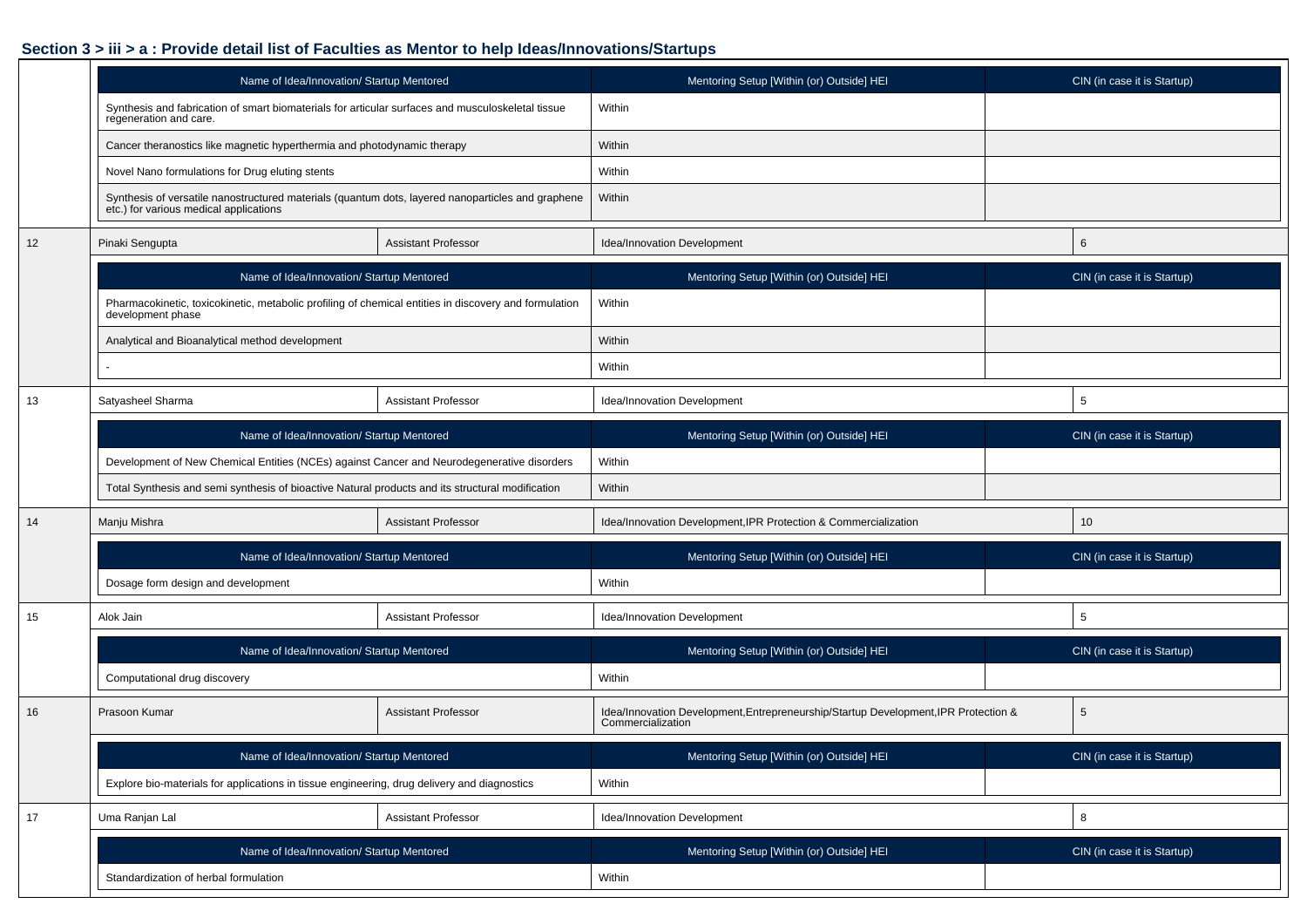## **Section 3 > iii > a : Provide detail list of Faculties as Mentor to help Ideas/Innovations/Startups**

|    | Name of Idea/Innovation/ Startup Mentored                                                                                                |                            | Mentoring Setup [Within (or) Outside] HEI                                                                | CIN (in case it is Startup) |  |  |  |  |  |  |
|----|------------------------------------------------------------------------------------------------------------------------------------------|----------------------------|----------------------------------------------------------------------------------------------------------|-----------------------------|--|--|--|--|--|--|
|    | Synthesis and fabrication of smart biomaterials for articular surfaces and musculoskeletal tissue<br>regeneration and care.              |                            | Within                                                                                                   |                             |  |  |  |  |  |  |
|    | Cancer theranostics like magnetic hyperthermia and photodynamic therapy                                                                  |                            | Within                                                                                                   |                             |  |  |  |  |  |  |
|    | Novel Nano formulations for Drug eluting stents                                                                                          |                            | Within                                                                                                   |                             |  |  |  |  |  |  |
|    | Synthesis of versatile nanostructured materials (quantum dots, layered nanoparticles and graphene etc.) for various medical applications |                            | Within                                                                                                   |                             |  |  |  |  |  |  |
| 12 | Pinaki Sengupta                                                                                                                          | <b>Assistant Professor</b> | Idea/Innovation Development                                                                              | 6                           |  |  |  |  |  |  |
|    | Name of Idea/Innovation/ Startup Mentored                                                                                                |                            | Mentoring Setup [Within (or) Outside] HEI                                                                | CIN (in case it is Startup) |  |  |  |  |  |  |
|    | Pharmacokinetic, toxicokinetic, metabolic profiling of chemical entities in discovery and formulation<br>development phase               |                            | Within                                                                                                   |                             |  |  |  |  |  |  |
|    | Analytical and Bioanalytical method development                                                                                          |                            | Within                                                                                                   |                             |  |  |  |  |  |  |
|    |                                                                                                                                          |                            | Within                                                                                                   |                             |  |  |  |  |  |  |
| 13 | Satyasheel Sharma                                                                                                                        | <b>Assistant Professor</b> | Idea/Innovation Development                                                                              | 5                           |  |  |  |  |  |  |
|    | Name of Idea/Innovation/ Startup Mentored                                                                                                |                            | Mentoring Setup [Within (or) Outside] HEI                                                                | CIN (in case it is Startup) |  |  |  |  |  |  |
|    | Development of New Chemical Entities (NCEs) against Cancer and Neurodegenerative disorders                                               |                            | Within                                                                                                   |                             |  |  |  |  |  |  |
|    | Total Synthesis and semi synthesis of bioactive Natural products and its structural modification                                         |                            | Within                                                                                                   |                             |  |  |  |  |  |  |
| 14 | Manju Mishra                                                                                                                             | <b>Assistant Professor</b> | Idea/Innovation Development, IPR Protection & Commercialization                                          | 10                          |  |  |  |  |  |  |
|    | Name of Idea/Innovation/ Startup Mentored                                                                                                |                            | Mentoring Setup [Within (or) Outside] HEI                                                                | CIN (in case it is Startup) |  |  |  |  |  |  |
|    | Dosage form design and development                                                                                                       |                            | Within                                                                                                   |                             |  |  |  |  |  |  |
| 15 | Alok Jain                                                                                                                                | <b>Assistant Professor</b> | Idea/Innovation Development                                                                              | 5                           |  |  |  |  |  |  |
|    | Name of Idea/Innovation/ Startup Mentored                                                                                                |                            | Mentoring Setup [Within (or) Outside] HEI                                                                | CIN (in case it is Startup) |  |  |  |  |  |  |
|    | Computational drug discovery                                                                                                             |                            | Within                                                                                                   |                             |  |  |  |  |  |  |
| 16 | Prasoon Kumar                                                                                                                            | <b>Assistant Professor</b> | Idea/Innovation Development, Entrepreneurship/Startup Development, IPR Protection &<br>Commercialization | 5                           |  |  |  |  |  |  |
|    | Name of Idea/Innovation/ Startup Mentored                                                                                                |                            | Mentoring Setup [Within (or) Outside] HEI                                                                | CIN (in case it is Startup) |  |  |  |  |  |  |
|    | Explore bio-materials for applications in tissue engineering, drug delivery and diagnostics                                              |                            | Within                                                                                                   |                             |  |  |  |  |  |  |
| 17 | Uma Ranjan Lal                                                                                                                           | Assistant Professor        | Idea/Innovation Development                                                                              | 8                           |  |  |  |  |  |  |
|    | Name of Idea/Innovation/ Startup Mentored                                                                                                |                            | Mentoring Setup [Within (or) Outside] HEI                                                                | CIN (in case it is Startup) |  |  |  |  |  |  |
|    | Standardization of herbal formulation                                                                                                    |                            | Within                                                                                                   |                             |  |  |  |  |  |  |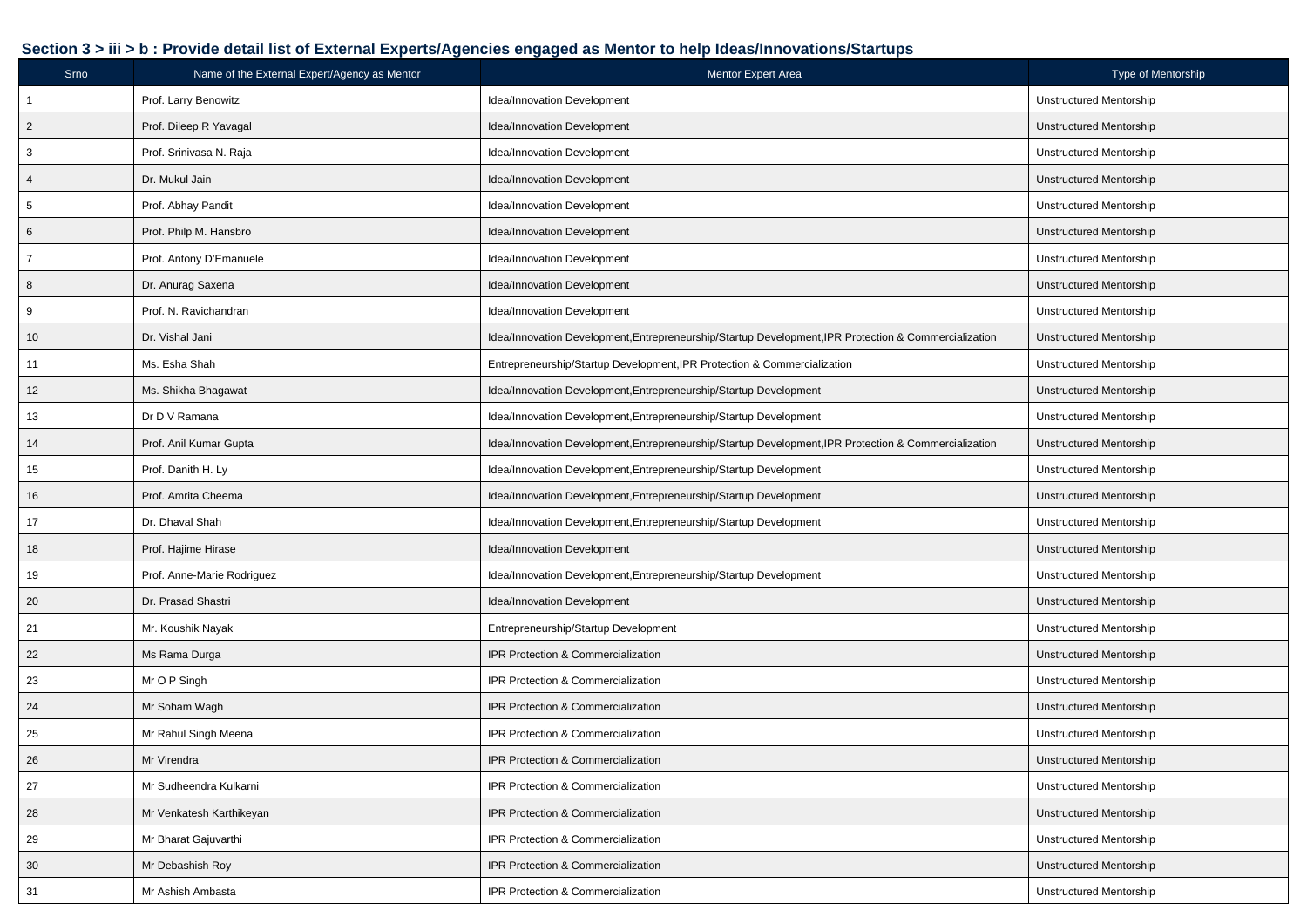## **Section 3 > iii > b : Provide detail list of External Experts/Agencies engaged as Mentor to help Ideas/Innovations/Startups**

| Srno           | Name of the External Expert/Agency as Mentor | Mentor Expert Area                                                                                    | Type of Mentorship             |
|----------------|----------------------------------------------|-------------------------------------------------------------------------------------------------------|--------------------------------|
| $\overline{1}$ | Prof. Larry Benowitz                         | Idea/Innovation Development                                                                           | Unstructured Mentorship        |
| $\overline{c}$ | Prof. Dileep R Yavagal                       | Idea/Innovation Development                                                                           | <b>Unstructured Mentorship</b> |
| $\mathbf{3}$   | Prof. Srinivasa N. Raja                      | Idea/Innovation Development                                                                           | <b>Unstructured Mentorship</b> |
| $\overline{4}$ | Dr. Mukul Jain                               | Idea/Innovation Development                                                                           | <b>Unstructured Mentorship</b> |
| $\sqrt{5}$     | Prof. Abhay Pandit                           | Idea/Innovation Development                                                                           | Unstructured Mentorship        |
| 6              | Prof. Philp M. Hansbro                       | Idea/Innovation Development                                                                           | <b>Unstructured Mentorship</b> |
| $\overline{7}$ | Prof. Antony D'Emanuele                      | Idea/Innovation Development                                                                           | <b>Unstructured Mentorship</b> |
| 8              | Dr. Anurag Saxena                            | Idea/Innovation Development                                                                           | <b>Unstructured Mentorship</b> |
| 9              | Prof. N. Ravichandran                        | Idea/Innovation Development                                                                           | <b>Unstructured Mentorship</b> |
| 10             | Dr. Vishal Jani                              | Idea/Innovation Development, Entrepreneurship/Startup Development, IPR Protection & Commercialization | <b>Unstructured Mentorship</b> |
| 11             | Ms. Esha Shah                                | Entrepreneurship/Startup Development, IPR Protection & Commercialization                              | Unstructured Mentorship        |
| 12             | Ms. Shikha Bhagawat                          | Idea/Innovation Development, Entrepreneurship/Startup Development                                     | <b>Unstructured Mentorship</b> |
| 13             | Dr D V Ramana                                | Idea/Innovation Development, Entrepreneurship/Startup Development                                     | <b>Unstructured Mentorship</b> |
| 14             | Prof. Anil Kumar Gupta                       | Idea/Innovation Development, Entrepreneurship/Startup Development, IPR Protection & Commercialization | <b>Unstructured Mentorship</b> |
| 15             | Prof. Danith H. Ly                           | Idea/Innovation Development, Entrepreneurship/Startup Development                                     | <b>Unstructured Mentorship</b> |
| 16             | Prof. Amrita Cheema                          | Idea/Innovation Development, Entrepreneurship/Startup Development                                     | <b>Unstructured Mentorship</b> |
| 17             | Dr. Dhaval Shah                              | Idea/Innovation Development, Entrepreneurship/Startup Development                                     | Unstructured Mentorship        |
| 18             | Prof. Hajime Hirase                          | Idea/Innovation Development                                                                           | Unstructured Mentorship        |
| 19             | Prof. Anne-Marie Rodriguez                   | Idea/Innovation Development, Entrepreneurship/Startup Development                                     | <b>Unstructured Mentorship</b> |
| 20             | Dr. Prasad Shastri                           | Idea/Innovation Development                                                                           | <b>Unstructured Mentorship</b> |
| 21             | Mr. Koushik Nayak                            | Entrepreneurship/Startup Development                                                                  | <b>Unstructured Mentorship</b> |
| 22             | Ms Rama Durga                                | IPR Protection & Commercialization                                                                    | Unstructured Mentorship        |
| 23             | Mr O P Singh                                 | IPR Protection & Commercialization                                                                    | Unstructured Mentorship        |
| 24             | Mr Soham Wagh                                | IPR Protection & Commercialization                                                                    | Unstructured Mentorship        |
| 25             | Mr Rahul Singh Meena                         | IPR Protection & Commercialization                                                                    | Unstructured Mentorship        |
| 26             | Mr Virendra                                  | IPR Protection & Commercialization                                                                    | Unstructured Mentorship        |
| 27             | Mr Sudheendra Kulkarni                       | IPR Protection & Commercialization                                                                    | <b>Unstructured Mentorship</b> |
| 28             | Mr Venkatesh Karthikeyan                     | IPR Protection & Commercialization                                                                    | <b>Unstructured Mentorship</b> |
| 29             | Mr Bharat Gajuvarthi                         | IPR Protection & Commercialization                                                                    | <b>Unstructured Mentorship</b> |
| 30             | Mr Debashish Roy                             | IPR Protection & Commercialization                                                                    | <b>Unstructured Mentorship</b> |
| 31             | Mr Ashish Ambasta                            | IPR Protection & Commercialization                                                                    | <b>Unstructured Mentorship</b> |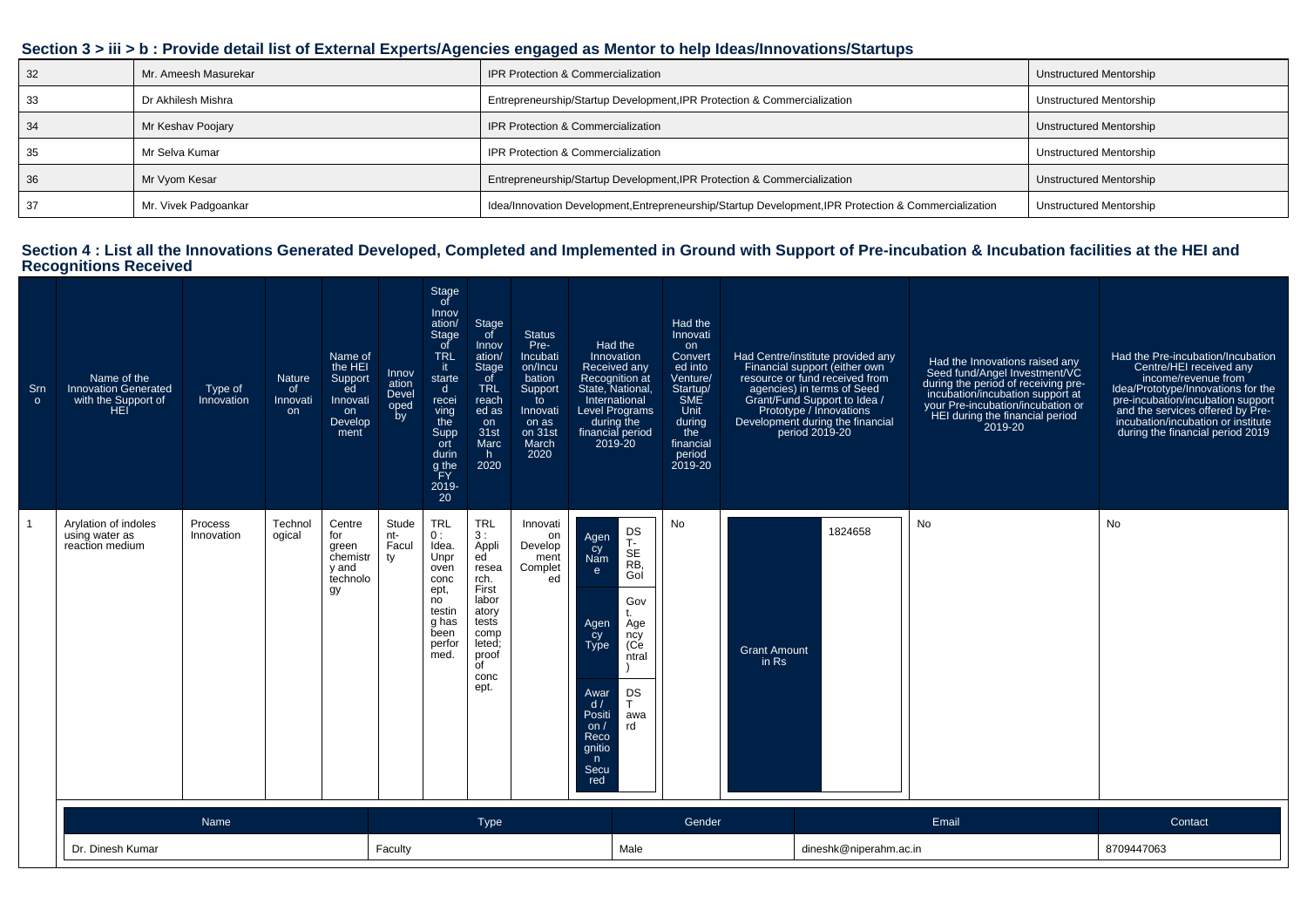| Section 3 > iii > b : Provide detail list of External Experts/Agencies engaged as Mentor to help Ideas/Innovations/Startups |  |
|-----------------------------------------------------------------------------------------------------------------------------|--|
|                                                                                                                             |  |

| 32 | Mr. Ameesh Masurekar | IPR Protection & Commercialization                                                                    | Unstructured Mentorship |
|----|----------------------|-------------------------------------------------------------------------------------------------------|-------------------------|
| 33 | Dr Akhilesh Mishra   | Entrepreneurship/Startup Development, IPR Protection & Commercialization                              | Unstructured Mentorship |
| 34 | Mr Keshav Poojary    | IPR Protection & Commercialization                                                                    | Unstructured Mentorship |
| 35 | Mr Selva Kumar       | <b>IPR Protection &amp; Commercialization</b>                                                         | Unstructured Mentorship |
| 36 | Mr Vyom Kesar        | Entrepreneurship/Startup Development, IPR Protection & Commercialization                              | Unstructured Mentorship |
|    | Mr. Vivek Padgoankar | Idea/Innovation Development, Entrepreneurship/Startup Development, IPR Protection & Commercialization | Unstructured Mentorship |

## **Section 4 : List all the Innovations Generated Developed, Completed and Implemented in Ground with Support of Pre-incubation & Incubation facilities at the HEI and Recognitions Received**

| Srn<br>$\circ$ | Name of the<br><b>Innovation Generated</b><br>with the Support of<br><b>HEI</b> | Type of<br>Innovation | Nature<br><sub>of</sub><br>Innovati<br>on | Name of<br>the HEI<br>Support<br>ed<br>Innovati<br>on<br>Develop<br>ment | Innov<br>ation<br>Devel<br>oped<br>by | Stage<br>of<br>Innov<br>ation/<br>Stage<br>-of<br><b>TRL</b><br>it.<br>starte<br>$\mathsf{d}$<br>recei<br>ving<br>the<br>Supp<br>ort<br>durin<br>g the<br>PFY<br>2019-<br>20 | Stage<br>of<br>Innov<br>ation/<br><b>Stage</b><br>of<br><b>TRL</b><br>reach<br>ed as<br>on<br>31st<br>Marc<br>h.<br>2020              | <b>Status</b><br>Pre-<br>Incubati<br>on/Incu<br>bation<br>Support<br>to<br>Innovati<br>on as<br>on 31st<br>March<br>2020 | Had the<br>Innovation<br>Received any<br>Recognition at<br>State, National.<br>International<br><b>Level Programs</b><br>during the<br>financial period<br>2019-20 |                                                                                      | Had the<br>Innovati<br>on<br>Convert<br>ed into<br>Venture/<br>Startup/<br>SME<br>Unit<br>during<br>the<br>financial<br>period<br>2019-20 |                              | Had Centre/institute provided any<br>Financial support (either own<br>resource or fund received from<br>agencies) in terms of Seed<br>Grant/Fund Support to Idea /<br>Prototype / Innovations<br>Development during the financial<br>period 2019-20 | Had the Innovations raised any<br>Seed fund/Angel Investment/VC<br>during the period of receiving pre-<br>incubation/incubation support at<br>your Pre-incubation/incubation or<br>HEI during the financial period<br>2019-20 | Had the Pre-incubation/Incubation<br>Centre/HEI received any<br>income/revenue from<br>Idea/Prototype/Innovations for the<br>pre-incubation/incubation support<br>and the services offered by Pre-<br>incubation/incubation or institute<br>during the financial period 2019 |
|----------------|---------------------------------------------------------------------------------|-----------------------|-------------------------------------------|--------------------------------------------------------------------------|---------------------------------------|------------------------------------------------------------------------------------------------------------------------------------------------------------------------------|---------------------------------------------------------------------------------------------------------------------------------------|--------------------------------------------------------------------------------------------------------------------------|--------------------------------------------------------------------------------------------------------------------------------------------------------------------|--------------------------------------------------------------------------------------|-------------------------------------------------------------------------------------------------------------------------------------------|------------------------------|-----------------------------------------------------------------------------------------------------------------------------------------------------------------------------------------------------------------------------------------------------|-------------------------------------------------------------------------------------------------------------------------------------------------------------------------------------------------------------------------------|------------------------------------------------------------------------------------------------------------------------------------------------------------------------------------------------------------------------------------------------------------------------------|
|                | Arylation of indoles<br>using water as<br>reaction medium                       | Process<br>Innovation | Technol<br>ogical                         | Centre<br>for<br>green<br>chemistr<br>v and<br>technolo<br>gy            | Stude<br>nt-<br>Facul<br>ty           | <b>TRL</b><br>0:<br>Idea.<br>Unpr<br>oven<br>conc<br>ept,<br>no<br>testin<br>g has<br>been<br>perfor<br>med.                                                                 | <b>TRL</b><br>3:<br>Appli<br>ed<br>resea<br>rch.<br>First<br>labor<br>atory<br>tests<br>comp<br>leted;<br>proof<br>of<br>conc<br>ept. | Innovati<br>on<br>Develop<br>ment<br>Complet<br>ed                                                                       | Agen<br>čy<br>Nam<br>$\mathbf{e}$<br>Agen<br>cy<br>Type<br>Awar<br>d/<br>Positi<br>on/<br>Reco<br>gnitio<br>n<br>Secu<br>red                                       | DS<br>T-<br>SE<br>RB,<br>Gol<br>Gov<br>Age<br>ncy<br>(Ce<br>ntral<br>DS<br>awa<br>rd | No                                                                                                                                        | <b>Grant Amount</b><br>in Rs | 1824658                                                                                                                                                                                                                                             | <b>No</b>                                                                                                                                                                                                                     | No                                                                                                                                                                                                                                                                           |
|                | Name<br>Type                                                                    |                       |                                           |                                                                          |                                       |                                                                                                                                                                              |                                                                                                                                       |                                                                                                                          |                                                                                                                                                                    |                                                                                      | Gender                                                                                                                                    | Email                        |                                                                                                                                                                                                                                                     |                                                                                                                                                                                                                               | Contact                                                                                                                                                                                                                                                                      |
|                | Dr. Dinesh Kumar<br>Faculty                                                     |                       |                                           |                                                                          |                                       |                                                                                                                                                                              |                                                                                                                                       |                                                                                                                          |                                                                                                                                                                    | Male                                                                                 |                                                                                                                                           |                              | dineshk@niperahm.ac.in                                                                                                                                                                                                                              |                                                                                                                                                                                                                               | 8709447063                                                                                                                                                                                                                                                                   |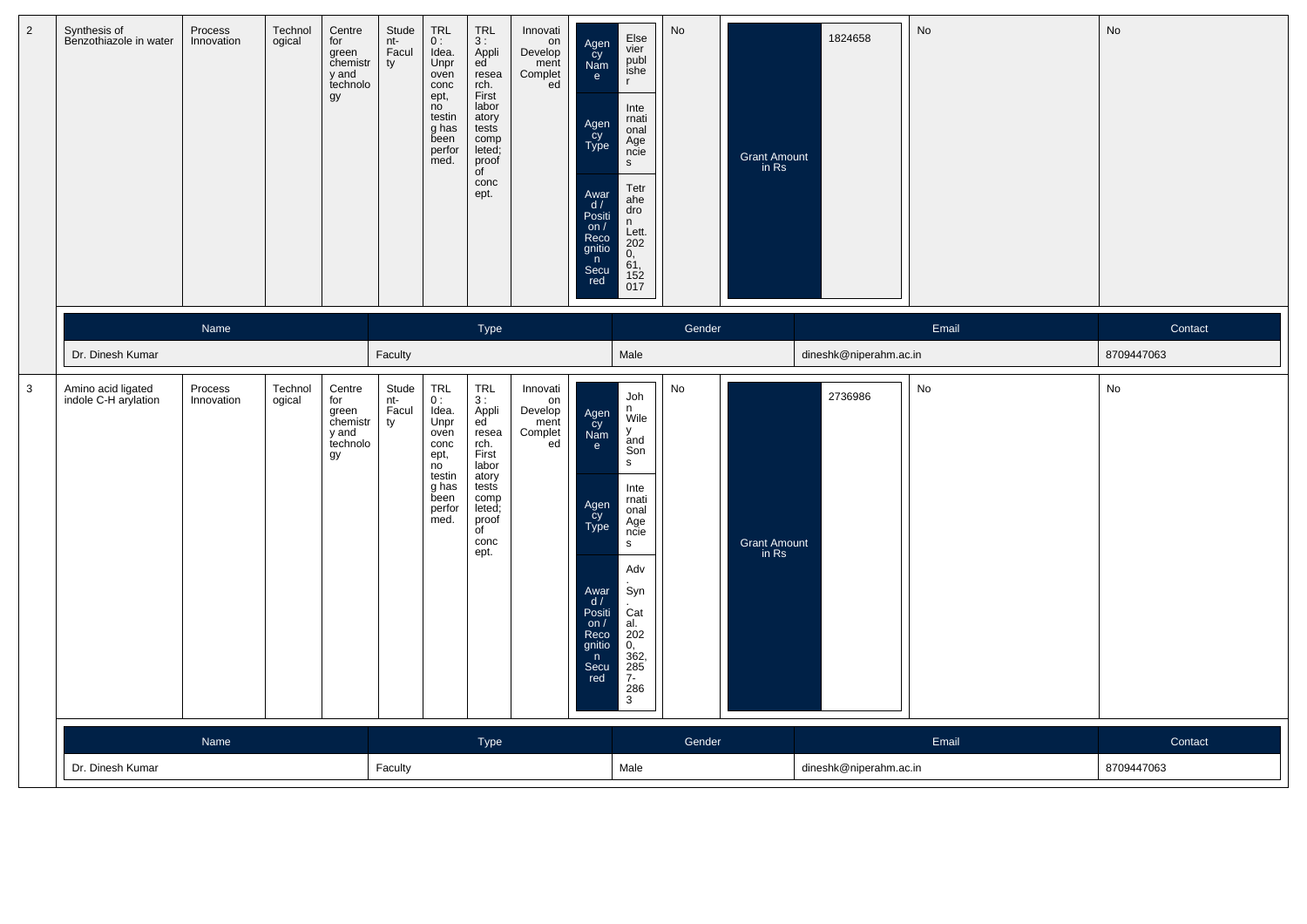| $\overline{2}$ | Synthesis of<br>Benzothiazole in water     | Process<br>Innovation | Technol<br>ogical | Centre<br>for<br>green<br>chemistr<br>y and<br>technolo<br>gy | Stude<br>nt-<br>Facul<br>ty | <b>TRL</b><br>0:<br>Idea.<br>Unpr<br>oven<br>conc<br>ept,<br>no<br>testin<br>g has<br>been<br>perfor<br>med. | <b>TRL</b><br>3:<br>Appli<br>ed<br>resea<br>rch.<br>First<br>labor<br>atory<br>tests<br>comp<br>leted;<br>proof<br>$\overline{C}$<br>conc<br>ept. | Innovati<br>on<br>Develop<br>ment<br>Complet<br>ed | Agen<br>Cy<br>Nam<br>$\mathbf{e}$<br>Agen<br>cy<br>Type<br>Awar<br>d /<br>Positi<br>on /<br>Reco<br>gnitio<br>n<br>Secu<br>red | Else<br>vier<br>publ<br>ishe<br>$\mathsf{r}$<br>Inte<br>rnati<br>onal<br>Age<br>ncie<br>s<br>Tetr<br>ahe<br>dro<br>n<br>Lett.<br>202<br>$\mathbf{0},$<br>61,<br>$\frac{152}{017}$ | No                     | <b>Grant Amount</b><br>in Rs | 1824658                | No    | No         |
|----------------|--------------------------------------------|-----------------------|-------------------|---------------------------------------------------------------|-----------------------------|--------------------------------------------------------------------------------------------------------------|---------------------------------------------------------------------------------------------------------------------------------------------------|----------------------------------------------------|--------------------------------------------------------------------------------------------------------------------------------|-----------------------------------------------------------------------------------------------------------------------------------------------------------------------------------|------------------------|------------------------------|------------------------|-------|------------|
|                |                                            | Name                  |                   |                                                               |                             |                                                                                                              | Type                                                                                                                                              |                                                    |                                                                                                                                |                                                                                                                                                                                   | Gender                 |                              |                        | Email | Contact    |
|                | Dr. Dinesh Kumar                           |                       |                   |                                                               | Faculty                     |                                                                                                              |                                                                                                                                                   |                                                    |                                                                                                                                | Male                                                                                                                                                                              |                        |                              | dineshk@niperahm.ac.in |       | 8709447063 |
| $\mathbf{3}$   | Amino acid ligated<br>indole C-H arylation | Process<br>Innovation | Technol<br>ogical | Centre<br>for<br>green<br>chemistr<br>y and<br>technolo<br>gy | Stude<br>nt-<br>Facul<br>ty | TRL<br>0:<br>Idea.<br>Unpr<br>oven<br>conc<br>ept,<br>no<br>testin<br>g has<br>been<br>perfor<br>med.        | $TRL$<br>3 :<br>Appli<br>ed<br>resea<br>rch.<br>First<br>labor<br>atory<br>tests<br>comp<br>leted;<br>proof<br>of<br>conc<br>ept.                 | Innovati<br>on<br>Develop<br>ment<br>Complet<br>ed | Agen<br>cy<br>Nam<br>e<br>Agen<br>Cy<br>Type<br>Awar<br>d/<br>Positi<br>on $/$<br>Reco<br>gnitio<br>n<br>Secu<br>red           | Joh<br>n<br>Wile<br>У<br>and<br>Son<br>s<br>Inte<br>rnati<br>onal<br>Age<br>ncie<br>s<br>Adv<br>Syn<br>Cat<br>al.<br>202<br>0.<br>$\frac{362}{285}$<br>$7-$<br>286<br>3           | No                     | <b>Grant Amount</b><br>in Rs | 2736986                | No    | No         |
|                |                                            | Name                  |                   |                                                               |                             |                                                                                                              | Type                                                                                                                                              |                                                    |                                                                                                                                |                                                                                                                                                                                   | Gender                 |                              |                        | Email | Contact    |
|                | Dr. Dinesh Kumar                           |                       | Faculty           |                                                               |                             |                                                                                                              |                                                                                                                                                   | Male                                               |                                                                                                                                |                                                                                                                                                                                   | dineshk@niperahm.ac.in |                              | 8709447063             |       |            |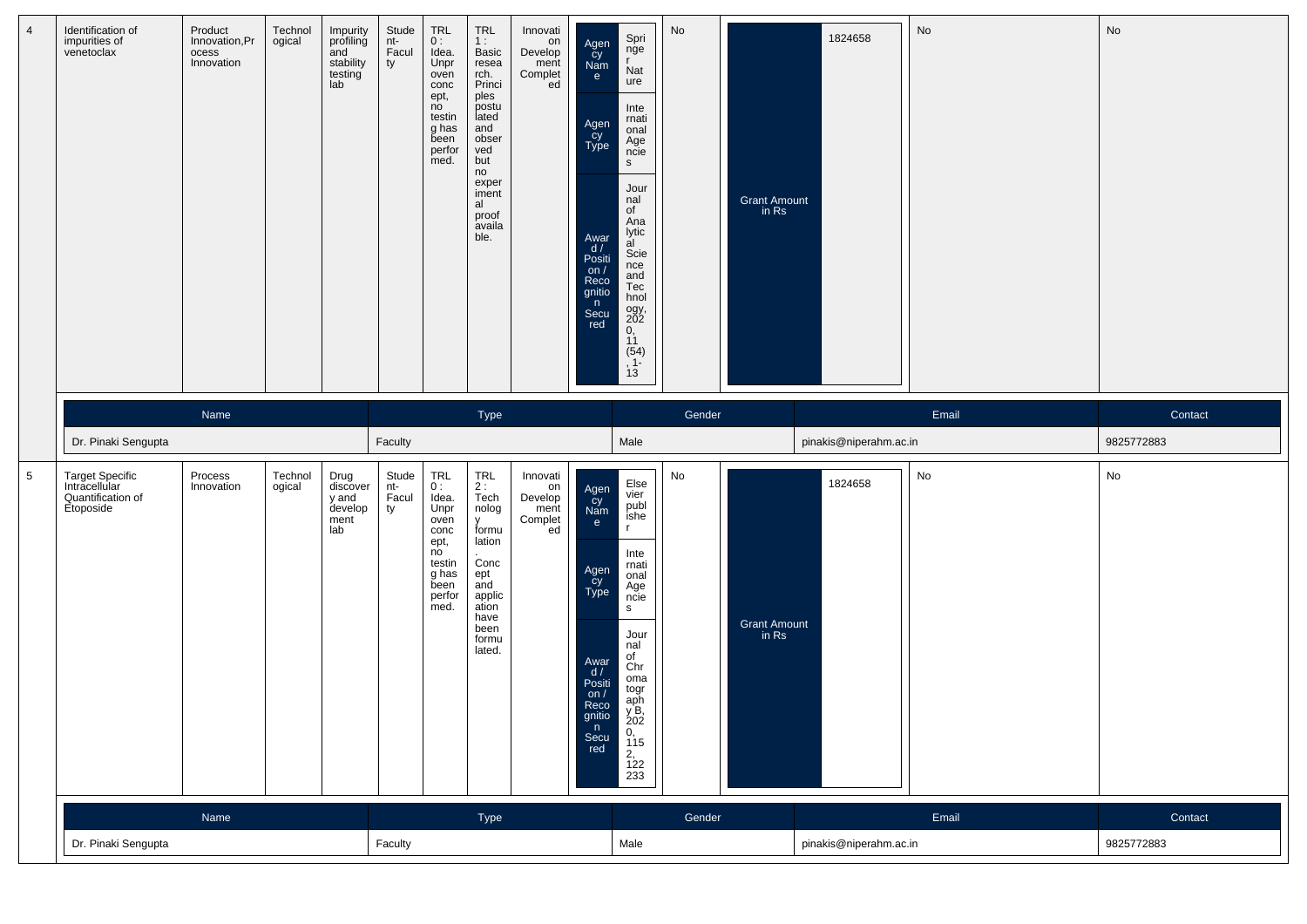| $\overline{4}$  | Identification of<br>impurities of<br>venetoclax                   | Product<br>Innovation, Pr<br>ocess<br>Innovation | Technol<br>ogical | Impurity<br>profiling<br>and<br>stability<br>testing<br>lab | Stude<br>nt-<br>Facul<br>ty | TRL<br>0:<br>Idea.<br>Unpr<br>oven<br>conc<br>ept,<br>no<br>testin<br>g has<br>been<br>perfor<br>med. | <b>TRL</b><br>1:<br>Basic<br>resea<br>rch.<br>Princi<br>ples<br>postu<br>lated<br>and<br>obser<br>ved<br>but<br>no<br>exper<br>iment<br>al<br>proof<br>availa<br>ble. | Innovati<br>on<br>Develop<br>ment<br>Complet<br>ed | Agen<br>cy<br>Nam<br>e<br>Agen<br>Cy<br>Type<br>Awar<br>d/<br>Positi<br>on $/$<br>Reco<br>gnitio<br>n<br>Secu<br>red            | Spri<br>nge<br>$\mathbf{r}$<br>Nat<br>ure<br>Inte<br>rnati<br>onal<br>Age<br>ncie<br>S<br>Jour<br>nal<br>of<br>Ana<br>lytic<br>al<br>Scie<br>nce<br>and<br>Tec<br>hnol<br>ogy,<br>202<br>$\begin{array}{c} 0, \\ 11 \end{array}$<br>$(54)$<br>, 1<br>13 | No                                   | <b>Grant Amount</b><br>in Rs | 1824658                | No    | No         |
|-----------------|--------------------------------------------------------------------|--------------------------------------------------|-------------------|-------------------------------------------------------------|-----------------------------|-------------------------------------------------------------------------------------------------------|-----------------------------------------------------------------------------------------------------------------------------------------------------------------------|----------------------------------------------------|---------------------------------------------------------------------------------------------------------------------------------|---------------------------------------------------------------------------------------------------------------------------------------------------------------------------------------------------------------------------------------------------------|--------------------------------------|------------------------------|------------------------|-------|------------|
|                 |                                                                    | Name                                             |                   |                                                             |                             |                                                                                                       | Type                                                                                                                                                                  |                                                    |                                                                                                                                 |                                                                                                                                                                                                                                                         | Gender                               |                              |                        | Email | Contact    |
|                 | Dr. Pinaki Sengupta                                                |                                                  |                   |                                                             | Faculty                     |                                                                                                       |                                                                                                                                                                       |                                                    |                                                                                                                                 | Male                                                                                                                                                                                                                                                    |                                      |                              | pinakis@niperahm.ac.in |       | 9825772883 |
| $5\phantom{.0}$ | Target Specific<br>Intracellular<br>Quantification of<br>Etoposide | Process<br>Innovation                            | Technol<br>ogical | Drug<br>discover<br>y and<br>develop<br>ment<br>lab         | Stude<br>nt-<br>Facul<br>ty | TRL<br>0:<br>Idea.<br>Unpr<br>oven<br>conc<br>ept,<br>no<br>testin<br>g has<br>been<br>perfor<br>med. | <b>TRL</b><br>2:<br>Tech<br>nolog<br>$\mathsf{v}$<br>formu<br>lation<br>Conc<br>ept<br>and<br>applic<br>ation<br>have<br>been<br>formu<br>lated.                      | Innovati<br>on<br>Develop<br>ment<br>Complet<br>ed | Agen<br>cy<br>Nam<br>$\mathbf{e}$<br>Agen<br>Cy<br>Type<br>Awar<br>d/<br>Positi<br>on $/$<br>Reco<br>gnitio<br>n<br>Secu<br>red | Else<br>vier<br>publ<br>ishe<br>$\mathbf{r}$<br>Inte<br>rnati<br>onal<br>Age<br>ncie<br>S.<br>Jour<br>nal<br>of<br>Chr<br>oma<br>togr<br>aph<br>y B,<br>202<br>0, 115<br>$2, 122$<br>233                                                                | No                                   | <b>Grant Amount</b><br>in Rs | 1824658                | No    | No         |
|                 |                                                                    | Name                                             |                   |                                                             |                             |                                                                                                       | Type                                                                                                                                                                  |                                                    |                                                                                                                                 |                                                                                                                                                                                                                                                         | Gender                               |                              |                        | Email | Contact    |
|                 | Dr. Pinaki Sengupta                                                |                                                  | Faculty           |                                                             |                             |                                                                                                       |                                                                                                                                                                       | Male                                               |                                                                                                                                 |                                                                                                                                                                                                                                                         | 9825772883<br>pinakis@niperahm.ac.in |                              |                        |       |            |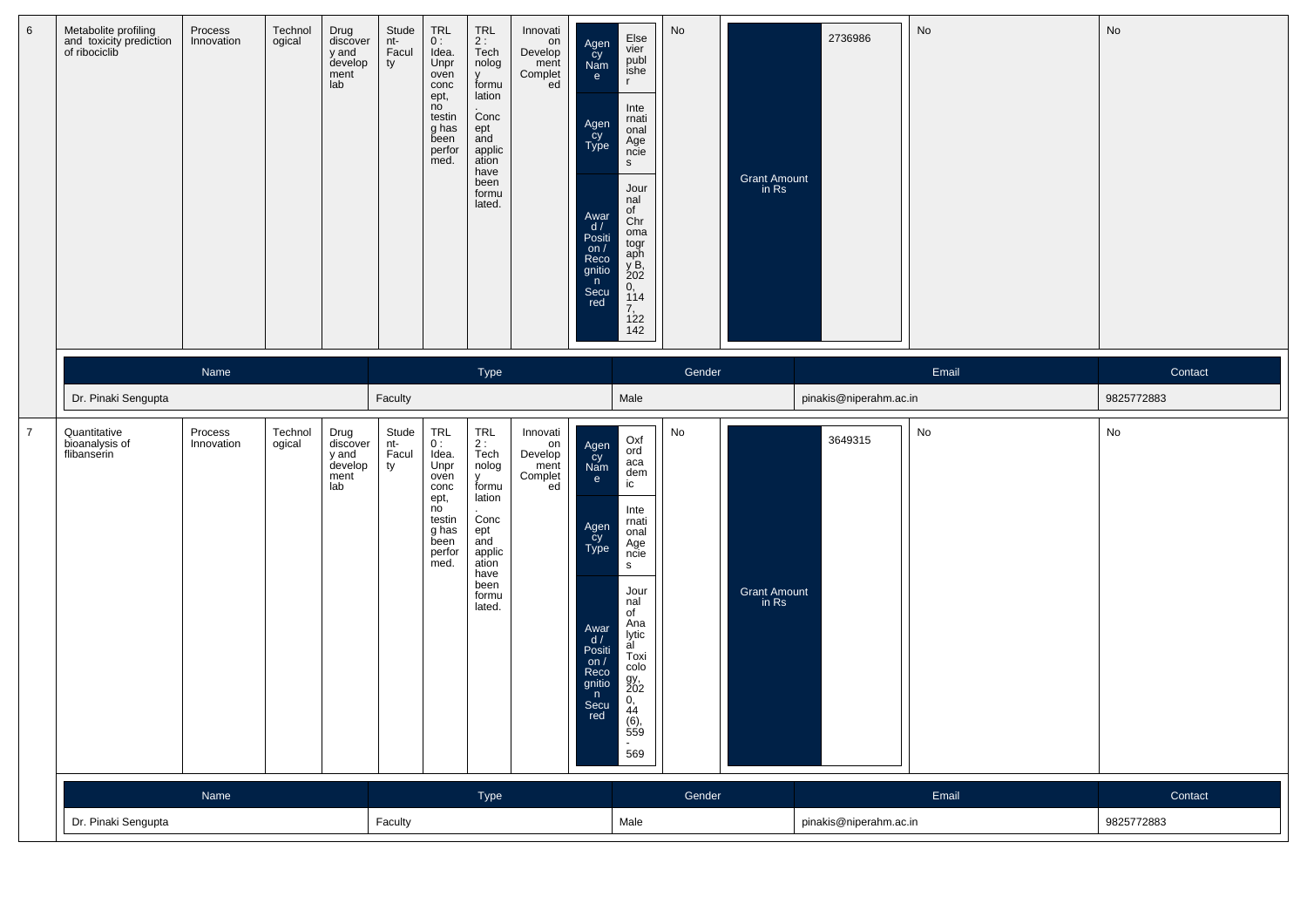| $6\phantom{.}6$ | Metabolite profiling<br>and toxicity prediction<br>of ribociclib | Process<br>Innovation | Technol<br>ogical | Drug<br>discover<br>y and<br>develop<br>ment<br>lab | Stude<br>nt-<br>Facul<br>ty | <b>TRL</b><br>0:<br>Idea.<br>Unpr<br>oven<br>conc<br>ept,<br>no<br>testin<br>g has<br>been<br>perfor<br>med. | <b>TRL</b><br>2:<br>Tech<br>nolog<br>V<br>formu<br>lation<br>Conc<br>ept<br>and<br>applic<br>ation<br>have<br>been<br>formu<br>lated. | Innovati<br>on<br>Develop<br>ment<br>Complet<br>ed | Agen<br>cy<br>Nam<br>e<br>Agen<br>cy<br>Type<br>Awar<br>d/<br>Positi<br>on $/$<br>Reco<br>gnitio<br>n<br>Secu<br>red | Else<br>vier<br>publ<br>ishe<br>$\mathbf{r}$<br>Inte<br>rnati<br>onal<br>Age<br>ncie<br>$\mathsf{s}$<br>Jour<br>nal<br>of<br>Chr<br>oma<br>togr<br>aph<br>y B,<br>202<br>0,<br>114<br>7,<br>122<br>142 | No     | <b>Grant Amount</b><br>in Rs         | 2736986                | No    | No         |
|-----------------|------------------------------------------------------------------|-----------------------|-------------------|-----------------------------------------------------|-----------------------------|--------------------------------------------------------------------------------------------------------------|---------------------------------------------------------------------------------------------------------------------------------------|----------------------------------------------------|----------------------------------------------------------------------------------------------------------------------|--------------------------------------------------------------------------------------------------------------------------------------------------------------------------------------------------------|--------|--------------------------------------|------------------------|-------|------------|
|                 |                                                                  | Name                  |                   |                                                     |                             |                                                                                                              | Type                                                                                                                                  |                                                    |                                                                                                                      |                                                                                                                                                                                                        | Gender |                                      |                        | Email | Contact    |
|                 | Dr. Pinaki Sengupta                                              |                       |                   |                                                     | Faculty                     |                                                                                                              |                                                                                                                                       |                                                    |                                                                                                                      | Male                                                                                                                                                                                                   |        |                                      | pinakis@niperahm.ac.in |       | 9825772883 |
| $\overline{7}$  | Quantitative<br>bioanalysis of<br>flibanserin                    | Process<br>Innovation | Technol<br>ogical | Drug<br>discover<br>y and<br>develop<br>ment<br>lab | Stude<br>nt-<br>Facul<br>ty | TRL<br>0:<br>Idea.<br>Unpr<br>oven<br>conc<br>ept,<br>no<br>testin<br>g has<br>been<br>perfor<br>med.        | TRL<br>2 :<br>Tech<br>nolog<br>y<br>formu<br>lation<br>Conc<br>ept<br>and<br>applic<br>ation<br>have<br>been<br>formu<br>lated.       | Innovati<br>on<br>Develop<br>ment<br>Complet<br>ed | Agen<br>Cy<br>Nam<br>e<br>Agen<br>cy<br>Type<br>Awar<br>d/<br>Positi<br>on $/$<br>Reco<br>gnitio<br>n<br>Secu<br>red | Oxf<br>ord<br>aca<br>dem<br>ic<br>Inte<br>rnati<br>onal<br>Age<br>ncie<br>s<br>Jour<br>nal<br>of<br>Ana<br>lytic<br>al<br>Toxi<br>colo<br>gy,<br>202<br>0,<br>44<br>$(6)$ ,<br>559<br>$\sim$<br>569    | No     | <b>Grant Amount</b><br>in Rs         | 3649315                | No    | No         |
|                 |                                                                  | Name                  |                   |                                                     |                             |                                                                                                              | Type                                                                                                                                  |                                                    |                                                                                                                      |                                                                                                                                                                                                        | Gender |                                      |                        | Email | Contact    |
|                 | Dr. Pinaki Sengupta                                              |                       |                   | Faculty                                             |                             |                                                                                                              |                                                                                                                                       |                                                    | Male                                                                                                                 |                                                                                                                                                                                                        |        | pinakis@niperahm.ac.in<br>9825772883 |                        |       |            |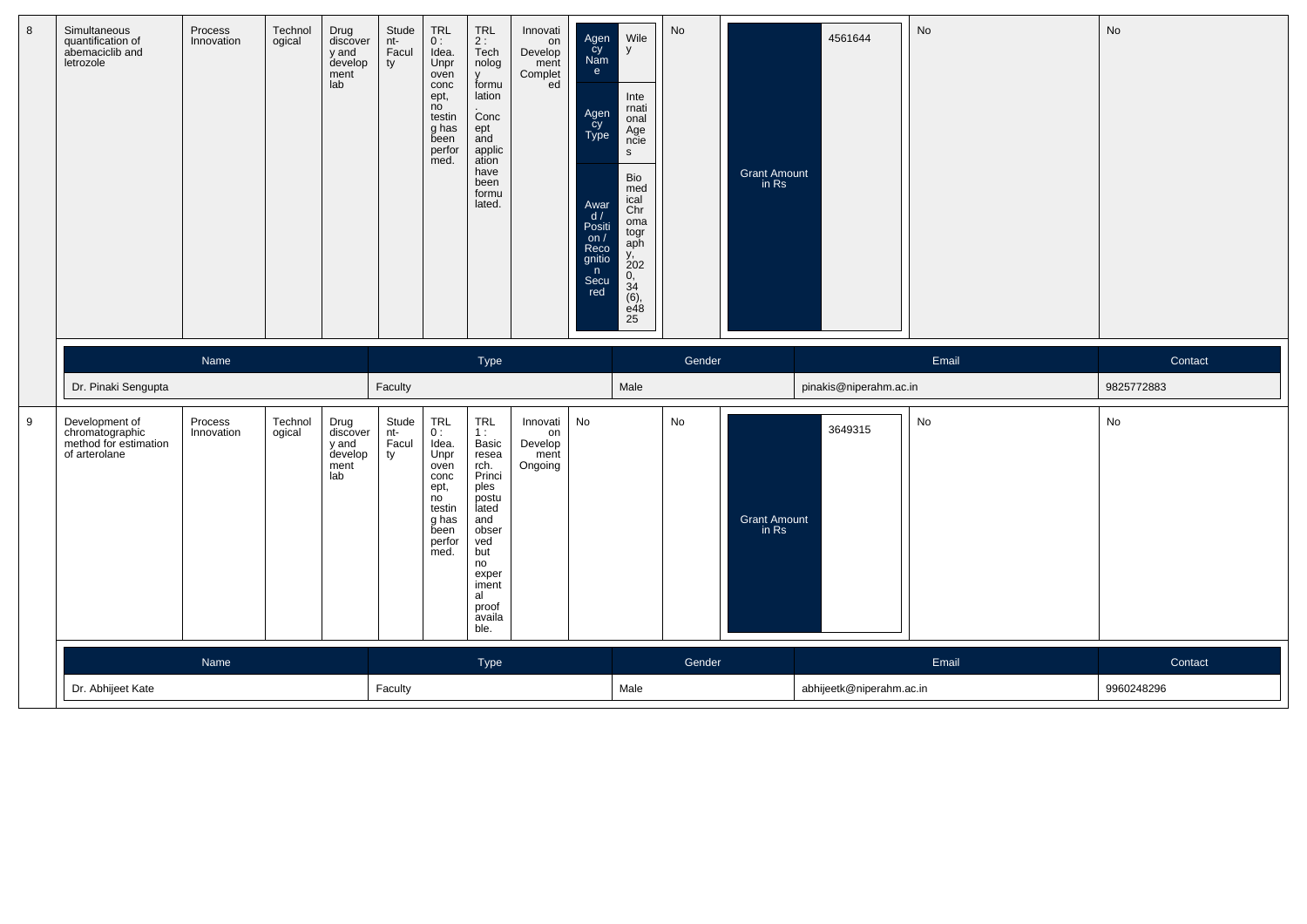| 8 | Simultaneous<br>quantification of<br>abemaciclib and<br>letrozole           | Process<br>Innovation | Technol<br>ogical | Drug<br>discover<br>y and<br>develop<br>ment<br>lab | Stude<br>$nt-$<br>Facul<br>ty | TRL<br>0:<br>Idea.<br>Unpr<br>oven<br>conc<br>ept,<br>no<br>testin<br>g has<br>been<br>perfor<br>med.              | TRL<br>2 :<br>Tech<br>nolog<br>$\mathsf{V}$<br>formu<br>lation<br>Conc<br>ept<br>and<br>applic<br>ation<br>have<br>been<br>formu<br>lated.                                                                      | Innovati<br>on<br>Develop<br>ment<br>Complet<br>ed | Agen<br>cy<br>Nam<br>e<br>Agen<br>cy<br>Type<br>Awar<br>d/<br>Positi<br>on $/$<br>Reco<br>gnitio<br>n<br>Secu<br>red | Wile<br>y<br>Inte<br>rnati<br>onal<br>Age<br>ncie<br>$\mathsf{s}$<br>Bio<br>med<br>ical<br>Chr<br>oma<br>togr<br>aph<br>$\frac{y}{202}$<br>$0, 34$<br>(6),<br>e48<br>25 | No     | <b>Grant Amount</b><br>in Rs | 4561644                  | No    | <b>No</b>  |
|---|-----------------------------------------------------------------------------|-----------------------|-------------------|-----------------------------------------------------|-------------------------------|--------------------------------------------------------------------------------------------------------------------|-----------------------------------------------------------------------------------------------------------------------------------------------------------------------------------------------------------------|----------------------------------------------------|----------------------------------------------------------------------------------------------------------------------|-------------------------------------------------------------------------------------------------------------------------------------------------------------------------|--------|------------------------------|--------------------------|-------|------------|
|   |                                                                             | Name                  |                   |                                                     |                               |                                                                                                                    | Type                                                                                                                                                                                                            |                                                    |                                                                                                                      |                                                                                                                                                                         | Gender |                              |                          | Email | Contact    |
|   | Dr. Pinaki Sengupta                                                         |                       |                   |                                                     | Faculty                       |                                                                                                                    |                                                                                                                                                                                                                 |                                                    |                                                                                                                      | Male                                                                                                                                                                    |        |                              | pinakis@niperahm.ac.in   |       | 9825772883 |
| 9 | Development of<br>chromatographic<br>method for estimation<br>of arterolane | Process<br>Innovation | Technol<br>ogical | Drug<br>discover<br>y and<br>develop<br>ment<br>lab | Stude<br>nt-<br>Facul<br>ty   | TRL<br>0:<br>Idea.<br>Unpr<br>oven<br>conc<br>ept,<br>$\overline{no}$<br>testin<br>g has<br>been<br>perfor<br>med. | $\begin{array}{c} \mathsf{TRL} \\ \mathsf{1}: \end{array}$<br>Basic<br>resea<br>rch.<br>Princi<br>ples<br>postu<br>lated<br>and<br>obser<br>ved<br>but<br>no<br>exper<br>iment<br>al<br>proof<br>availa<br>ble. | Innovati<br>on<br>Develop<br>ment<br>Ongoing       | No                                                                                                                   |                                                                                                                                                                         | No     | <b>Grant Amount</b><br>in Rs | 3649315                  | No    | No         |
|   |                                                                             | Name                  |                   |                                                     |                               |                                                                                                                    | Type                                                                                                                                                                                                            |                                                    |                                                                                                                      |                                                                                                                                                                         | Gender |                              |                          | Email | Contact    |
|   | Dr. Abhijeet Kate                                                           |                       |                   |                                                     | Faculty                       |                                                                                                                    |                                                                                                                                                                                                                 |                                                    |                                                                                                                      | Male                                                                                                                                                                    |        |                              | abhijeetk@niperahm.ac.in |       | 9960248296 |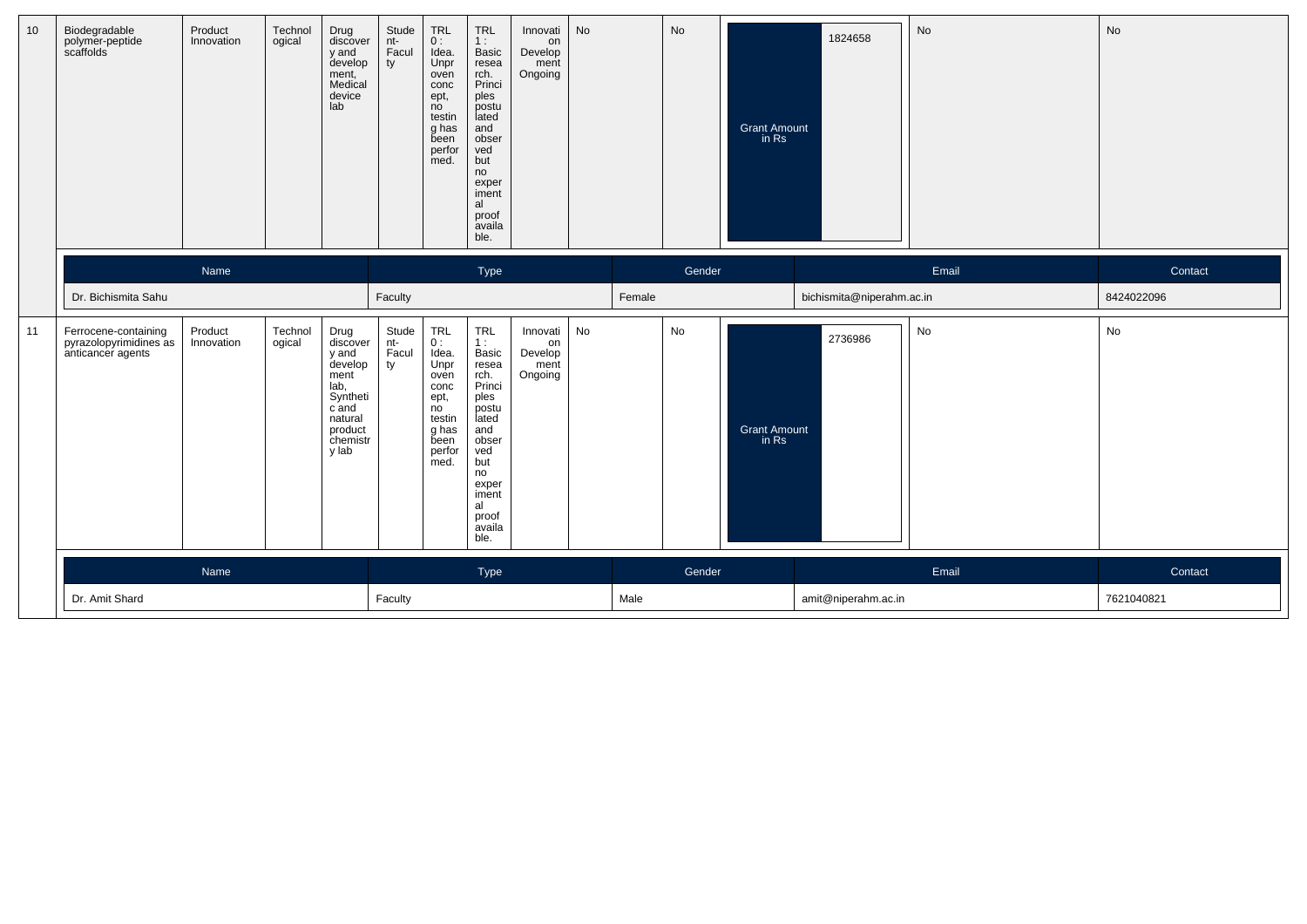| 10 | Biodegradable<br>polymer-peptide<br>scaffolds                       | Product<br>Innovation | Technol<br>ogical | Drug<br>discover<br>y and<br>develop<br>ment,<br>Medical<br>device<br>lab                                            | Stude<br>nt-<br>Facul<br>ty | $\begin{array}{c} \mathsf{TRL} \\ \mathsf{O} : \end{array}$<br>Idea.<br>Unpr<br>oven<br>conc<br>ept,<br>no<br>testin<br>g has<br>been<br>perfor<br>med. | <b>TRL</b><br>1:<br>Basic<br>resea<br>rch.<br>Princi<br>ples<br>postu<br>lated<br>and<br>obser<br>ved<br>but<br>no<br>exper<br>iment<br>al<br>proof<br>availa<br>ble. | Innovati<br>on<br>Develop<br>ment<br>Ongoing | No |        | No     | <b>Grant Amount</b><br>in Rs | 1824658                   | No    | No         |
|----|---------------------------------------------------------------------|-----------------------|-------------------|----------------------------------------------------------------------------------------------------------------------|-----------------------------|---------------------------------------------------------------------------------------------------------------------------------------------------------|-----------------------------------------------------------------------------------------------------------------------------------------------------------------------|----------------------------------------------|----|--------|--------|------------------------------|---------------------------|-------|------------|
|    |                                                                     | Name                  |                   |                                                                                                                      |                             |                                                                                                                                                         | Type                                                                                                                                                                  |                                              |    |        | Gender |                              |                           | Email | Contact    |
|    | Dr. Bichismita Sahu                                                 |                       |                   |                                                                                                                      | Faculty                     |                                                                                                                                                         |                                                                                                                                                                       |                                              |    | Female |        |                              | bichismita@niperahm.ac.in |       | 8424022096 |
| 11 | Ferrocene-containing<br>pyrazolopyrimidines as<br>anticancer agents | Product<br>Innovation | Technol<br>ogical | Drug<br>discover<br>y and<br>develop<br>ment<br>lab,<br>Syntheti<br>c and<br>natural<br>product<br>chemistr<br>y lab | Stude<br>nt-<br>Facul<br>ty | TRL<br>0:<br>Idea.<br>Unpr<br>oven<br>conc<br>ept,<br>no<br>testin<br>g has<br>been<br>perfor<br>med.                                                   | <b>TRL</b><br>1:<br>Basic<br>resea<br>rch.<br>Princi<br>ples<br>postu<br>lated<br>and<br>obser<br>ved<br>but<br>no<br>exper<br>iment<br>al<br>proof<br>availa<br>ble. | Innovati<br>on<br>Develop<br>ment<br>Ongoing | No |        | No     | <b>Grant Amount</b><br>in Rs | 2736986                   | No    | No         |
|    |                                                                     | Name                  |                   |                                                                                                                      |                             | Type                                                                                                                                                    |                                                                                                                                                                       |                                              |    |        | Gender |                              |                           | Email | Contact    |
|    | Dr. Amit Shard<br>Faculty                                           |                       |                   |                                                                                                                      |                             |                                                                                                                                                         |                                                                                                                                                                       |                                              |    | Male   |        |                              | amit@niperahm.ac.in       |       | 7621040821 |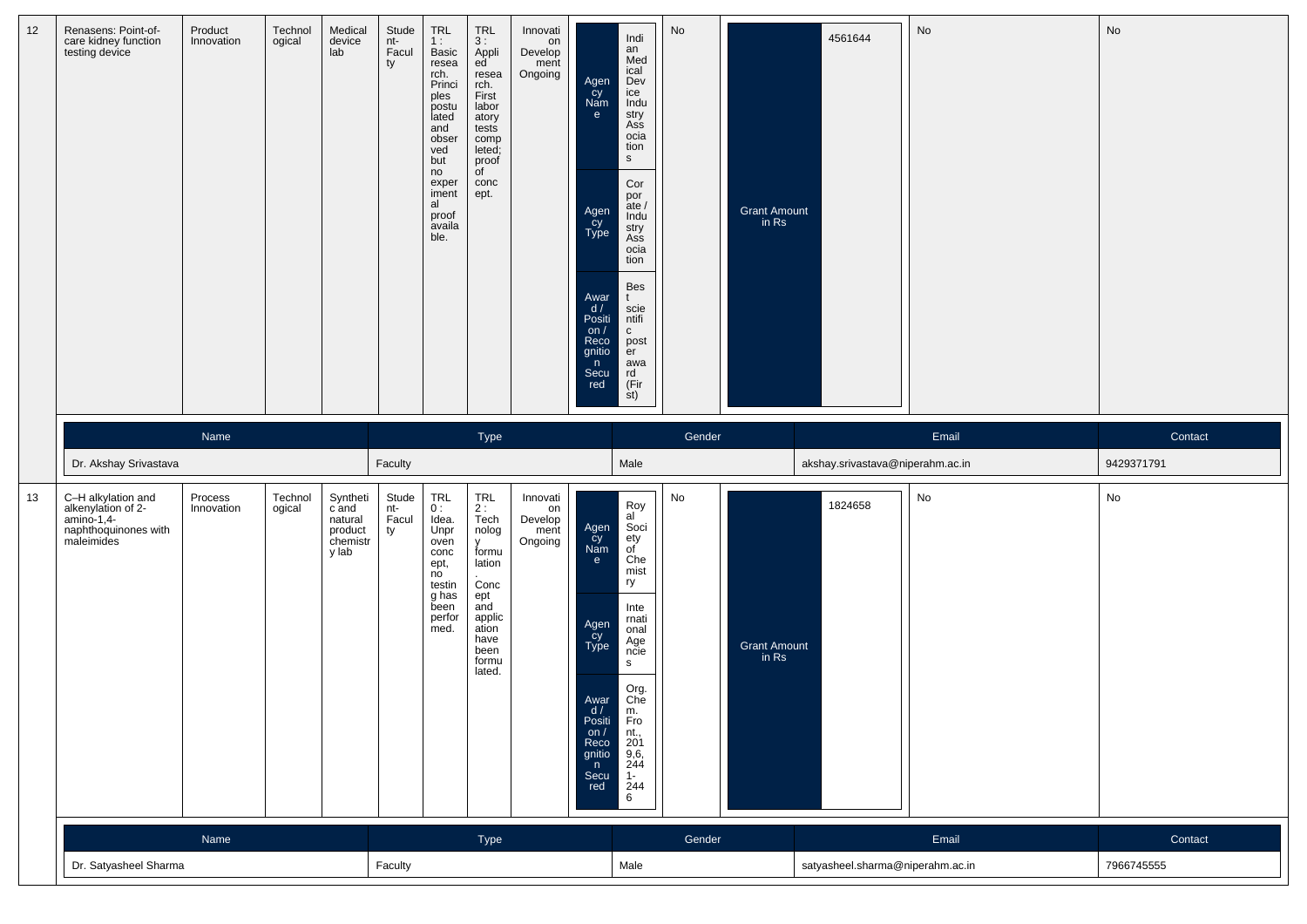| 12 | Renasens: Point-of-<br>care kidney function<br>testing device                                | Product<br>Innovation | Technol<br>ogical | Medical<br>device<br>lab                                     | Stude<br>nt-<br>Facul<br>ty | TRL<br>1:<br>Basic<br>resea<br>rch.<br>Princi<br>ples<br>postu<br>lated<br>and<br>obser<br>ved<br>but<br>no<br>exper<br>iment<br>al<br>proof<br>availa<br>ble. | TRL<br>3:<br>Appli<br>ed<br>resea<br>rch.<br>First<br>labor<br>atory<br>tests<br>comp<br>leted;<br>proof<br>of<br>conc<br>ept.       | Innovati<br>on<br>Develop<br>ment<br>Ongoing | Agen<br>Cy<br>Nam<br>$\mathbf{e}$<br>Agen<br>cy<br>Type<br>Awar<br>d /<br>Positi<br>on $/$<br>Reco<br>gnitio<br>n<br>Secu<br>red | Indi<br>an<br>Med<br>ical<br>Dev<br>ice<br>Indu<br>stry<br>Ass<br>ocia<br>tion<br>${\sf s}$<br>Cor<br>por<br>ate $/$<br>Indu<br>stry<br>Ass<br>ocia<br>tion<br>Bes<br>t<br>scie<br>ntifi<br>$\mathbf{C}$<br>post<br>er<br>awa<br>rd<br>(Fir)<br>st) | No                                        | <b>Grant Amount</b><br>in Rs | 4561644                          | No      | No         |
|----|----------------------------------------------------------------------------------------------|-----------------------|-------------------|--------------------------------------------------------------|-----------------------------|----------------------------------------------------------------------------------------------------------------------------------------------------------------|--------------------------------------------------------------------------------------------------------------------------------------|----------------------------------------------|----------------------------------------------------------------------------------------------------------------------------------|-----------------------------------------------------------------------------------------------------------------------------------------------------------------------------------------------------------------------------------------------------|-------------------------------------------|------------------------------|----------------------------------|---------|------------|
|    |                                                                                              | Name                  |                   |                                                              |                             |                                                                                                                                                                | Type                                                                                                                                 |                                              |                                                                                                                                  |                                                                                                                                                                                                                                                     | Gender                                    |                              |                                  | Email   | Contact    |
|    | Dr. Akshay Srivastava                                                                        |                       |                   |                                                              | Faculty                     |                                                                                                                                                                |                                                                                                                                      |                                              |                                                                                                                                  | Male                                                                                                                                                                                                                                                |                                           |                              | akshay.srivastava@niperahm.ac.in |         | 9429371791 |
| 13 | C-H alkylation and<br>alkenylation of 2-<br>amino-1,4-<br>naphthoquinones with<br>maleimides | Process<br>Innovation | Technol<br>ogical | Syntheti<br>c and<br>natural<br>product<br>chemistr<br>y lab | Stude<br>nt-<br>Facul<br>ty | TRL<br>0:<br>Idea.<br>Unpr<br>oven<br>conc<br>ept,<br>no<br>testin<br>g has<br>been<br>perfor<br>med.                                                          | TRL<br>2 :<br>Tech<br>nolog<br>y<br>formu<br>lation<br>.<br>Conc<br>ept<br>and<br>applic<br>ation<br>have<br>been<br>formu<br>lated. | Innovati<br>on<br>Develop<br>ment<br>Ongoing | Agen<br>Cy<br>Nam<br>e<br>Agen<br>Cy<br>Type<br>Awar<br>d/<br>Positi<br>on /<br>Reco<br>gnitio<br>n<br>Secu<br>red               | Roy<br>al<br>Soci<br>ety<br>of<br>Che<br>mist<br>ry<br>Inte<br>rnati<br>onal<br>Age<br>ncie<br>$\mathsf{s}$<br>Org.<br>Che<br>m.<br>Fro<br>nt.,<br>201<br>$\frac{9,6}{244}$<br>$1 -$<br>244<br>6                                                    | No                                        | Grant Amount<br>in Rs        | 1824658                          | No      | No         |
|    | Type<br>Name                                                                                 |                       |                   |                                                              |                             |                                                                                                                                                                | Gender                                                                                                                               |                                              |                                                                                                                                  |                                                                                                                                                                                                                                                     | Email<br>satyasheel.sharma@niperahm.ac.in |                              |                                  | Contact |            |
|    | Dr. Satyasheel Sharma                                                                        |                       |                   |                                                              | Faculty                     |                                                                                                                                                                |                                                                                                                                      |                                              |                                                                                                                                  | Male                                                                                                                                                                                                                                                |                                           |                              |                                  |         | 7966745555 |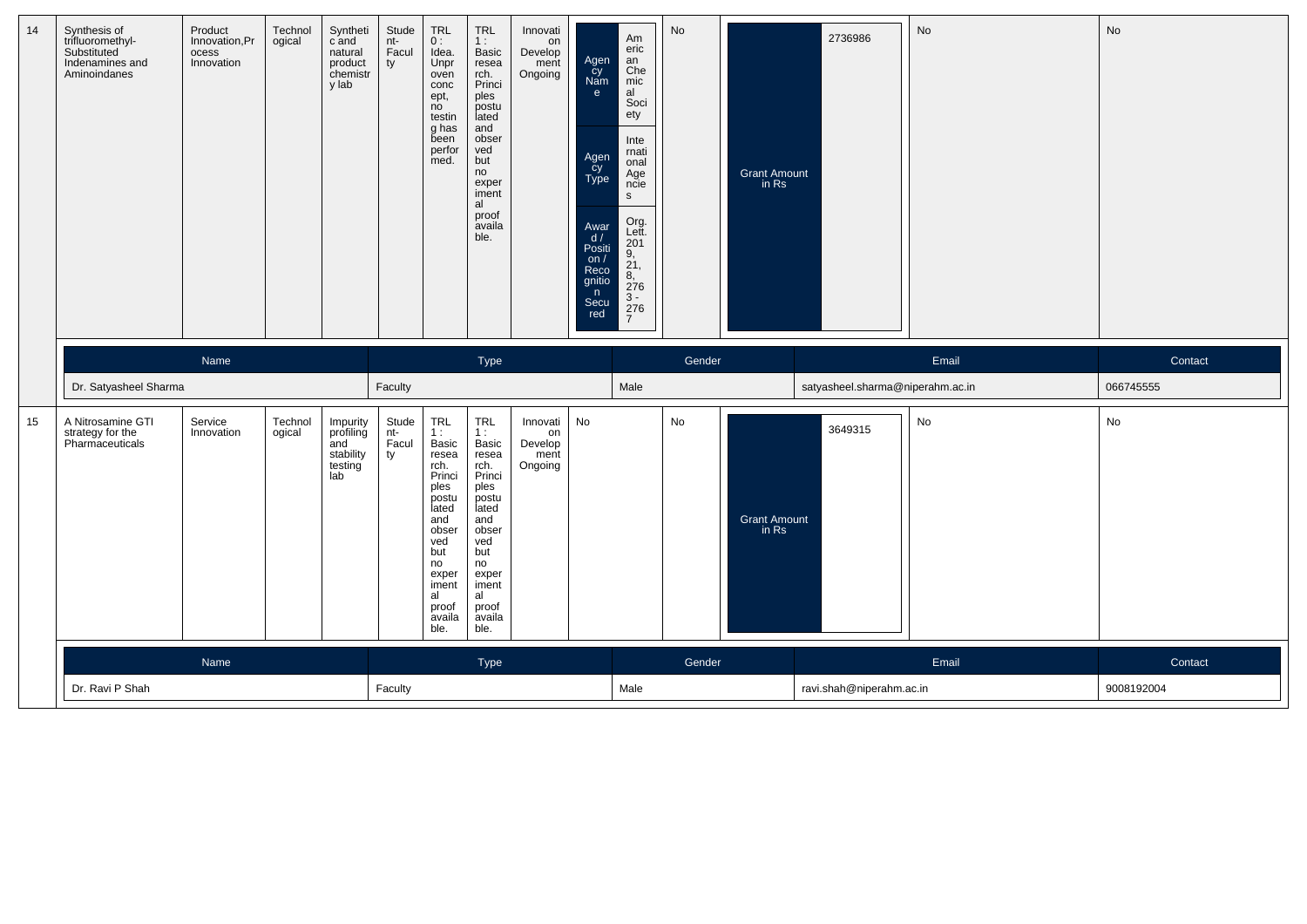| 14 | Synthesis of<br>trifluoromethyl-<br>Substituted<br>Indenamines and<br>Aminoindanes | Product<br>Innovation, Pr<br>ocess<br>Innovation | Technol<br>ogical | Syntheti<br>c and<br>natural<br>product<br>chemistr<br>y lab | Stude<br>nt-<br>Facul<br>ty | TRL<br>0:<br>Idea.<br>Unpr<br>oven<br>conc<br>ept,<br>no<br>testin<br>g has<br>been<br>perfor<br>med.                                                                 | TRL<br>1:<br>Basic<br>resea<br>rch.<br>Princi<br>ples<br>postu<br>lated<br>and<br>obser<br>ved<br>but<br>no<br>exper<br>iment<br>al<br>proof<br>availa<br>ble. | Innovati<br>on<br>Develop<br>ment<br>Ongoing | Agen<br>čy<br>Nam<br>e.<br>Agen<br>cy<br>Type<br>Awar<br>$d /$ Positi<br>on $/$<br>Reco<br>gnitio<br>n<br>Secu<br>red | Am<br>eric<br>an<br>Che<br>mic<br>al<br>Soci<br>ety<br>Inte<br>rnati<br>onal<br>Age<br>ncie<br>$\mathsf{s}$<br>Org.<br>Lett.<br>201<br>$9, 21, 8, 276$<br>$3 - 276$<br>$\overline{7}$ | No     | Grant Amount<br>in Rs        | 2736986                          | N <sub>o</sub> | No        |
|----|------------------------------------------------------------------------------------|--------------------------------------------------|-------------------|--------------------------------------------------------------|-----------------------------|-----------------------------------------------------------------------------------------------------------------------------------------------------------------------|----------------------------------------------------------------------------------------------------------------------------------------------------------------|----------------------------------------------|-----------------------------------------------------------------------------------------------------------------------|---------------------------------------------------------------------------------------------------------------------------------------------------------------------------------------|--------|------------------------------|----------------------------------|----------------|-----------|
|    |                                                                                    | Name                                             |                   |                                                              |                             |                                                                                                                                                                       | Type                                                                                                                                                           |                                              |                                                                                                                       |                                                                                                                                                                                       | Gender |                              |                                  | Email          | Contact   |
|    | Dr. Satyasheel Sharma                                                              |                                                  |                   |                                                              | Faculty                     |                                                                                                                                                                       |                                                                                                                                                                |                                              |                                                                                                                       | Male                                                                                                                                                                                  |        |                              | satyasheel.sharma@niperahm.ac.in |                | 066745555 |
| 15 | A Nitrosamine GTI<br>strategy for the<br>Pharmaceuticals                           | Service<br>Innovation                            | Technol<br>ogical | Impurity<br>profiling<br>and<br>stability<br>testing<br>lab  | Stude<br>nt-<br>Facul<br>ty | <b>TRL</b><br>1:<br>Basic<br>resea<br>rch.<br>Princi<br>ples<br>postu<br>lated<br>and<br>obser<br>ved<br>but<br>no<br>exper<br>iment<br>al<br>proof<br>availa<br>ble. | TRL<br>1:<br>Basic<br>resea<br>rch.<br>Princi<br>ples<br>postu<br>lated<br>and<br>obser<br>ved<br>but<br>no<br>exper<br>iment<br>al<br>proof<br>availa<br>ble. | Innovati<br>on<br>Develop<br>ment<br>Ongoing | No                                                                                                                    |                                                                                                                                                                                       | No     | <b>Grant Amount</b><br>in Rs | 3649315                          | No             | No        |
|    |                                                                                    | Name                                             |                   |                                                              |                             |                                                                                                                                                                       | Type                                                                                                                                                           |                                              |                                                                                                                       |                                                                                                                                                                                       | Gender |                              |                                  | Email          | Contact   |
|    |                                                                                    |                                                  |                   |                                                              |                             |                                                                                                                                                                       |                                                                                                                                                                |                                              |                                                                                                                       |                                                                                                                                                                                       |        |                              |                                  |                |           |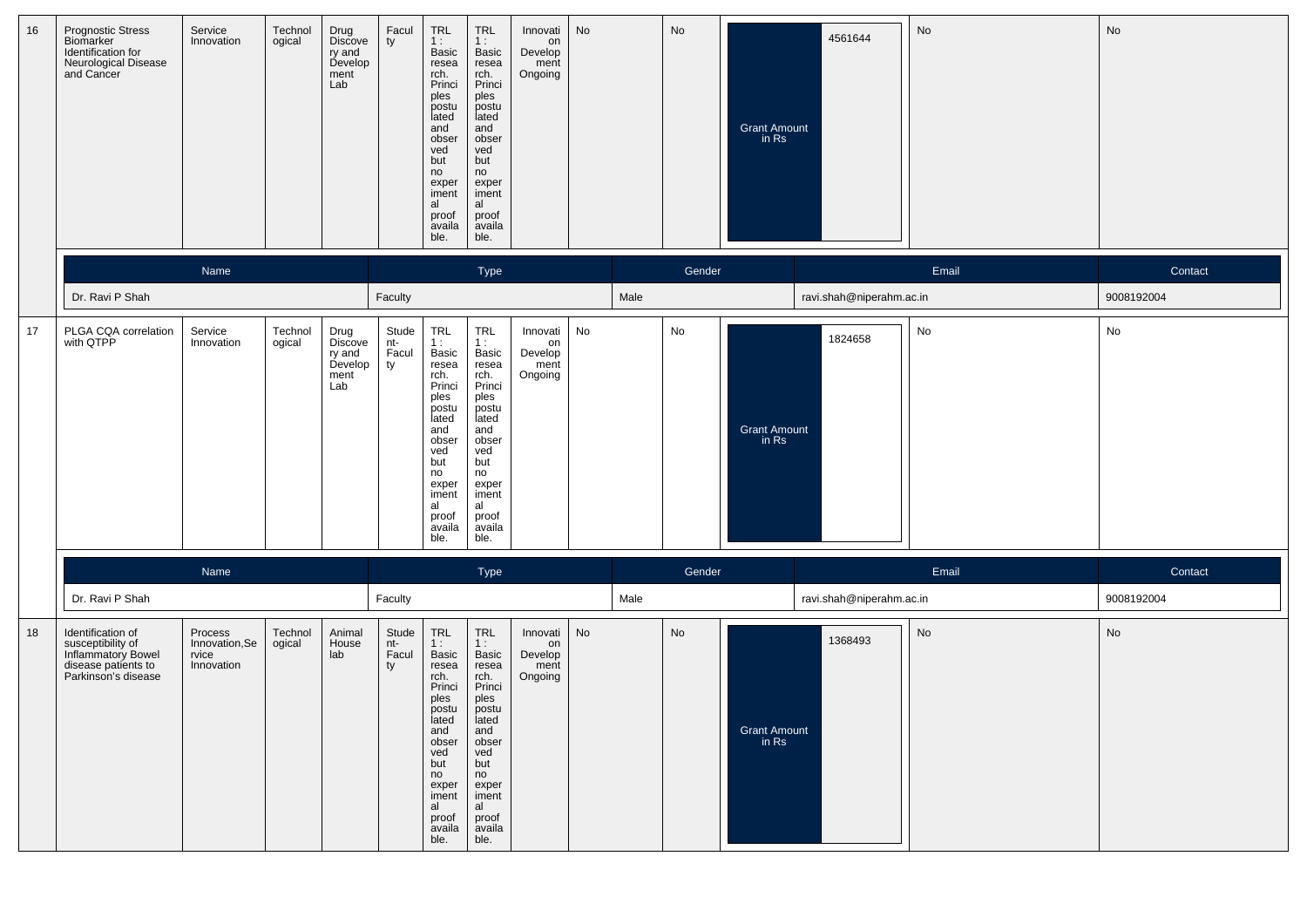| 16 | <b>Prognostic Stress</b><br>Biomarker<br>Identification for<br>Neurological Disease<br>and Cancer          | Service<br>Innovation                            | Technol<br>ogical | Drug<br>Discove<br>ry and<br>Develop<br>ment<br>Lab | Facul<br>ty                   | TRL<br>1:<br>Basic<br>resea<br>rch.<br>Princi<br>ples<br>postu<br>lated<br>and<br>obser<br>ved<br>but<br>no<br>exper<br>iment<br>al<br>proof<br>availa<br>ble.                                                  | <b>TRL</b><br>1:<br>Basic<br>resea<br>rch.<br>Princi<br>ples<br>postu<br>lated<br>and<br>obser<br>ved<br>but<br>no<br>exper<br>iment<br>al<br>proof<br>availa<br>ble. | Innovati<br>on<br>Develop<br>ment<br>Ongoing | No |      | No     | <b>Grant Amount</b><br>in Rs | 4561644                  | No    | No         |
|----|------------------------------------------------------------------------------------------------------------|--------------------------------------------------|-------------------|-----------------------------------------------------|-------------------------------|-----------------------------------------------------------------------------------------------------------------------------------------------------------------------------------------------------------------|-----------------------------------------------------------------------------------------------------------------------------------------------------------------------|----------------------------------------------|----|------|--------|------------------------------|--------------------------|-------|------------|
|    |                                                                                                            | Name                                             |                   |                                                     |                               |                                                                                                                                                                                                                 | Type                                                                                                                                                                  |                                              |    |      | Gender |                              |                          | Email | Contact    |
|    | Dr. Ravi P Shah                                                                                            |                                                  |                   |                                                     | Faculty                       |                                                                                                                                                                                                                 |                                                                                                                                                                       |                                              |    | Male |        |                              | ravi.shah@niperahm.ac.in |       | 9008192004 |
| 17 | PLGA CQA correlation<br>with QTPP                                                                          | Service<br>Innovation                            | Technol<br>ogical | Drug<br>Discove<br>ry and<br>Develop<br>ment<br>Lab | Stude<br>$nt-$<br>Facul<br>ty | TRL<br>1:<br>Basic<br>resea<br>rch.<br>Princi<br>ples<br>postu<br>lated<br>and<br>obser<br>ved<br>but<br>no<br>exper<br>iment<br>al<br>proof<br>availa<br>ble.                                                  | TRL<br>1:<br>Basic<br>resea<br>rch.<br>Princi<br>ples<br>postu<br>lated<br>and<br>obser<br>ved<br>but<br>no<br>exper<br>iment<br>al<br>proof<br>availa<br>ble.        | Innovati<br>on<br>Develop<br>ment<br>Ongoing | No |      | No     | <b>Grant Amount</b><br>in Rs | 1824658                  | No    | No         |
|    |                                                                                                            | Name                                             |                   |                                                     |                               |                                                                                                                                                                                                                 | Type                                                                                                                                                                  |                                              |    |      | Gender |                              |                          | Email | Contact    |
|    | Dr. Ravi P Shah                                                                                            |                                                  |                   |                                                     | Faculty                       |                                                                                                                                                                                                                 |                                                                                                                                                                       |                                              |    | Male |        |                              | ravi.shah@niperahm.ac.in |       | 9008192004 |
| 18 | Identification of<br>susceptibility of<br>Inflammatory Bowel<br>disease patients to<br>Parkinson's disease | Process<br>Innovation, Se<br>rvice<br>Innovation | Technol<br>ogical | Animal<br>House<br>lab                              | Stude<br>nt-<br>Facul<br>ty   | $\begin{array}{c} \mathsf{TRL} \\ \mathsf{1:} \end{array}$<br>Basic<br>resea<br>rch.<br>Princi<br>ples<br>postu<br>lated<br>and<br>obser<br>ved<br>but<br>no<br>exper<br>iment<br>al<br>proof<br>availa<br>ble. | TRL<br>1:<br>Basic<br>resea<br>rch.<br>Princi<br>ples<br>postu<br>lated<br>and<br>obser<br>ved<br>but<br>no<br>exper<br>iment<br>al<br>proof<br>availa<br>ble.        | Innovati<br>on<br>Develop<br>ment<br>Ongoing | No |      | No     | Grant Amount<br>in Rs        | 1368493                  | No    | No         |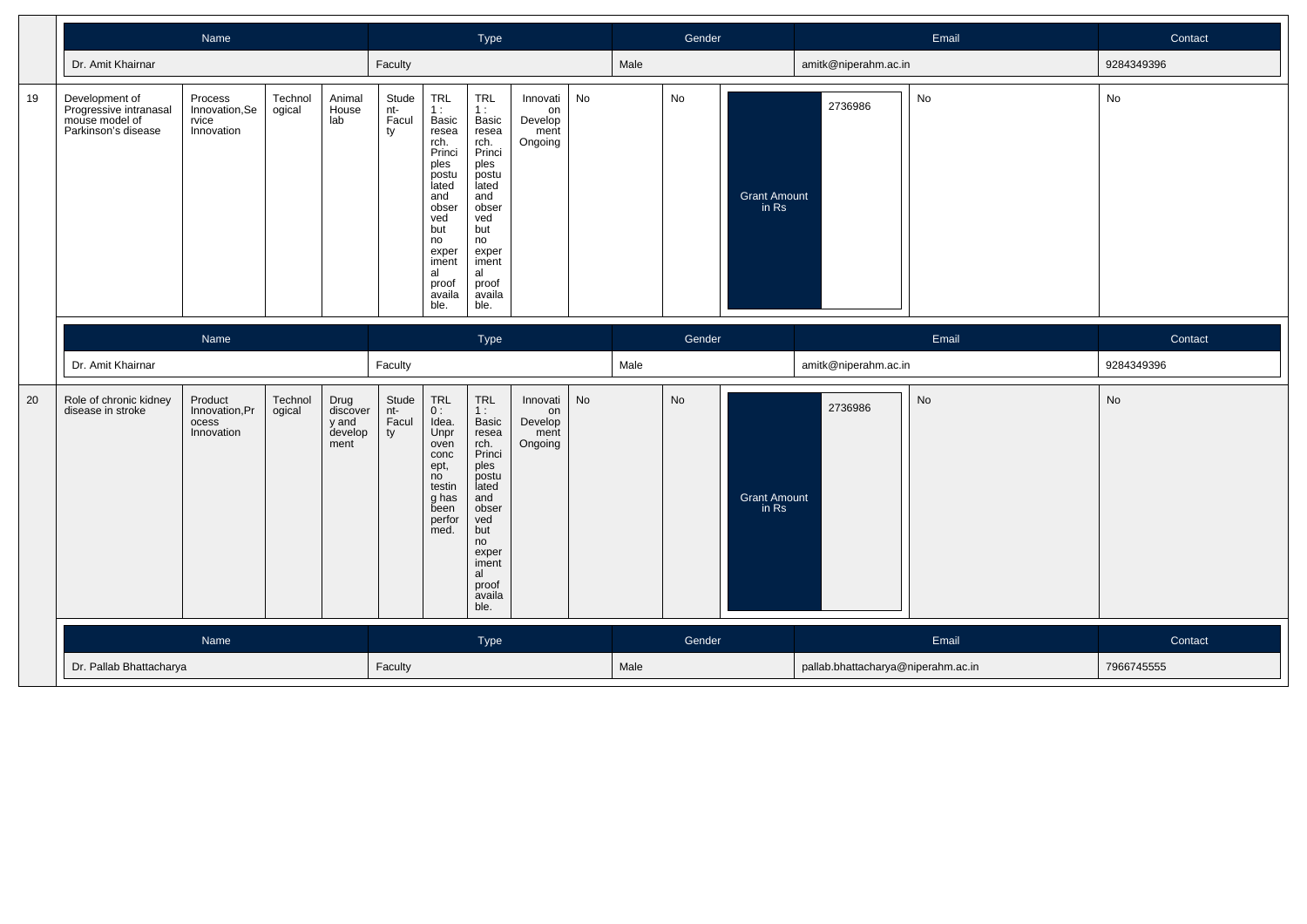|    |                                                                                   | Name                                             |                   |                                              |                             |                                                                                                                                                                | Type                                                                                                                                                                  |                                              |    |      | Gender |                              |                      | Email | Contact    |
|----|-----------------------------------------------------------------------------------|--------------------------------------------------|-------------------|----------------------------------------------|-----------------------------|----------------------------------------------------------------------------------------------------------------------------------------------------------------|-----------------------------------------------------------------------------------------------------------------------------------------------------------------------|----------------------------------------------|----|------|--------|------------------------------|----------------------|-------|------------|
|    | Dr. Amit Khairnar                                                                 |                                                  |                   |                                              | Faculty                     |                                                                                                                                                                |                                                                                                                                                                       |                                              |    | Male |        |                              | amitk@niperahm.ac.in |       | 9284349396 |
| 19 | Development of<br>Progressive intranasal<br>mouse model of<br>Parkinson's disease | Process<br>Innovation, Se<br>rvice<br>Innovation | Technol<br>ogical | Animal<br>House<br>lab                       | Stude<br>nt-<br>Facul<br>ty | TRL<br>1:<br>Basic<br>resea<br>rch.<br>Princi<br>ples<br>postu<br>lated<br>and<br>obser<br>ved<br>but<br>no<br>exper<br>iment<br>al<br>proof<br>availa<br>ble. | <b>TRL</b><br>1:<br>Basic<br>resea<br>rch.<br>Princi<br>ples<br>postu<br>lated<br>and<br>obser<br>ved<br>but<br>no<br>exper<br>iment<br>al<br>proof<br>availa<br>ble. | Innovati<br>on<br>Develop<br>ment<br>Ongoing | No |      | No     | <b>Grant Amount</b><br>in Rs | 2736986              | No    | No         |
|    |                                                                                   | Name                                             |                   |                                              |                             |                                                                                                                                                                | Type                                                                                                                                                                  |                                              |    |      | Gender |                              |                      | Email | Contact    |
|    | Dr. Amit Khairnar                                                                 |                                                  |                   |                                              | Faculty                     |                                                                                                                                                                |                                                                                                                                                                       |                                              |    | Male |        |                              | amitk@niperahm.ac.in |       | 9284349396 |
| 20 | Role of chronic kidney                                                            |                                                  |                   |                                              |                             |                                                                                                                                                                |                                                                                                                                                                       |                                              |    |      |        |                              |                      |       |            |
|    | disease in stroke                                                                 | Product<br>Innovation, Pr<br>ocess<br>Innovation | Technol<br>ogical | Drug<br>discover<br>y and<br>develop<br>ment | Stude<br>nt-<br>Facul<br>ty | TRL<br>0:<br>Idea.<br>Unpr<br>oven<br>conc<br>ept,<br>no<br>testin<br>g has<br>been<br>perfor<br>med.                                                          | <b>TRL</b><br>1:<br>Basic<br>resea<br>rch.<br>Princi<br>ples<br>postu<br>lated<br>and<br>obser<br>ved<br>but<br>no<br>exper<br>iment<br>al<br>proof<br>availa<br>ble. | Innovati<br>on<br>Develop<br>ment<br>Ongoing | No |      | No     | <b>Grant Amount</b><br>in Rs | 2736986              | No    | No         |
|    |                                                                                   | Name                                             |                   |                                              |                             |                                                                                                                                                                | Type                                                                                                                                                                  |                                              |    |      | Gender |                              |                      | Email | Contact    |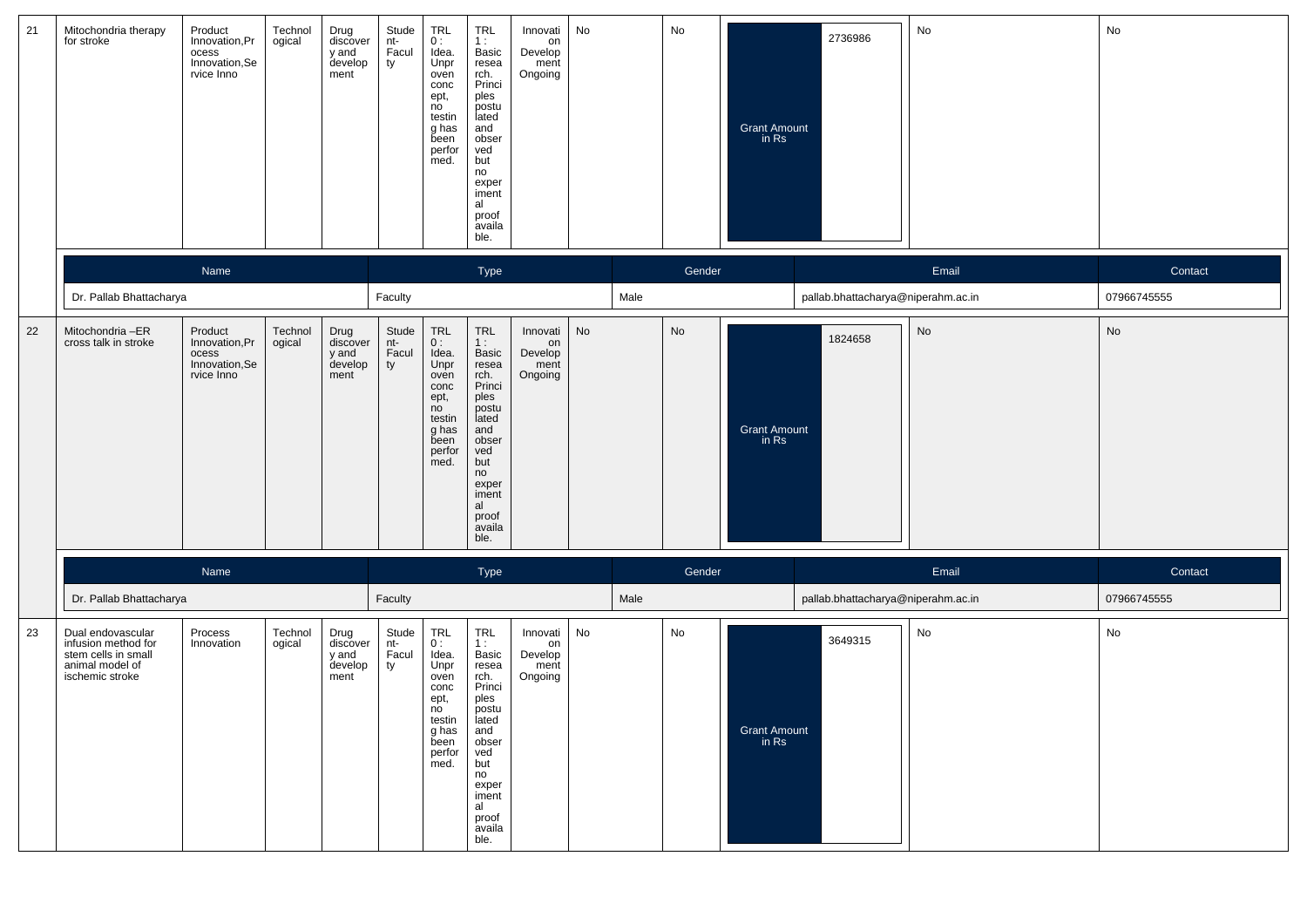| 21 | Mitochondria therapy<br>for stroke                                                                    | Product<br>Innovation, Pr<br>ocess<br>Innovation,Se<br>rvice Inno  | Technol<br>ogical | Drug<br>discover<br>y and<br>develop<br>ment | Stude<br>nt-<br>Facul<br>ty | <b>TRL</b><br>0:<br>Idea.<br>Unpr<br>oven<br>conc<br>ept,<br>no<br>testin<br>g has<br>been<br>perfor<br>med.          | <b>TRL</b><br>1:<br>Basic<br>resea<br>rch.<br>Princi<br>ples<br>postu<br>lated<br>and<br>obser<br>ved<br>but<br>no<br>exper<br>iment<br>al<br>proof<br>availa<br>ble. | Innovati<br>on<br>Develop<br>ment<br>Ongoing | No |      | No     | <b>Grant Amount</b><br>in Rs | 2736986                            | No    | No          |
|----|-------------------------------------------------------------------------------------------------------|--------------------------------------------------------------------|-------------------|----------------------------------------------|-----------------------------|-----------------------------------------------------------------------------------------------------------------------|-----------------------------------------------------------------------------------------------------------------------------------------------------------------------|----------------------------------------------|----|------|--------|------------------------------|------------------------------------|-------|-------------|
|    |                                                                                                       | Name                                                               |                   |                                              |                             |                                                                                                                       | Type                                                                                                                                                                  |                                              |    |      | Gender |                              |                                    | Email | Contact     |
|    | Dr. Pallab Bhattacharya                                                                               |                                                                    |                   |                                              | Faculty                     |                                                                                                                       |                                                                                                                                                                       |                                              |    | Male |        |                              | pallab.bhattacharya@niperahm.ac.in |       | 07966745555 |
| 22 | Mitochondria -ER<br>cross talk in stroke                                                              | Product<br>Innovation, Pr<br>ocess<br>Innovation, Se<br>rvice Inno | Technol<br>ogical | Drug<br>discover<br>y and<br>develop<br>ment | Stude<br>nt-<br>Facul<br>ty | TRL<br>0:<br>Idea.<br>Unpr<br>oven<br>conc<br>ept,<br>no<br>testin<br>g has<br>been<br>perfor<br>med.                 | TRL<br>1:<br>Basic<br>resea<br>rch.<br>Princi<br>ples<br>postu<br>lated<br>and<br>obser<br>ved<br>but<br>no<br>exper<br>iment<br>al<br>proof<br>availa<br>ble.        | Innovati<br>on<br>Develop<br>ment<br>Ongoing | No |      | No     | <b>Grant Amount</b><br>in Rs | 1824658                            | No    | No          |
|    |                                                                                                       | Name                                                               |                   |                                              |                             |                                                                                                                       | Type                                                                                                                                                                  |                                              |    |      | Gender |                              |                                    | Email | Contact     |
|    | Dr. Pallab Bhattacharya                                                                               |                                                                    |                   |                                              | Faculty                     |                                                                                                                       |                                                                                                                                                                       |                                              |    | Male |        |                              | pallab.bhattacharya@niperahm.ac.in |       | 07966745555 |
| 23 | Dual endovascular<br>infusion method for<br>stem cells in small<br>animal model of<br>ischemic stroke | Process<br>Innovation                                              | Technol<br>ogical | Drug<br>discover<br>y and<br>develop<br>ment | Stude<br>nt-<br>Facul<br>ty | $TRL$<br>$0:$<br>Idea.<br>Unpr<br>oven<br>conc<br>ept,<br>n <sub>o</sub><br>testin<br>g has<br>been<br>perfor<br>med. | TRL<br>1:<br>Basic<br>resea<br>rch.<br>Princi<br>ples<br>postu<br>lated<br>and<br>obser<br>ved<br>but<br>no<br>exper<br>iment<br>al<br>proof<br>availa<br>ble.        | Innovati<br>on<br>Develop<br>ment<br>Ongoing | No |      | No     | <b>Grant Amount</b><br>in Rs | 3649315                            | No    | No          |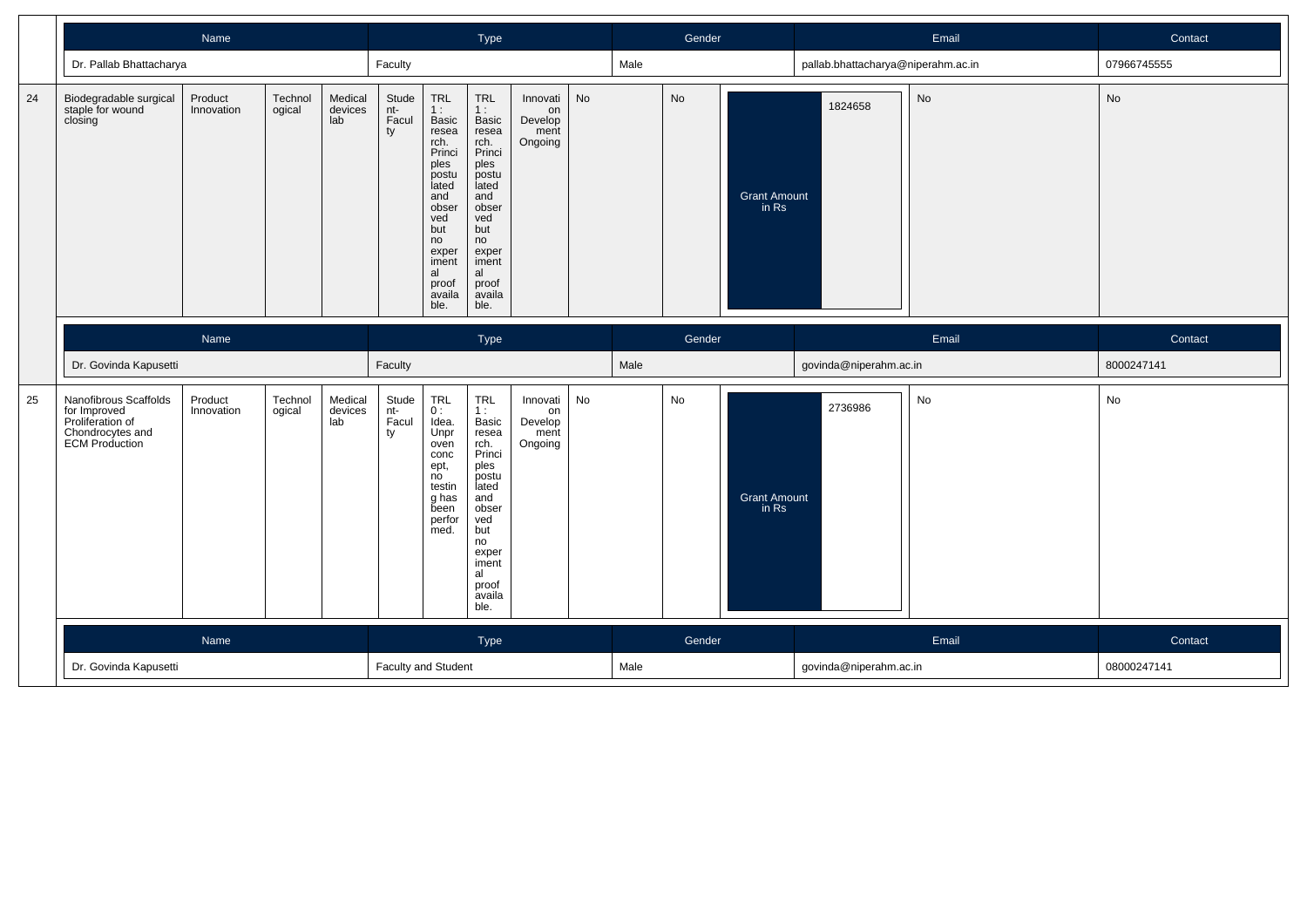|    |                                                                                                 | Name                  |                   |                           |                             |                                                                                                                                                                              | Type                                                                                                                                                           |                                              |    |      | Gender |                              |                                    | Email | Contact     |
|----|-------------------------------------------------------------------------------------------------|-----------------------|-------------------|---------------------------|-----------------------------|------------------------------------------------------------------------------------------------------------------------------------------------------------------------------|----------------------------------------------------------------------------------------------------------------------------------------------------------------|----------------------------------------------|----|------|--------|------------------------------|------------------------------------|-------|-------------|
|    | Dr. Pallab Bhattacharya                                                                         |                       |                   |                           | Faculty                     |                                                                                                                                                                              |                                                                                                                                                                |                                              |    | Male |        |                              | pallab.bhattacharya@niperahm.ac.in |       | 07966745555 |
| 24 | Biodegradable surgical<br>staple for wound<br>closing                                           | Product<br>Innovation | Technol<br>ogical | Medical<br>devices<br>lab | Stude<br>nt-<br>Facul<br>ty | <b>TRL</b><br>1:<br><b>Basic</b><br>resea<br>rch.<br>Princi<br>ples<br>postu<br>lated<br>and<br>obser<br>ved<br>but<br>no<br>exper<br>iment<br>al<br>proof<br>availa<br>ble. | TRL<br>1:<br>Basic<br>resea<br>rch.<br>Princi<br>ples<br>postu<br>lated<br>and<br>obser<br>ved<br>but<br>no<br>exper<br>iment<br>al<br>proof<br>availa<br>ble. | Innovati<br>on<br>Develop<br>ment<br>Ongoing | No |      | No     | <b>Grant Amount</b><br>in Rs | 1824658                            | No    | No          |
|    |                                                                                                 | Name                  |                   |                           |                             |                                                                                                                                                                              | Type                                                                                                                                                           |                                              |    |      | Gender |                              |                                    | Email | Contact     |
|    | Dr. Govinda Kapusetti                                                                           |                       |                   |                           | Faculty                     |                                                                                                                                                                              |                                                                                                                                                                |                                              |    | Male |        |                              | govinda@niperahm.ac.in             |       | 8000247141  |
|    |                                                                                                 |                       |                   |                           |                             |                                                                                                                                                                              |                                                                                                                                                                |                                              |    |      |        |                              |                                    |       |             |
| 25 | Nanofibrous Scaffolds<br>for Improved<br>Proliferation of<br>Chondrocytes and<br>ECM Production | Product<br>Innovation | Technol<br>ogical | Medical<br>devices<br>lab | Stude<br>nt-<br>Facul<br>ty | <b>TRL</b><br>0:<br>Idea.<br>Unpr<br>oven<br>conc<br>ept,<br>no<br>testin<br>g has<br>been<br>perfor<br>med.                                                                 | TRL<br>1:<br>Basic<br>resea<br>rch.<br>Princi<br>ples<br>postu<br>lated<br>and<br>obser<br>ved<br>but<br>no<br>exper<br>iment<br>al<br>proof<br>availa<br>ble. | Innovati<br>on<br>Develop<br>ment<br>Ongoing | No |      | No     | <b>Grant Amount</b><br>in Rs | 2736986                            | No    | No          |
|    |                                                                                                 | Name                  |                   |                           |                             |                                                                                                                                                                              | Type                                                                                                                                                           |                                              |    |      | Gender |                              |                                    | Email | Contact     |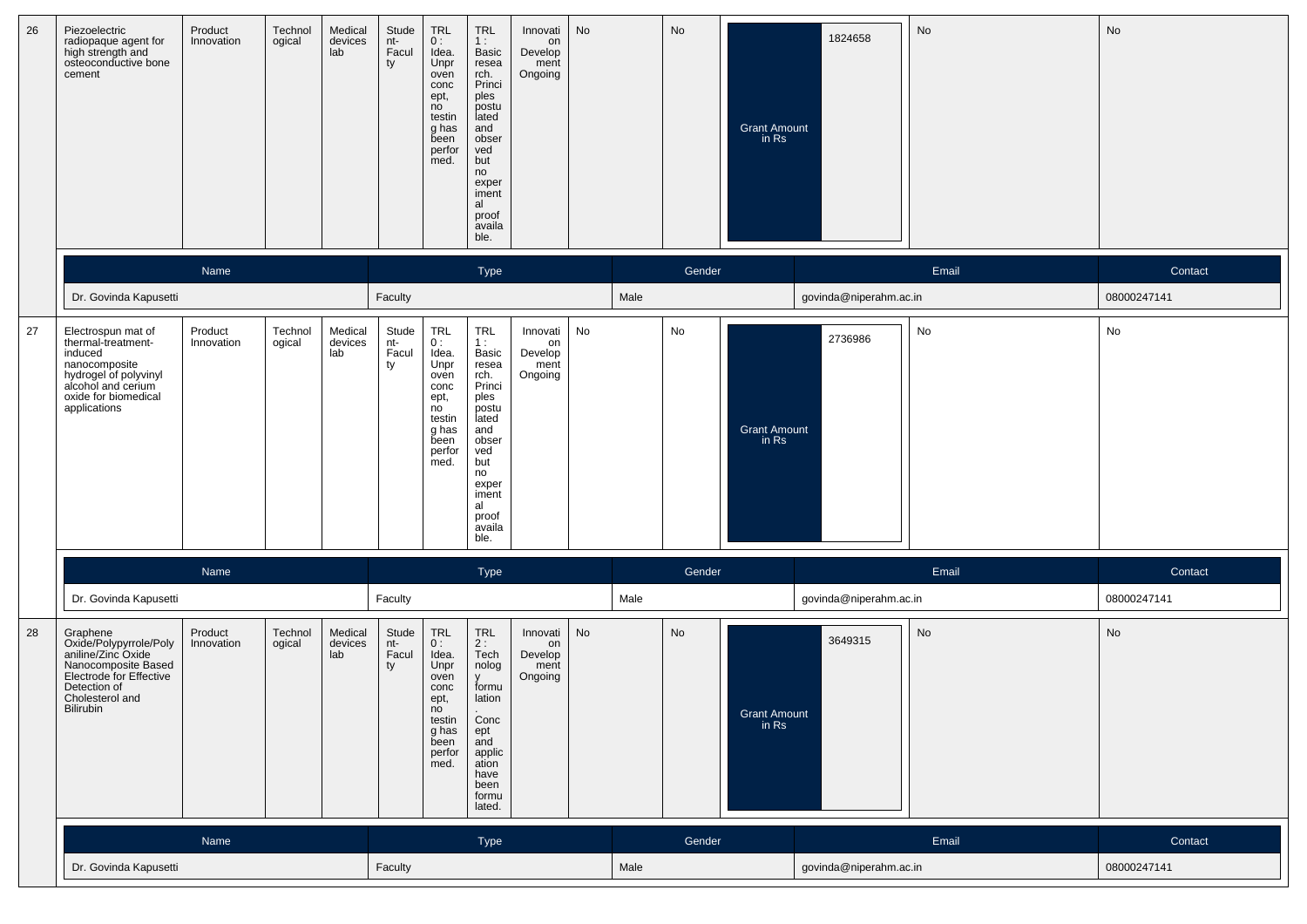| 26 | Piezoelectric<br>radiopaque agent for<br>high strength and<br>osteoconductive bone<br>cement                                                                | Product<br>Innovation | Technol<br>ogical | Medical<br>devices<br>lab | Stude<br>nt-<br>Facul<br>ty | <b>TRL</b><br>0:<br>Idea.<br>Unpr<br>oven<br>conc<br>ept,<br>no<br>testin<br>g has<br>been<br>perfor<br>med. | <b>TRL</b><br>1:<br>Basic<br>resea<br>rch.<br>Princi<br>ples<br>postu<br>lated<br>and<br>obser<br>ved<br>but<br>no<br>exper<br>iment<br>al<br>proof<br>availa<br>ble. | Innovati<br>on<br>Develop<br>ment<br>Ongoing | No |      | No     | <b>Grant Amount</b><br>in Rs | 1824658                | No    | No          |
|----|-------------------------------------------------------------------------------------------------------------------------------------------------------------|-----------------------|-------------------|---------------------------|-----------------------------|--------------------------------------------------------------------------------------------------------------|-----------------------------------------------------------------------------------------------------------------------------------------------------------------------|----------------------------------------------|----|------|--------|------------------------------|------------------------|-------|-------------|
|    |                                                                                                                                                             | Name                  |                   |                           |                             |                                                                                                              | Type                                                                                                                                                                  |                                              |    |      | Gender |                              |                        | Email | Contact     |
|    | Dr. Govinda Kapusetti                                                                                                                                       |                       |                   |                           | Faculty                     |                                                                                                              |                                                                                                                                                                       |                                              |    | Male |        |                              | govinda@niperahm.ac.in |       | 08000247141 |
| 27 | Electrospun mat of<br>thermal-treatment-<br>induced<br>nanocomposite<br>hydrogel of polyvinyl<br>alcohol and cerium<br>oxide for biomedical<br>applications | Product<br>Innovation | Technol<br>ogical | Medical<br>devices<br>lab | Stude<br>nt-<br>Facul<br>ty | TRL<br>0:<br>Idea.<br>Unpr<br>oven<br>conc<br>ept,<br>no<br>testin<br>g has<br>been<br>perfor<br>med.        | <b>TRL</b><br>1:<br>Basic<br>resea<br>rch.<br>Princi<br>ples<br>postu<br>lated<br>and<br>obser<br>ved<br>but<br>no<br>exper<br>iment<br>al<br>proof<br>availa<br>ble. | Innovati<br>on<br>Develop<br>ment<br>Ongoing | No |      | No     | <b>Grant Amount</b><br>in Rs | 2736986                | No    | No          |
|    |                                                                                                                                                             | Name                  |                   |                           |                             |                                                                                                              | Type                                                                                                                                                                  |                                              |    |      | Gender |                              |                        | Email | Contact     |
|    | Dr. Govinda Kapusetti                                                                                                                                       |                       |                   |                           | Faculty                     |                                                                                                              |                                                                                                                                                                       |                                              |    | Male |        |                              | govinda@niperahm.ac.in |       | 08000247141 |
| 28 | Graphene<br>Oxide/Polypyrrole/Poly<br>aniline/Zinc Oxide<br>Nanocomposite Based<br>Electrode for Effective<br>Detection of<br>Cholesterol and<br>Bilirubin  | Product<br>Innovation | Technol<br>ogical | Medical<br>devices<br>lab | Stude<br>nt-<br>Facul<br>ty | TRL<br>0:<br>Idea.<br>Unpr<br>oven<br>conc<br>ept,<br>no<br>testin<br>g has<br>been<br>perfor<br>med.        | <b>TRL</b><br>2:<br>Tech<br>nolog<br><b>y</b><br>formu<br>lation<br>Conc<br>ept<br>and<br>applic<br>ation<br>have<br>been<br>formu<br>lated.                          | Innovati<br>on<br>Develop<br>ment<br>Ongoing | No |      | No     | Grant Amount<br>in Rs        | 3649315                | No    | No          |
|    |                                                                                                                                                             | Name                  |                   |                           |                             |                                                                                                              | Type                                                                                                                                                                  |                                              |    |      | Gender |                              |                        | Email | Contact     |
|    | Dr. Govinda Kapusetti                                                                                                                                       |                       |                   |                           | Faculty                     |                                                                                                              |                                                                                                                                                                       |                                              |    | Male |        |                              | govinda@niperahm.ac.in |       | 08000247141 |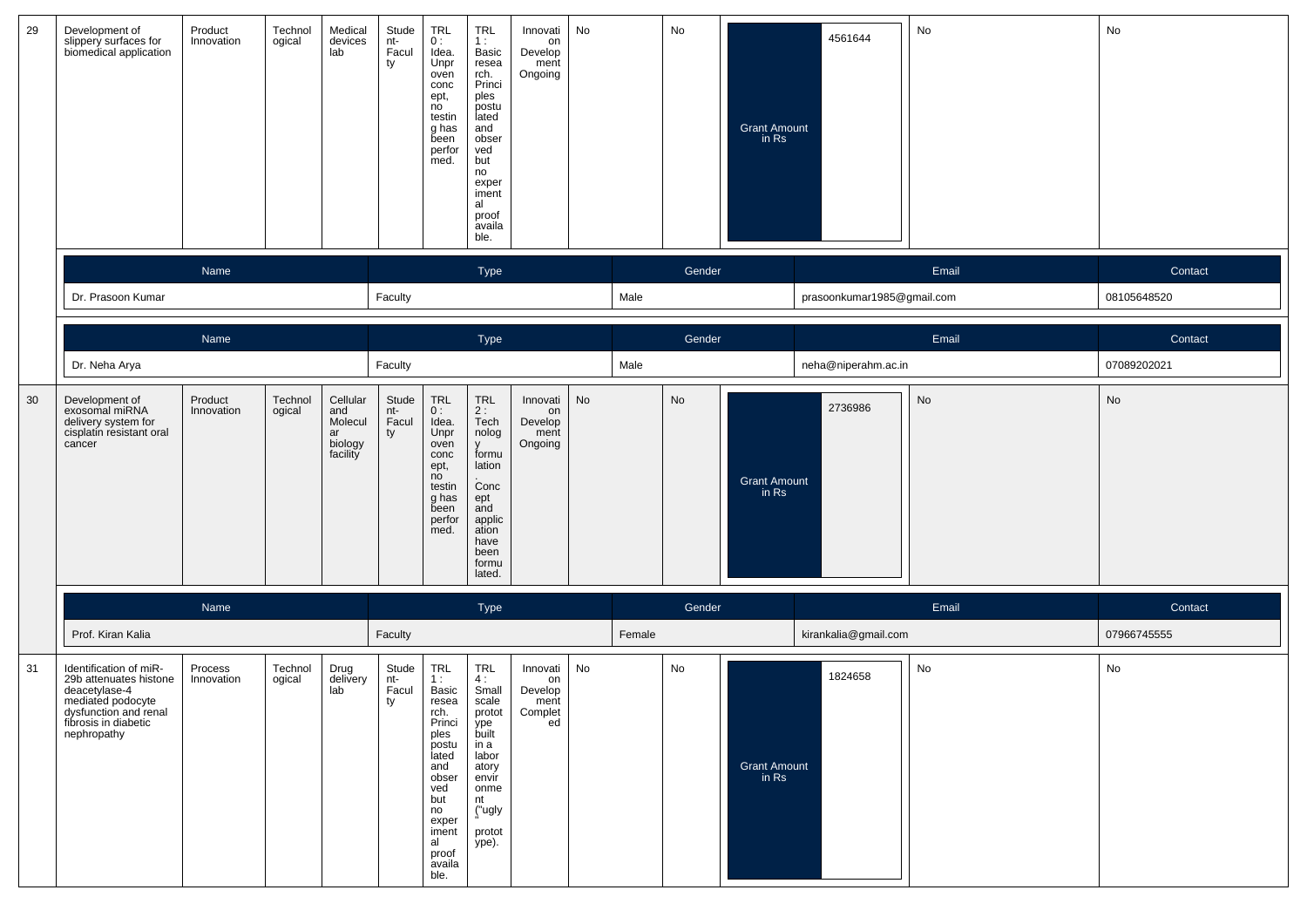| 29 | Development of<br>slippery surfaces for<br>biomedical application                                                                                      | Product<br>Innovation | Technol<br>ogical | Medical<br>devices<br>lab                               | Stude<br>nt-<br>Facul<br>ty | TRL<br>0:<br>Idea.<br>Unpr<br>oven<br>conc<br>ept,<br>no<br>testin<br>g has<br>been<br>perfor<br>med.                                                          | <b>TRL</b><br>1:<br>Basic<br>resea<br>rch.<br>Princi<br>ples<br>postu<br>lated<br>and<br>obser<br>ved<br>but<br>no<br>exper<br>iment<br>al<br>proof<br>availa<br>ble. | Innovati<br>on<br>Develop<br>ment<br>Ongoing       | No |        | No     | <b>Grant Amount</b><br>in Rs | 4561644                    | No    | No          |
|----|--------------------------------------------------------------------------------------------------------------------------------------------------------|-----------------------|-------------------|---------------------------------------------------------|-----------------------------|----------------------------------------------------------------------------------------------------------------------------------------------------------------|-----------------------------------------------------------------------------------------------------------------------------------------------------------------------|----------------------------------------------------|----|--------|--------|------------------------------|----------------------------|-------|-------------|
|    |                                                                                                                                                        | Name                  |                   |                                                         |                             |                                                                                                                                                                | Type                                                                                                                                                                  |                                                    |    |        | Gender |                              |                            | Email | Contact     |
|    | Dr. Prasoon Kumar                                                                                                                                      |                       |                   |                                                         | Faculty                     |                                                                                                                                                                |                                                                                                                                                                       |                                                    |    | Male   |        |                              | prasoonkumar1985@gmail.com |       | 08105648520 |
|    |                                                                                                                                                        | Name                  |                   |                                                         |                             |                                                                                                                                                                | Type                                                                                                                                                                  |                                                    |    |        | Gender |                              |                            | Email | Contact     |
|    | Dr. Neha Arya                                                                                                                                          |                       |                   |                                                         | Faculty                     |                                                                                                                                                                |                                                                                                                                                                       |                                                    |    | Male   |        |                              | neha@niperahm.ac.in        |       | 07089202021 |
| 30 | Development of<br>exosomal miRNA<br>delivery system for<br>cisplatin resistant oral<br>cancer                                                          | Product<br>Innovation | Technol<br>ogical | Cellular<br>and<br>Molecul<br>ar<br>biology<br>facility | Stude<br>nt-<br>Facul<br>ty | TRL<br>0:<br>Idea.<br>Unpr<br>oven<br>conc<br>ept,<br>no<br>testin<br>g has<br>been<br>perfor<br>med.                                                          | $\ensuremath{\mathsf{TRL}}$<br>$2:$ Tech<br>nolog<br><b>y</b><br>formu<br>lation<br>Conc<br>ept<br>and<br>applic<br>ation<br>have<br>been<br>formu<br>lated.          | Innovati<br>on<br>Develop<br>ment<br>Ongoing       | No |        | No     | <b>Grant Amount</b><br>in Rs | 2736986                    | No    | No          |
|    |                                                                                                                                                        | Name                  |                   |                                                         |                             |                                                                                                                                                                | Type                                                                                                                                                                  |                                                    |    |        | Gender |                              |                            | Email | Contact     |
|    | Prof. Kiran Kalia                                                                                                                                      |                       |                   |                                                         | Faculty                     |                                                                                                                                                                |                                                                                                                                                                       |                                                    |    | Female |        |                              | kirankalia@gmail.com       |       | 07966745555 |
| 31 | Identification of miR-<br>29b attenuates histone<br>deacetylase-4<br>mediated podocyte<br>dysfunction and renal<br>fibrosis in diabetic<br>nephropathy | Process<br>Innovation | Technol<br>ogical | Drug<br>delivery<br>lab                                 | Stude<br>nt-<br>Facul<br>ty | TRL<br>1:<br>Basic<br>resea<br>rcn.<br>Princi<br>ples<br>postu<br>lated<br>and<br>obser<br>ved<br>but<br>no<br>exper<br>iment<br>al<br>proof<br>availa<br>ble. | TRL<br>4:<br>Small<br>scale<br>protot<br>ype<br>built<br>in a<br>labor<br>atory<br>envir<br>onme<br>nt<br>("ugly<br>protot<br>ype).                                   | Innovati<br>on<br>Develop<br>ment<br>Complet<br>ed | No |        | No     | <b>Grant Amount</b><br>in Rs | 1824658                    | No    | No          |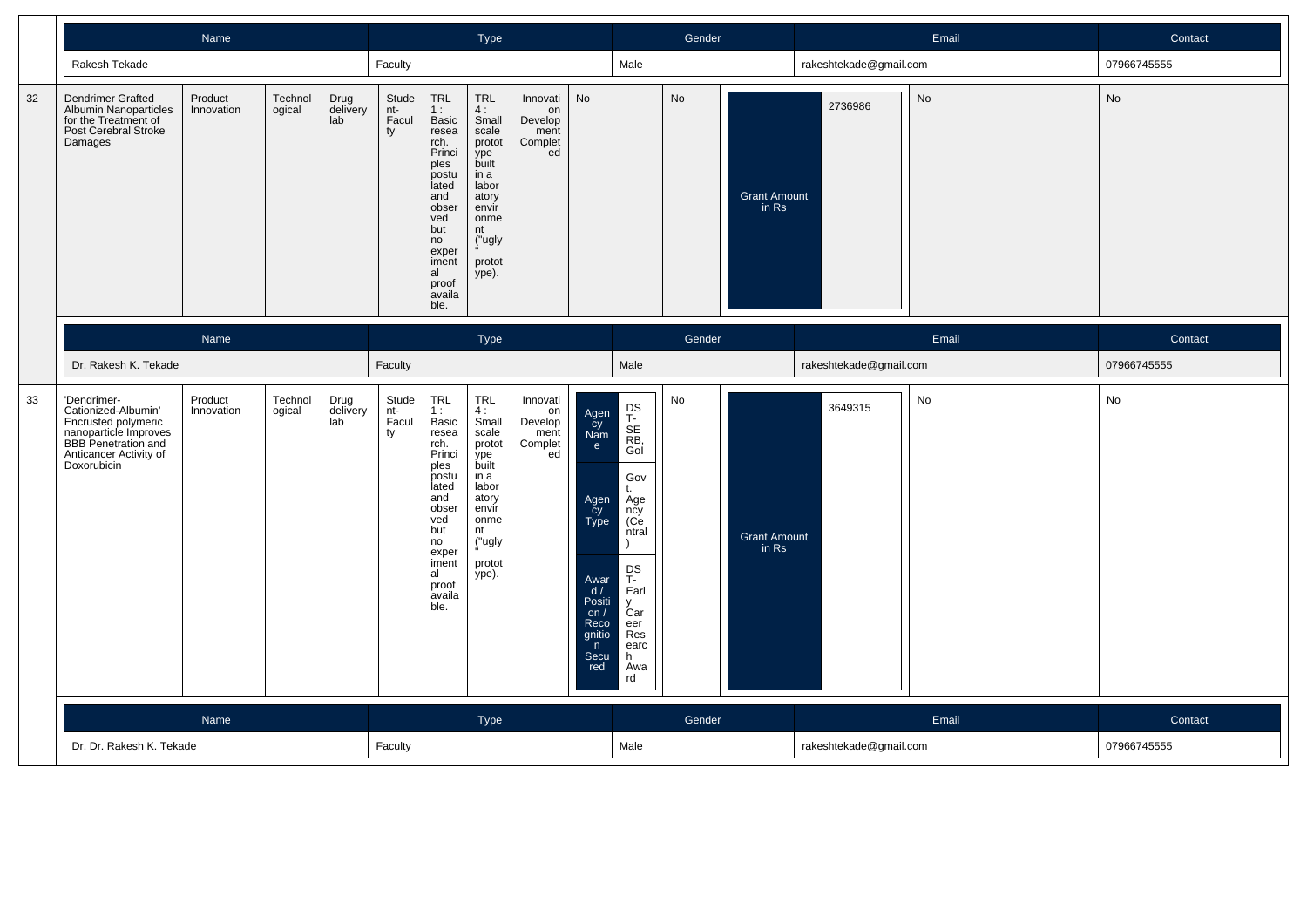|    |                                                                                                                                                           | Name                  |                   |                         |                             |                                                                                                                                                                       | Type                                                                                                                                       |                                                    |                                                                                                                      |                                                                                                                                                   | Gender |                              |                        | Email | Contact     |
|----|-----------------------------------------------------------------------------------------------------------------------------------------------------------|-----------------------|-------------------|-------------------------|-----------------------------|-----------------------------------------------------------------------------------------------------------------------------------------------------------------------|--------------------------------------------------------------------------------------------------------------------------------------------|----------------------------------------------------|----------------------------------------------------------------------------------------------------------------------|---------------------------------------------------------------------------------------------------------------------------------------------------|--------|------------------------------|------------------------|-------|-------------|
|    | Rakesh Tekade                                                                                                                                             |                       |                   |                         | Faculty                     |                                                                                                                                                                       |                                                                                                                                            |                                                    |                                                                                                                      | Male                                                                                                                                              |        |                              | rakeshtekade@gmail.com |       | 07966745555 |
| 32 | <b>Dendrimer Grafted</b><br>Albumin Nanoparticles<br>for the Treatment of<br>Post Cerebral Stroke<br>Damages                                              | Product<br>Innovation | Technol<br>ogical | Drug<br>delivery<br>lab | Stude<br>nt-<br>Facul<br>ty | TRL<br>1:<br>Basic<br>resea<br>rch.<br>Princi<br>ples<br>postu<br>lated<br>and<br>obser<br>ved<br>but<br>no<br>exper<br>iment<br>al<br>proof<br>availa<br>ble.        | <b>TRL</b><br>4:<br>Small<br>scale<br>protot<br>ype<br>built<br>in a<br>labor<br>atory<br>envir<br>onme<br>nt<br>("ugly<br>protot<br>ype). | Innovati<br>on<br>Develop<br>ment<br>Complet<br>ed | No                                                                                                                   |                                                                                                                                                   | No     | <b>Grant Amount</b><br>in Rs | 2736986                | No    | No          |
|    |                                                                                                                                                           | Name                  |                   |                         |                             |                                                                                                                                                                       | Type                                                                                                                                       |                                                    |                                                                                                                      |                                                                                                                                                   | Gender |                              |                        | Email | Contact     |
|    | Dr. Rakesh K. Tekade                                                                                                                                      |                       |                   |                         | Faculty                     |                                                                                                                                                                       |                                                                                                                                            |                                                    |                                                                                                                      | Male                                                                                                                                              |        |                              | rakeshtekade@gmail.com |       | 07966745555 |
| 33 | 'Dendrimer-<br>Cationized-Albumin'<br>Encrusted polymeric<br>nanoparticle Improves<br><b>BBB</b> Penetration and<br>Anticancer Activity of<br>Doxorubicin | Product<br>Innovation | Technol<br>ogical | Drug<br>delivery<br>lab | Stude<br>nt-<br>Facul<br>ty | <b>TRL</b><br>1:<br>Basic<br>resea<br>rch.<br>Princi<br>ples<br>postu<br>lated<br>and<br>obser<br>ved<br>but<br>no<br>exper<br>iment<br>al<br>proof<br>availa<br>ble. | <b>TRL</b><br>4:<br>Small<br>scale<br>protot<br>ype<br>built<br>in a<br>labor<br>atory<br>envír<br>onme<br>nt<br>("ugly<br>protot<br>ype). | Innovati<br>on<br>Develop<br>ment<br>Complet<br>ed | Agen<br>cy<br>Nam<br>e<br>Agen<br>Cy<br>Type<br>Awar<br>d/<br>Positi<br>on $/$<br>Reco<br>gnitio<br>n<br>Secu<br>red | DS<br>T-<br>SE<br>RB,<br>Gol<br>Gov<br>t.<br>Age<br>ncy<br>(Ce)<br>ntral<br>DS<br>T-<br>Earl<br>V<br>Ćar<br>eer<br>Res<br>earc<br>h.<br>Awa<br>rd | No     | <b>Grant Amount</b><br>in Rs | 3649315                | No    | No          |
|    |                                                                                                                                                           | Name                  |                   |                         |                             |                                                                                                                                                                       | Type                                                                                                                                       |                                                    |                                                                                                                      |                                                                                                                                                   | Gender |                              |                        | Email | Contact     |
|    | Dr. Dr. Rakesh K. Tekade                                                                                                                                  |                       |                   |                         | Faculty                     |                                                                                                                                                                       |                                                                                                                                            |                                                    |                                                                                                                      | Male                                                                                                                                              |        |                              | rakeshtekade@gmail.com |       | 07966745555 |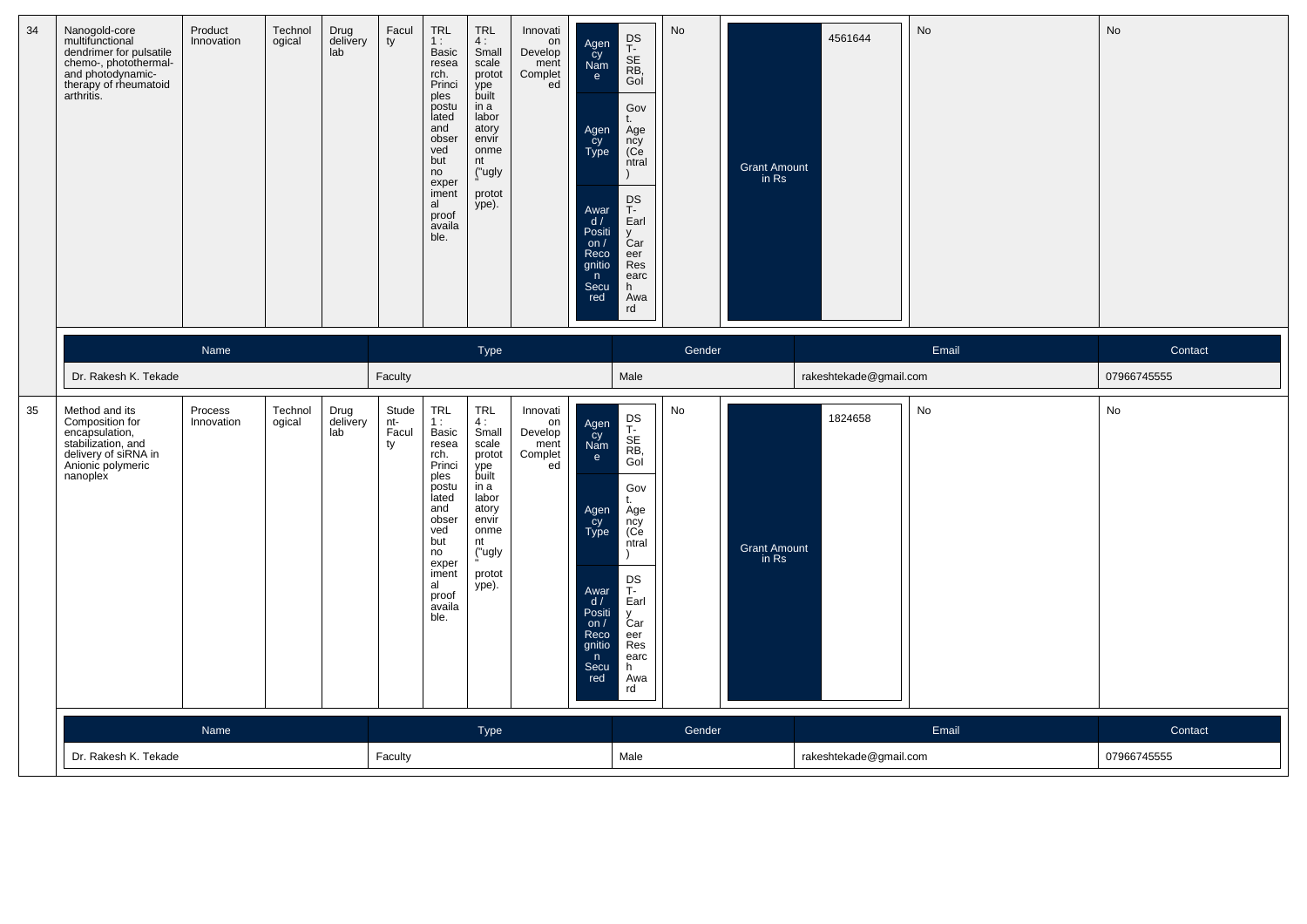| 34 | Nanogold-core<br>multifunctional<br>dendrimer for pulsatile<br>chemo-, photothermal-<br>and photodynamic-<br>therapy of rheumatoid<br>arthritis. | Product<br>Innovation | Technol<br>ogical | Drug<br>delivery<br>lab | Facul<br>ty                 | TRL<br>1:<br><b>Basic</b><br>resea<br>rch.<br>Princi<br>ples<br>postu<br>lated<br>and<br>obser<br>ved<br>but<br>no<br>exper<br>iment<br>al<br>proof<br>availa<br>ble. | TRL<br>4:<br>Small<br>scale<br>protot<br>ype<br>built<br>in a<br>labor<br>atory<br>envir<br>onme<br>nt<br>("ugly<br>protot<br>ype).        | Innovati<br>on<br>Develop<br>ment<br>Complet<br>ed | Agen<br>Cy<br>Nam<br>e<br>Agen<br>Cy<br>Type<br>Awar<br>d /<br>Positi<br>on $/$<br>Reco<br>gnitio<br>n<br>Secu<br>red | DS<br>T-<br>SE<br>RB,<br>Gol<br>Gov<br>t.<br>Age<br>ncy<br>(Ce<br>ntral<br>DS<br>T-<br>Earl<br>y<br>Car<br>eer<br>Res<br>earc<br>h.<br>Awa<br>rd                         | <b>No</b> | <b>Grant Amount</b><br>in Rs | 4561644                | <b>No</b> | No          |
|----|--------------------------------------------------------------------------------------------------------------------------------------------------|-----------------------|-------------------|-------------------------|-----------------------------|-----------------------------------------------------------------------------------------------------------------------------------------------------------------------|--------------------------------------------------------------------------------------------------------------------------------------------|----------------------------------------------------|-----------------------------------------------------------------------------------------------------------------------|--------------------------------------------------------------------------------------------------------------------------------------------------------------------------|-----------|------------------------------|------------------------|-----------|-------------|
|    |                                                                                                                                                  | Name                  |                   |                         |                             |                                                                                                                                                                       | Type                                                                                                                                       |                                                    |                                                                                                                       |                                                                                                                                                                          | Gender    |                              |                        | Email     | Contact     |
|    | Dr. Rakesh K. Tekade                                                                                                                             |                       |                   |                         | Faculty                     |                                                                                                                                                                       |                                                                                                                                            |                                                    |                                                                                                                       | Male                                                                                                                                                                     |           |                              | rakeshtekade@gmail.com |           | 07966745555 |
| 35 | Method and its<br>Composition for<br>encapsulation,<br>stabilization, and<br>delivery of siRNA in<br>Anionic polymeric<br>nanoplex               | Process<br>Innovation | Technol<br>ogical | Drug<br>delivery<br>lab | Stude<br>nt-<br>Facul<br>ty | TRL<br>1:<br>Basic<br>resea<br>rch.<br>Princi<br>ples<br>postu<br>lated<br>and<br>obser<br>ved<br>but<br>no<br>exper<br>iment<br>al<br>proof<br>availa<br>ble.        | <b>TRL</b><br>4:<br>Small<br>scale<br>protot<br>ype<br>built<br>in a<br>labor<br>atory<br>envir<br>onme<br>nt<br>("ugly<br>protot<br>ype). | Innovati<br>on<br>Develop<br>ment<br>Complet<br>ed | Agen<br>Cy<br>Nam<br>e<br>Agen<br>cy<br>Type<br>Awar<br>d/<br>Positi<br>on/<br>Reco<br>gnitio<br>n<br>Secu<br>red     | DS<br>T-<br>SE<br>RB,<br>Gol<br>Gov<br>t.<br>Age<br>ncy<br>(Ce<br>ntral<br>$\lambda$<br>DS<br>T-<br>Earl<br>$\mathsf{v}$<br>Car<br>eer<br>Res<br>earc<br>h.<br>Awa<br>rd | No        | <b>Grant Amount</b><br>in Rs | 1824658                | No        | No          |
|    |                                                                                                                                                  | Name                  |                   |                         |                             |                                                                                                                                                                       | Type                                                                                                                                       |                                                    |                                                                                                                       |                                                                                                                                                                          | Gender    |                              |                        | Email     | Contact     |
|    | Dr. Rakesh K. Tekade                                                                                                                             |                       |                   |                         | Faculty                     |                                                                                                                                                                       |                                                                                                                                            |                                                    |                                                                                                                       | Male                                                                                                                                                                     |           |                              | rakeshtekade@gmail.com |           | 07966745555 |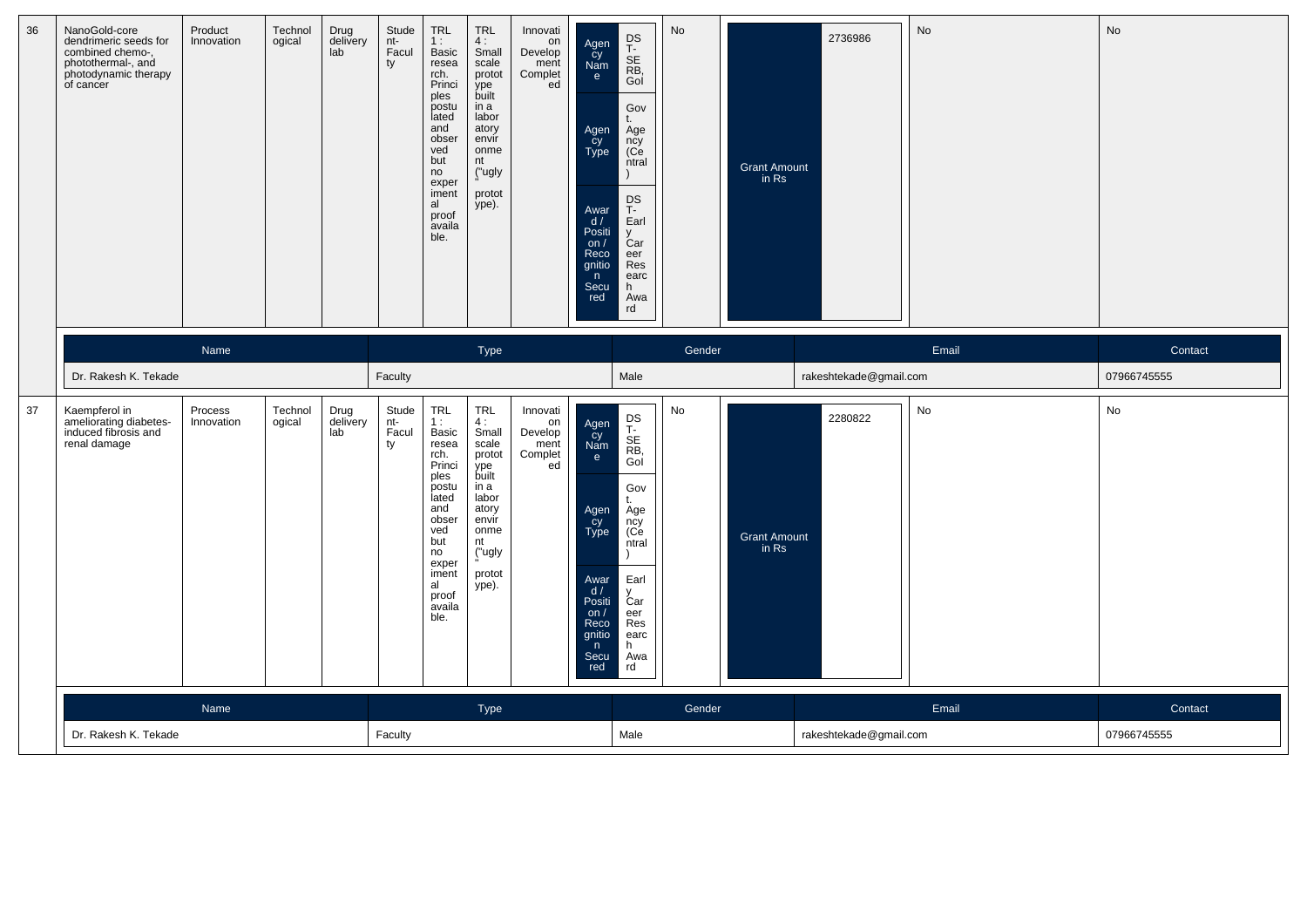| 36 | NanoGold-core<br>dendrimeric seeds for<br>combined chemo-,<br>photothermal-, and<br>photodynamic therapy<br>of cancer | Product<br>Innovation | Technol<br>ogical | Drug<br>delivery<br>lab | Stude<br>nt-<br>Facul<br>ty | TRL<br>1:<br><b>Basic</b><br>resea<br>rch.<br>Princi<br>ples<br>postu<br>lated<br>and<br>obser<br>ved<br>but<br>no<br>exper<br>iment<br>al<br>proof<br>availa<br>ble. | <b>TRL</b><br>4:<br>Small<br>scale<br>protot<br>ype<br>built<br>in a<br>labor<br>atory<br>envir<br>onme<br>nt<br>("ugly<br>protot<br>ype). | Innovati<br>on<br>Develop<br>ment<br>Complet<br>ed | Agen<br>Cy<br>Nam<br>e<br>Agen<br>Cy<br>Type<br>Awar<br>d /<br>Positi<br>on $/$<br>Reco<br>gnitio<br>n<br>Secu<br>red | DS<br>T-<br>SE<br>RB,<br>Gol<br>Gov<br>t.<br>Age<br>ncy<br>(Ce<br>ntral<br><b>DS</b><br>$T -$<br>Earl<br>V<br>Ćar<br>eer<br>Res<br>earc<br>h.<br>Awa<br>rd | No     | <b>Grant Amount</b><br>in Rs | 2736986                | No    | No          |
|----|-----------------------------------------------------------------------------------------------------------------------|-----------------------|-------------------|-------------------------|-----------------------------|-----------------------------------------------------------------------------------------------------------------------------------------------------------------------|--------------------------------------------------------------------------------------------------------------------------------------------|----------------------------------------------------|-----------------------------------------------------------------------------------------------------------------------|------------------------------------------------------------------------------------------------------------------------------------------------------------|--------|------------------------------|------------------------|-------|-------------|
|    |                                                                                                                       | Name                  |                   |                         |                             |                                                                                                                                                                       | Type                                                                                                                                       |                                                    |                                                                                                                       |                                                                                                                                                            | Gender |                              |                        | Email | Contact     |
|    | Dr. Rakesh K. Tekade                                                                                                  |                       |                   |                         | Faculty                     |                                                                                                                                                                       |                                                                                                                                            |                                                    |                                                                                                                       | Male                                                                                                                                                       |        |                              | rakeshtekade@gmail.com |       | 07966745555 |
| 37 | Kaempferol in<br>ameliorating diabetes-<br>induced fibrosis and<br>renal damage                                       | Process<br>Innovation | Technol<br>ogical | Drug<br>delivery<br>lab | Stude<br>nt-<br>Facul<br>ty | TRL<br>1:<br>Basic<br>resea<br>rch.<br>Princi<br>ples<br>postu<br>lated<br>and<br>obser<br>ved<br>but<br>no<br>exper<br>iment<br>al<br>proof<br>availa<br>ble.        | <b>TRL</b><br>4:<br>Small<br>scale<br>protot<br>.<br>built<br>in a<br>labor<br>atory<br>envir<br>onme<br>nt<br>("ugly<br>protot<br>ype).   | Innovati<br>on<br>Develop<br>ment<br>Complet<br>ed | Agen<br>Cy<br>Nam<br>e<br>Agen<br>Cy<br>Type<br>Awar<br>d/<br>Positi<br>on $/$<br>Reco<br>gnitio<br>n<br>Secu<br>red  | DS<br>T-<br>SE<br>RB,<br>Gol<br>Gov<br>t.<br>Age<br>ncy<br>(Ce<br>ntral<br>Earl<br>Ćar<br>eer<br>Res<br>earc<br>h.<br>Awa<br>rd                            | No     | <b>Grant Amount</b><br>in Rs | 2280822                | No    | No          |
|    |                                                                                                                       | Name                  |                   |                         |                             |                                                                                                                                                                       | <b>Type</b>                                                                                                                                |                                                    |                                                                                                                       |                                                                                                                                                            | Gender |                              |                        | Email | Contact     |
|    | Dr. Rakesh K. Tekade                                                                                                  |                       |                   |                         | Faculty                     |                                                                                                                                                                       |                                                                                                                                            |                                                    |                                                                                                                       | Male                                                                                                                                                       |        |                              | rakeshtekade@gmail.com |       | 07966745555 |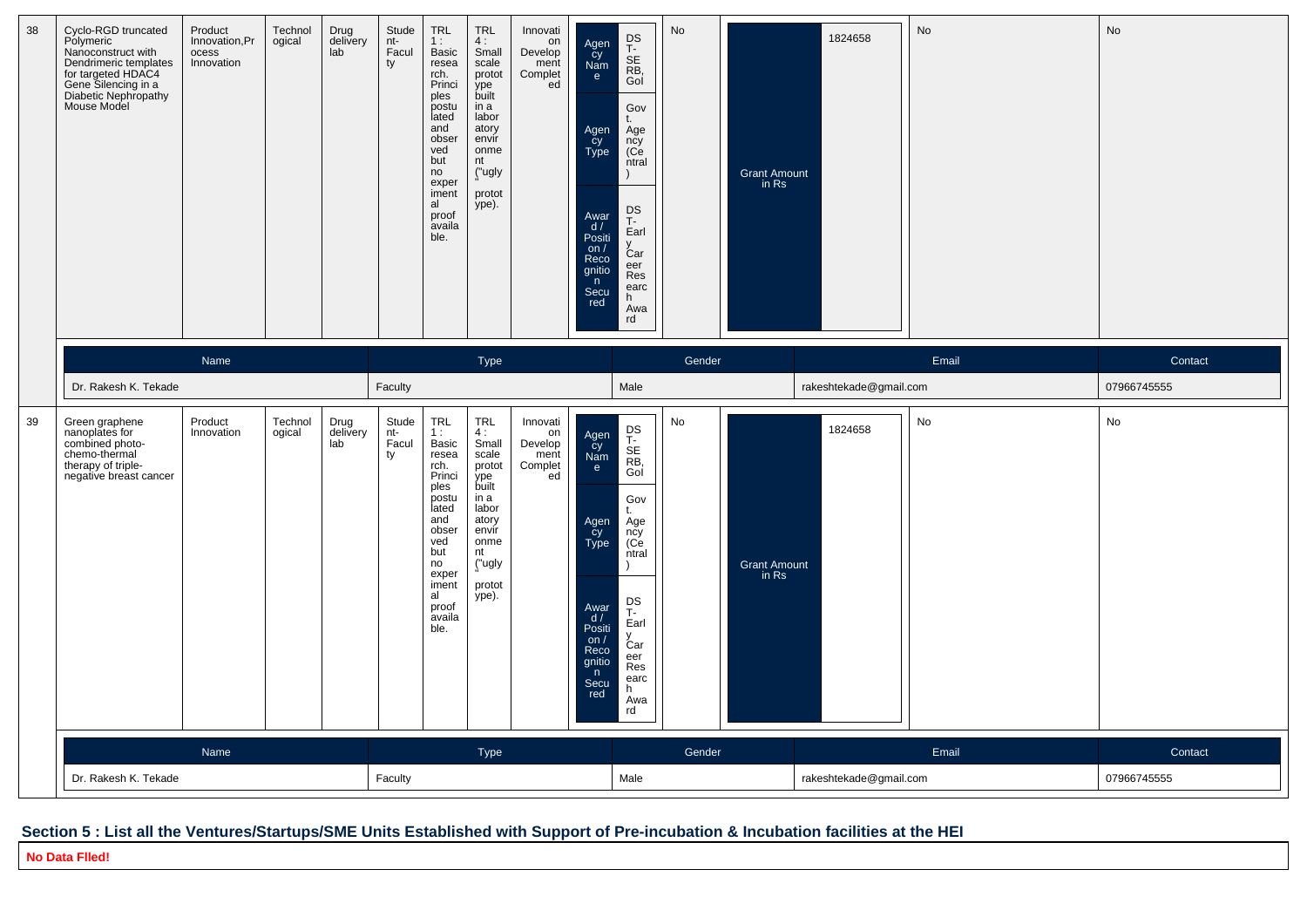| 38 | Cyclo-RGD truncated<br>Polymeric<br>Nanoconstruct with<br>Dendrimeric templates<br>for targeted HDAC4<br>Gene Silencing in a<br>Diabetic Nephropathy<br>Mouse Model | Product<br>Innovation, Pr<br>ocess<br>Innovation | Technol<br>ogical | Drug<br>delivery<br>lab | Stude<br>nt-<br>Facul<br>ty | <b>TRL</b><br>1:<br>Basic<br>resea<br>rch.<br>Princi<br>ples<br>postu<br>lated<br>and<br>obser<br>ved<br>but<br>no<br>exper<br>iment<br>al<br>proof<br>availa<br>ble. | <b>TRL</b><br>4:<br>Small<br>scale<br>protot<br>ype<br>built<br>in a<br>labor<br>atory<br>envír<br>onme<br>nt<br>("ugly<br>protot<br>ype). | Innovati<br>on<br>Develop<br>ment<br>Complet<br>ed | Agen<br>cy<br>Nam<br>e<br>Agen<br>cy<br>Type<br>Awar<br>d /<br>Positi<br>on $/$<br>Reco<br>gnitio<br>n<br>Secu<br>red | DS<br>T-<br>SE<br>RB,<br>Gol<br>Gov<br>Age<br>ncy<br>(Ce<br>ntral<br>$\lambda$<br>DS<br>T-<br>Earl<br>Car<br>eer<br>Res<br>earc<br>h.<br>Awa<br>rd | No     | <b>Grant Amount</b><br>in Rs | 1824658                | <b>No</b> | No          |
|----|---------------------------------------------------------------------------------------------------------------------------------------------------------------------|--------------------------------------------------|-------------------|-------------------------|-----------------------------|-----------------------------------------------------------------------------------------------------------------------------------------------------------------------|--------------------------------------------------------------------------------------------------------------------------------------------|----------------------------------------------------|-----------------------------------------------------------------------------------------------------------------------|----------------------------------------------------------------------------------------------------------------------------------------------------|--------|------------------------------|------------------------|-----------|-------------|
|    |                                                                                                                                                                     | Name                                             |                   |                         |                             |                                                                                                                                                                       | Type                                                                                                                                       |                                                    |                                                                                                                       |                                                                                                                                                    | Gender |                              |                        | Email     | Contact     |
|    | Dr. Rakesh K. Tekade                                                                                                                                                |                                                  |                   |                         | Faculty                     |                                                                                                                                                                       |                                                                                                                                            |                                                    |                                                                                                                       | Male                                                                                                                                               |        |                              | rakeshtekade@gmail.com |           | 07966745555 |
| 39 | Green graphene<br>nanoplates for<br>combined photo-<br>chemo-thermal<br>therapy of triple-<br>negative breast cancer                                                | Product<br>Innovation                            | Technol<br>ogical | Drug<br>delivery<br>lab | Stude<br>nt-<br>Facul<br>ty | <b>TRL</b><br>1:<br>Basic<br>resea<br>rch.<br>Princi<br>ples<br>postu<br>lated<br>and<br>obser<br>ved<br>but<br>no<br>exper<br>iment<br>al<br>proof<br>availa<br>ble. | <b>TRL</b><br>4:<br>Small<br>scale<br>protot<br>ype<br>built<br>in a<br>labor<br>atory<br>envir<br>onme<br>nt<br>("ugly<br>protot<br>ype). | Innovati<br>on<br>Develop<br>ment<br>Complet<br>ed | Agen<br>čy<br>Nam<br>e<br>Agen<br>Cy<br>Type<br>Awar<br>d /<br>Positi<br>on $/$<br>Reco<br>gnitio<br>n<br>Secu<br>red | DS<br>T-<br>SE<br>RB,<br>Gol<br>Gov<br>Age<br>ncy<br>(Ce<br>ntral<br>$\lambda$<br>DS<br>T-<br>Earl<br>Car<br>eer<br>Res<br>earc<br>h.<br>Awa<br>rd | No     | <b>Grant Amount</b><br>in Rs | 1824658                | No        | No          |
|    |                                                                                                                                                                     | Name                                             |                   |                         |                             |                                                                                                                                                                       | <b>Type</b>                                                                                                                                |                                                    |                                                                                                                       |                                                                                                                                                    | Gender |                              |                        | Email     | Contact     |
|    | Dr. Rakesh K. Tekade                                                                                                                                                |                                                  |                   |                         | Faculty                     |                                                                                                                                                                       |                                                                                                                                            |                                                    |                                                                                                                       | Male                                                                                                                                               |        |                              | rakeshtekade@gmail.com |           | 07966745555 |

## **Section 5 : List all the Ventures/Startups/SME Units Established with Support of Pre-incubation & Incubation facilities at the HEI**

**No Data Flled!**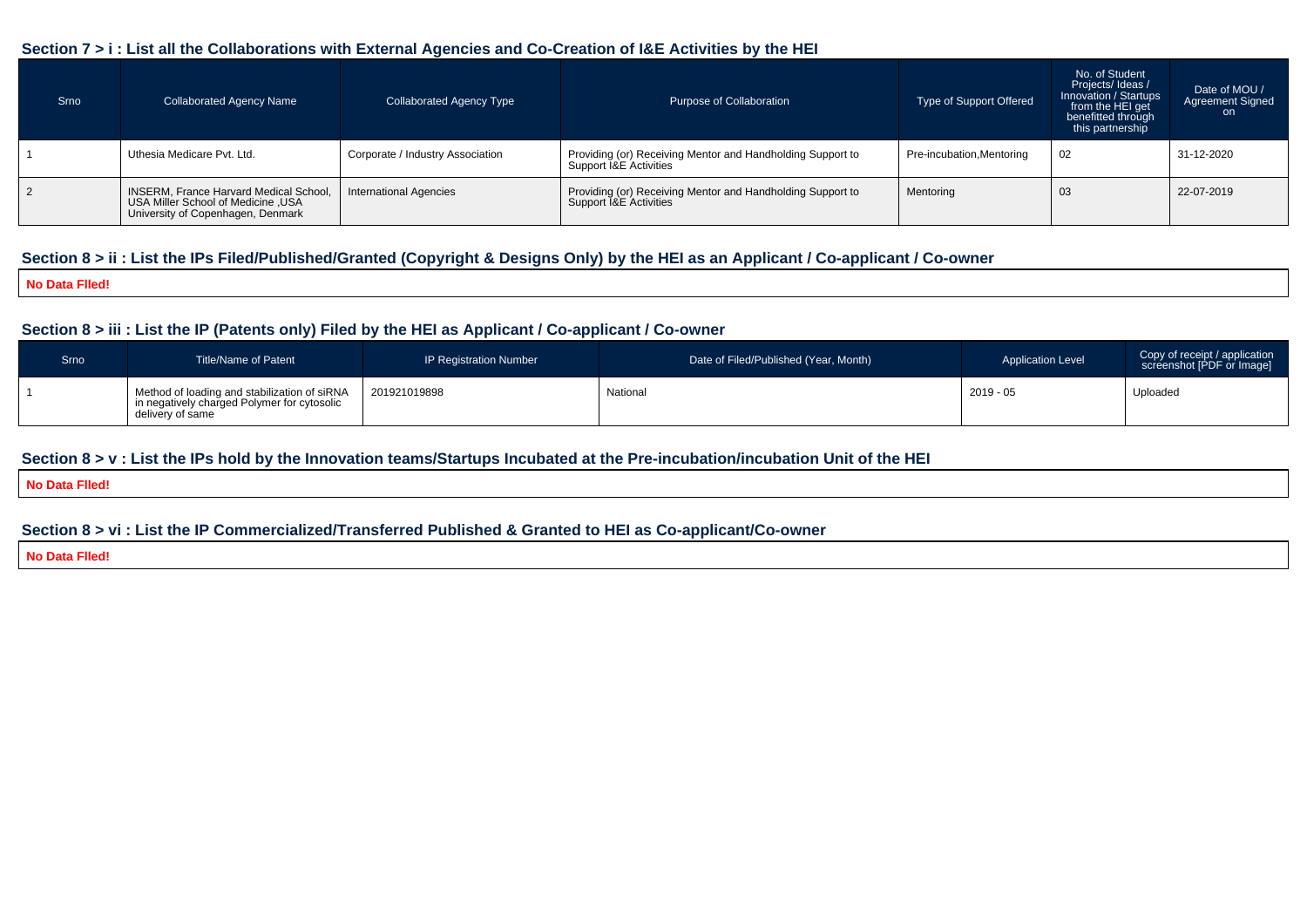#### **Section 7 > i : List all the Collaborations with External Agencies and Co-Creation of I&E Activities by the HEI**

| Srno | <b>Collaborated Agency Name</b>                                                                                           | <b>Collaborated Agency Type</b>  | Purpose of Collaboration                                                                        | Type of Support Offered   | No. of Student<br>Projects/Ideas /<br>Innovation / Startups<br>from the HEI get<br>benefitted through<br>this partnership | Date of MOU /<br><b>Agreement Signed</b><br>on a |
|------|---------------------------------------------------------------------------------------------------------------------------|----------------------------------|-------------------------------------------------------------------------------------------------|---------------------------|---------------------------------------------------------------------------------------------------------------------------|--------------------------------------------------|
|      | Uthesia Medicare Pvt. Ltd.                                                                                                | Corporate / Industry Association | Providing (or) Receiving Mentor and Handholding Support to<br>Support I&E Activities            | Pre-incubation, Mentoring | 02                                                                                                                        | 31-12-2020                                       |
|      | <b>INSERM, France Harvard Medical School,</b><br>USA Miller School of Medicine , USA<br>University of Copenhagen, Denmark | <b>International Agencies</b>    | Providing (or) Receiving Mentor and Handholding Support to<br>Support <b>1&amp;E</b> Activities | Mentoring                 | 03                                                                                                                        | 22-07-2019                                       |

## **Section 8 > ii : List the IPs Filed/Published/Granted (Copyright & Designs Only) by the HEI as an Applicant / Co-applicant / Co-owner**

#### **No Data Flled!**

### **Section 8 > iii : List the IP (Patents only) Filed by the HEI as Applicant / Co-applicant / Co-owner**

| Srno | Title/Name of Patent                                                                                              | <b>IP Registration Number</b> | Date of Filed/Published (Year, Month) | <b>Application Level</b> | Copy of receipt / application<br>screenshot [PDF or Image] |
|------|-------------------------------------------------------------------------------------------------------------------|-------------------------------|---------------------------------------|--------------------------|------------------------------------------------------------|
|      | I Method of loading and stabilization of siRNA<br>in negatively charged Polymer for cytosolic<br>delivery of same | 201921019898                  | National                              | $2019 - 05$              | Uploaded                                                   |

#### **Section 8 > v : List the IPs hold by the Innovation teams/Startups Incubated at the Pre-incubation/incubation Unit of the HEI**

#### **No Data Flled!**

### **Section 8 > vi : List the IP Commercialized/Transferred Published & Granted to HEI as Co-applicant/Co-owner**

#### **No Data Flled!**